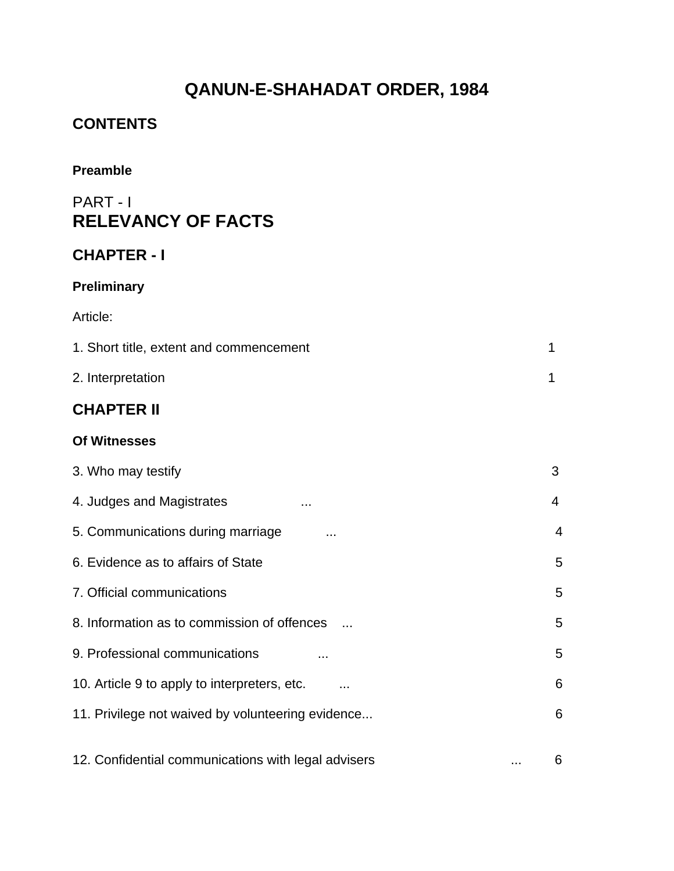# **QANUN-E-SHAHADAT ORDER, 1984**

### **CONTENTS**

### **Preamble**

### PART - I **RELEVANCY OF FACTS**

### **CHAPTER - I**

### **Preliminary**

### Article:

| 1. Short title, extent and commencement |  |
|-----------------------------------------|--|
| 2. Interpretation                       |  |

### **CHAPTER II**

#### **Of Witnesses**

| 3. Who may testify                                  |   | 3 |
|-----------------------------------------------------|---|---|
| 4. Judges and Magistrates<br>.                      |   | 4 |
| 5. Communications during marriage                   |   | 4 |
| 6. Evidence as to affairs of State                  |   | 5 |
| 7. Official communications                          |   | 5 |
| 8. Information as to commission of offences         |   | 5 |
| 9. Professional communications                      |   | 5 |
| 10. Article 9 to apply to interpreters, etc.        |   | 6 |
| 11. Privilege not waived by volunteering evidence   |   | 6 |
| 12. Confidential communications with legal advisers | . | 6 |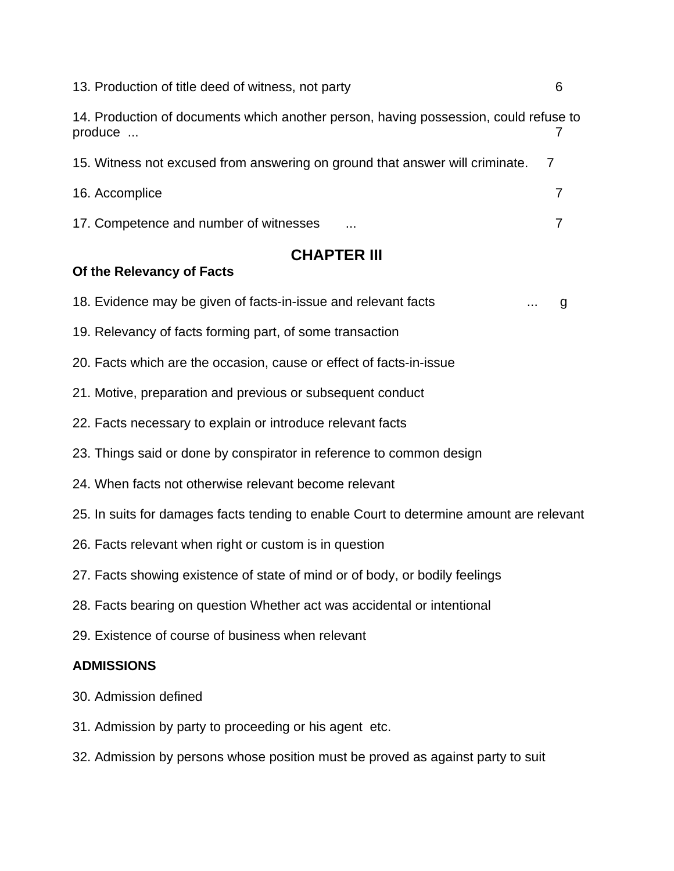| 13. Production of title deed of witness, not party                                              |  |
|-------------------------------------------------------------------------------------------------|--|
| 14. Production of documents which another person, having possession, could refuse to<br>produce |  |
| 15. Witness not excused from answering on ground that answer will criminate. 7                  |  |
| 16. Accomplice                                                                                  |  |
| 17. Competence and number of witnesses<br>                                                      |  |

### **CHAPTER III**

#### **Of the Relevancy of Facts**

18. Evidence may be given of facts-in-issue and relevant facts ... g

- 19. Relevancy of facts forming part, of some transaction
- 20. Facts which are the occasion, cause or effect of facts-in-issue
- 21. Motive, preparation and previous or subsequent conduct
- 22. Facts necessary to explain or introduce relevant facts
- 23. Things said or done by conspirator in reference to common design
- 24. When facts not otherwise relevant become relevant
- 25. In suits for damages facts tending to enable Court to determine amount are relevant
- 26. Facts relevant when right or custom is in question
- 27. Facts showing existence of state of mind or of body, or bodily feelings
- 28. Facts bearing on question Whether act was accidental or intentional
- 29. Existence of course of business when relevant

#### **ADMISSIONS**

- 30. Admission defined
- 31. Admission by party to proceeding or his agent etc.
- 32. Admission by persons whose position must be proved as against party to suit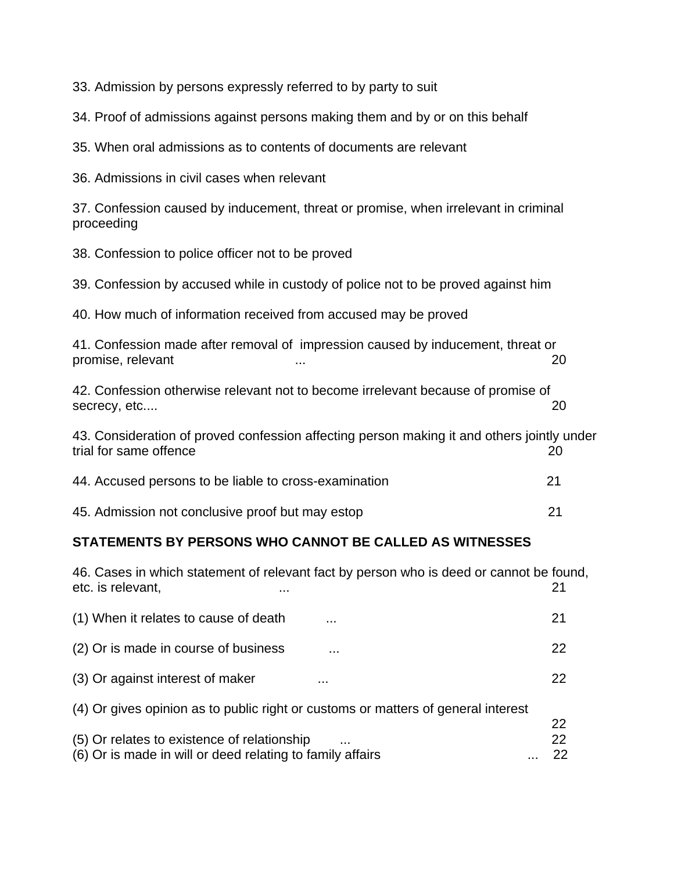33. Admission by persons expressly referred to by party to suit

34. Proof of admissions against persons making them and by or on this behalf

35. When oral admissions as to contents of documents are relevant

36. Admissions in civil cases when relevant

37. Confession caused by inducement, threat or promise, when irrelevant in criminal proceeding

38. Confession to police officer not to be proved

39. Confession by accused while in custody of police not to be proved against him

40. How much of information received from accused may be proved

41. Confession made after removal of impression caused by inducement, threat or promise, relevant  $\ldots$  ...  $\ldots$  ... 20

42. Confession otherwise relevant not to become irrelevant because of promise of secrecy, etc.... 20

43. Consideration of proved confession affecting person making it and others jointly under trial for same offence 20 and 20 and 20 and 20 and 20 and 20 and 20 and 20 and 20 and 20 and 20 and 20 and 20

| 44. Accused persons to be liable to cross-examination |  |
|-------------------------------------------------------|--|
|-------------------------------------------------------|--|

45. Admission not conclusive proof but may estop 21

#### **STATEMENTS BY PERSONS WHO CANNOT BE CALLED AS WITNESSES**

| 46. Cases in which statement of relevant fact by person who is deed or cannot be found,<br>etc. is relevant,<br>. | 21       |
|-------------------------------------------------------------------------------------------------------------------|----------|
| (1) When it relates to cause of death<br>.                                                                        | 21       |
| (2) Or is made in course of business<br>.                                                                         | 22       |
| (3) Or against interest of maker<br>.                                                                             | 22       |
| (4) Or gives opinion as to public right or customs or matters of general interest                                 |          |
| (5) Or relates to existence of relationship                                                                       | 22<br>22 |
| (6) Or is made in will or deed relating to family affairs                                                         | 22       |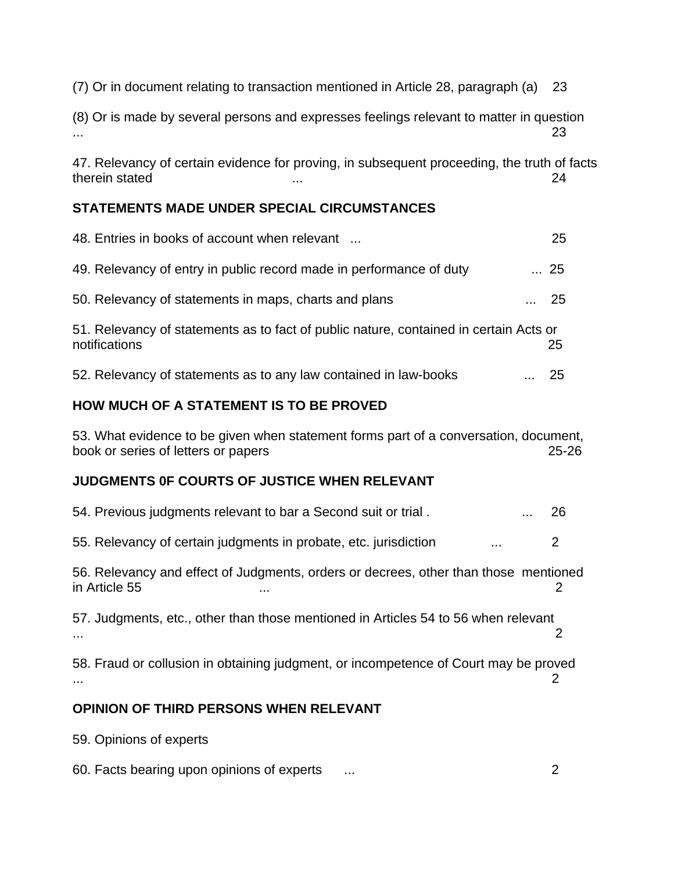(7) Or in document relating to transaction mentioned in Article 28, paragraph (a) 23

(8) Or is made by several persons and expresses feelings relevant to matter in question ... 23

47. Relevancy of certain evidence for proving, in subsequent proceeding, the truth of facts therein stated **24** and 24 and 24 and 25 and 26 and 26 and 26 and 26 and 26 and 26 and 26 and 26 and 26 and 26 and 26 and 26 and 26 and 26 and 26 and 26 and 26 and 26 and 26 and 26 and 26 and 26 and 26 and 26 and 26 and 26

#### **STATEMENTS MADE UNDER SPECIAL CIRCUMSTANCES**

| 48. Entries in books of account when relevant                                                          | 25          |
|--------------------------------------------------------------------------------------------------------|-------------|
| 49. Relevancy of entry in public record made in performance of duty                                    | 25          |
| 50. Relevancy of statements in maps, charts and plans                                                  | $\ldots$ 25 |
| 51. Relevancy of statements as to fact of public nature, contained in certain Acts or<br>notifications | 25          |
| 52. Relevancy of statements as to any law contained in law-books<br>$\cdots$                           | 25          |

#### **HOW MUCH OF A STATEMENT IS TO BE PROVED**

53. What evidence to be given when statement forms part of a conversation, document, book or series of letters or papers 25-26

#### **JUDGMENTS 0F COURTS OF JUSTICE WHEN RELEVANT**

| ODINION OF THIDD BEDSONS WHEN DELEVANT                                                                     |    |
|------------------------------------------------------------------------------------------------------------|----|
| 58. Fraud or collusion in obtaining judgment, or incompetence of Court may be proved                       |    |
| 57. Judgments, etc., other than those mentioned in Articles 54 to 56 when relevant                         |    |
| 56. Relevancy and effect of Judgments, orders or decrees, other than those mentioned<br>in Article 55<br>. |    |
| 55. Relevancy of certain judgments in probate, etc. jurisdiction                                           | 2  |
| 54. Previous judgments relevant to bar a Second suit or trial.                                             | 26 |

#### **OPINION OF THIRD PERSONS WHEN RELEVANT**

59. Opinions of experts

60. Facts bearing upon opinions of experts ... 2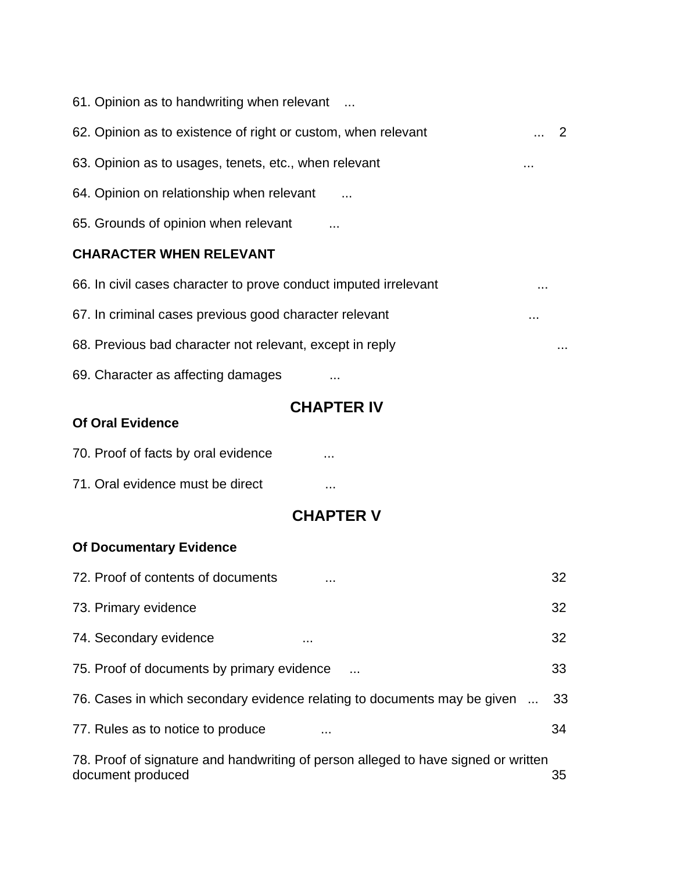| 61. Opinion as to handwriting when relevant                      |   |    |
|------------------------------------------------------------------|---|----|
| 62. Opinion as to existence of right or custom, when relevant    |   | -2 |
| 63. Opinion as to usages, tenets, etc., when relevant            | . |    |
| 64. Opinion on relationship when relevant                        |   |    |
| 65. Grounds of opinion when relevant                             |   |    |
| <b>CHARACTER WHEN RELEVANT</b>                                   |   |    |
| 66. In civil cases character to prove conduct imputed irrelevant | . |    |
| 67. In criminal cases previous good character relevant           | . |    |
| 68. Previous bad character not relevant, except in reply         |   | .  |

69. Character as affecting damages ...

### **CHAPTER IV**

#### **Of Oral Evidence**

| 70. Proof of facts by oral evidence |  |
|-------------------------------------|--|
|                                     |  |

71. Oral evidence must be direct ...

### **CHAPTER V**

### **Of Documentary Evidence**

| 72. Proof of contents of documents<br>.                                                                 | 32 |
|---------------------------------------------------------------------------------------------------------|----|
| 73. Primary evidence                                                                                    | 32 |
| 74. Secondary evidence                                                                                  | 32 |
| 75. Proof of documents by primary evidence                                                              | 33 |
| 76. Cases in which secondary evidence relating to documents may be given                                | 33 |
| 77. Rules as to notice to produce                                                                       | 34 |
| 78. Proof of signature and handwriting of person alleged to have signed or written<br>document produced | 35 |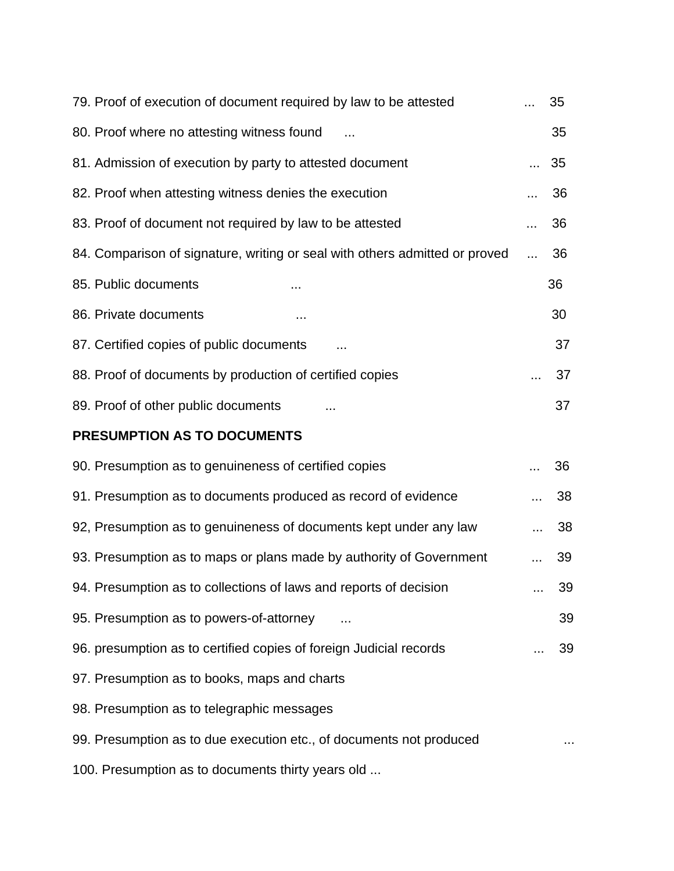| 79. Proof of execution of document required by law to be attested           | 35      |
|-----------------------------------------------------------------------------|---------|
| 80. Proof where no attesting witness found                                  | 35      |
| 81. Admission of execution by party to attested document                    | 35<br>. |
| 82. Proof when attesting witness denies the execution                       | 36      |
| 83. Proof of document not required by law to be attested                    | 36      |
| 84. Comparison of signature, writing or seal with others admitted or proved | 36      |
| 85. Public documents                                                        | 36      |
| 86. Private documents                                                       | 30      |
| 87. Certified copies of public documents                                    | 37      |
| 88. Proof of documents by production of certified copies                    | 37      |
| 89. Proof of other public documents                                         | 37      |
| PRESUMPTION AS TO DOCUMENTS                                                 |         |
| 90. Presumption as to genuineness of certified copies                       | 36      |
| 91. Presumption as to documents produced as record of evidence              | 38      |
| 92, Presumption as to genuineness of documents kept under any law           | 38      |
| 93. Presumption as to maps or plans made by authority of Government         | 39      |
| 94. Presumption as to collections of laws and reports of decision           | 39      |
| 95. Presumption as to powers-of-attorney                                    | 39      |
| 96. presumption as to certified copies of foreign Judicial records          | 39      |
| 97. Presumption as to books, maps and charts                                |         |
| 98. Presumption as to telegraphic messages                                  |         |
| 99. Presumption as to due execution etc., of documents not produced         |         |
| 100. Presumption as to documents thirty years old                           |         |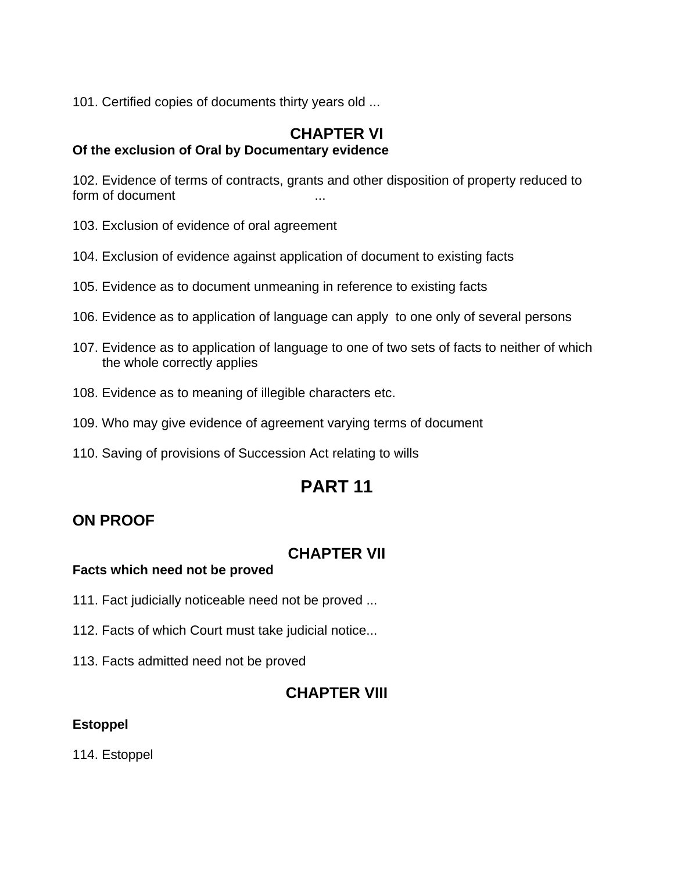101. Certified copies of documents thirty years old ...

# **CHAPTER VI**

### **Of the exclusion of Oral by Documentary evidence**

102. Evidence of terms of contracts, grants and other disposition of property reduced to form of document

- 103. Exclusion of evidence of oral agreement
- 104. Exclusion of evidence against application of document to existing facts
- 105. Evidence as to document unmeaning in reference to existing facts
- 106. Evidence as to application of language can apply to one only of several persons
- 107. Evidence as to application of language to one of two sets of facts to neither of which the whole correctly applies
- 108. Evidence as to meaning of illegible characters etc.
- 109. Who may give evidence of agreement varying terms of document
- 110. Saving of provisions of Succession Act relating to wills

# **PART 11**

### **ON PROOF**

### **CHAPTER VII**

#### **Facts which need not be proved**

- 111. Fact judicially noticeable need not be proved ...
- 112. Facts of which Court must take judicial notice...
- 113. Facts admitted need not be proved

### **CHAPTER VIII**

#### **Estoppel**

114. Estoppel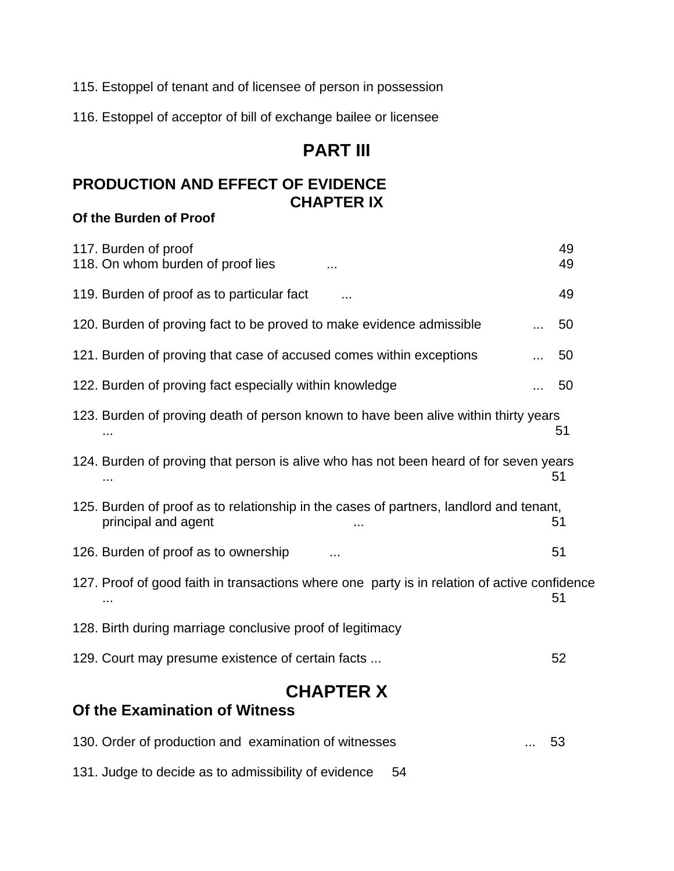115. Estoppel of tenant and of licensee of person in possession

116. Estoppel of acceptor of bill of exchange bailee or licensee

### **PART III**

### **PRODUCTION AND EFFECT OF EVIDENCE CHAPTER IX**

#### **Of the Burden of Proof**

| <b>CHAPTER X</b><br><b>Of the Examination of Witness</b>                                                      |  |          |  |
|---------------------------------------------------------------------------------------------------------------|--|----------|--|
| 129. Court may presume existence of certain facts                                                             |  | 52       |  |
| 128. Birth during marriage conclusive proof of legitimacy                                                     |  |          |  |
| 127. Proof of good faith in transactions where one party is in relation of active confidence                  |  | 51       |  |
| 126. Burden of proof as to ownership<br>$\cdots$                                                              |  | 51       |  |
| 125. Burden of proof as to relationship in the cases of partners, landlord and tenant,<br>principal and agent |  | 51       |  |
| 124. Burden of proving that person is alive who has not been heard of for seven years                         |  | 51       |  |
| 123. Burden of proving death of person known to have been alive within thirty years                           |  | 51       |  |
| 122. Burden of proving fact especially within knowledge                                                       |  | 50       |  |
| 121. Burden of proving that case of accused comes within exceptions                                           |  | 50       |  |
| 120. Burden of proving fact to be proved to make evidence admissible                                          |  | 50       |  |
| 119. Burden of proof as to particular fact<br>$\cdots$                                                        |  | 49       |  |
| 117. Burden of proof<br>118. On whom burden of proof lies                                                     |  | 49<br>49 |  |

130. Order of production and examination of witnesses ... 53 131. Judge to decide as to admissibility of evidence 54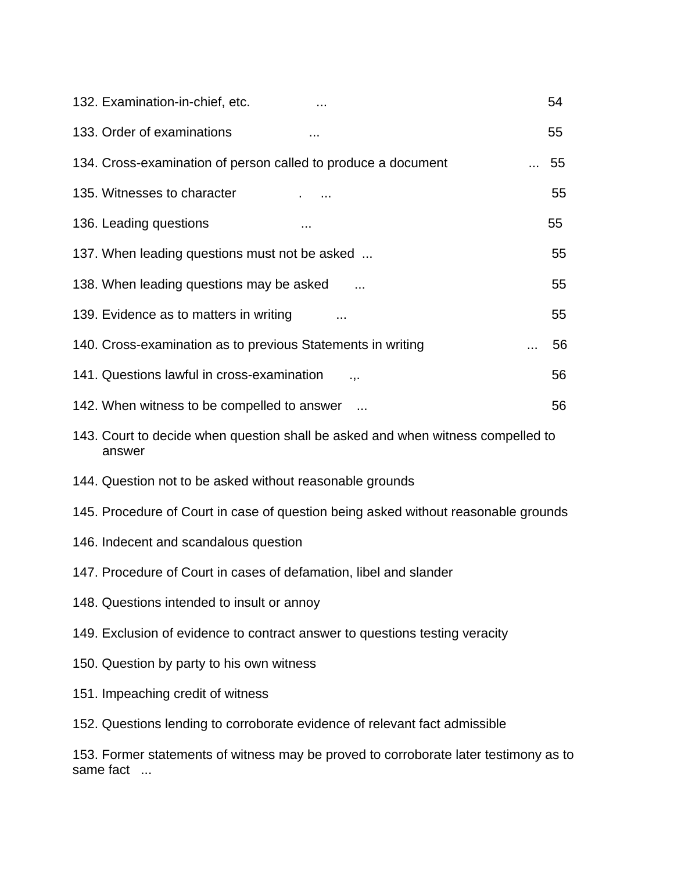| 132. Examination-in-chief, etc.                                                           | 54 |
|-------------------------------------------------------------------------------------------|----|
| 133. Order of examinations<br>$\cdots$                                                    | 55 |
| 134. Cross-examination of person called to produce a document                             | 55 |
| 135. Witnesses to character                                                               | 55 |
| 136. Leading questions                                                                    | 55 |
| 137. When leading questions must not be asked                                             | 55 |
| 138. When leading questions may be asked                                                  | 55 |
| 139. Evidence as to matters in writing                                                    | 55 |
| 140. Cross-examination as to previous Statements in writing                               | 56 |
| 141. Questions lawful in cross-examination<br>.,.                                         | 56 |
| 142. When witness to be compelled to answer                                               | 56 |
| 143. Court to decide when question shall be asked and when witness compelled to<br>answer |    |
| 144. Question not to be asked without reasonable grounds                                  |    |
| 145. Procedure of Court in case of question being asked without reasonable grounds        |    |
| 146. Indecent and scandalous question                                                     |    |
| 147. Procedure of Court in cases of defamation, libel and slander                         |    |
| 148. Questions intended to insult or annoy                                                |    |
| 149. Exclusion of evidence to contract answer to questions testing veracity               |    |
| 150. Question by party to his own witness                                                 |    |
| 151. Impeaching credit of witness                                                         |    |
| 152. Questions lending to corroborate evidence of relevant fact admissible                |    |
| 153. Former statements of witness may be proved to corroborate later testimony as to      |    |

same fact ...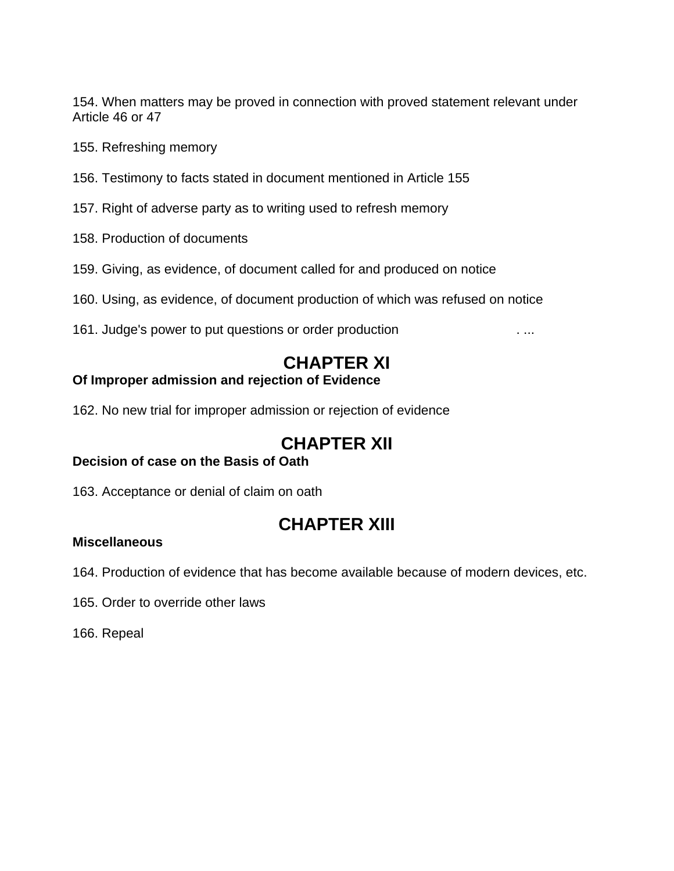154. When matters may be proved in connection with proved statement relevant under Article 46 or 47

- 155. Refreshing memory
- 156. Testimony to facts stated in document mentioned in Article 155
- 157. Right of adverse party as to writing used to refresh memory
- 158. Production of documents
- 159. Giving, as evidence, of document called for and produced on notice
- 160. Using, as evidence, of document production of which was refused on notice
- 161. Judge's power to put questions or order production . ...

### **CHAPTER XI**

#### **Of Improper admission and rejection of Evidence**

162. No new trial for improper admission or rejection of evidence

### **CHAPTER XII**

#### **Decision of case on the Basis of Oath**

163. Acceptance or denial of claim on oath

# **CHAPTER XIII**

#### **Miscellaneous**

164. Production of evidence that has become available because of modern devices, etc.

165. Order to override other laws

166. Repeal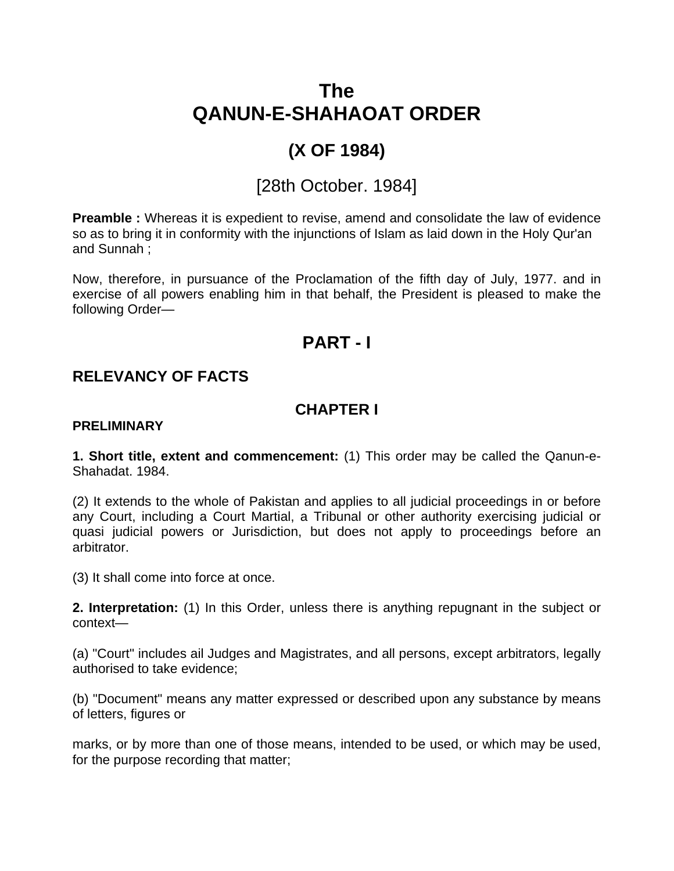# **The QANUN-E-SHAHAOAT ORDER**

# **(X OF 1984)**

# [28th October. 1984]

**Preamble :** Whereas it is expedient to revise, amend and consolidate the law of evidence so as to bring it in conformity with the injunctions of Islam as laid down in the Holy Qur'an and Sunnah ;

Now, therefore, in pursuance of the Proclamation of the fifth day of July, 1977. and in exercise of all powers enabling him in that behalf, the President is pleased to make the following Order—

### **PART - I**

### **RELEVANCY OF FACTS**

### **CHAPTER I**

#### **PRELIMINARY**

**1. Short title, extent and commencement:** (1) This order may be called the Qanun-e-Shahadat. 1984.

(2) It extends to the whole of Pakistan and applies to all judicial proceedings in or before any Court, including a Court Martial, a Tribunal or other authority exercising judicial or quasi judicial powers or Jurisdiction, but does not apply to proceedings before an arbitrator.

(3) It shall come into force at once.

**2. Interpretation:** (1) In this Order, unless there is anything repugnant in the subject or context—

(a) "Court" includes ail Judges and Magistrates, and all persons, except arbitrators, legally authorised to take evidence;

(b) "Document" means any matter expressed or described upon any substance by means of letters, figures or

marks, or by more than one of those means, intended to be used, or which may be used, for the purpose recording that matter;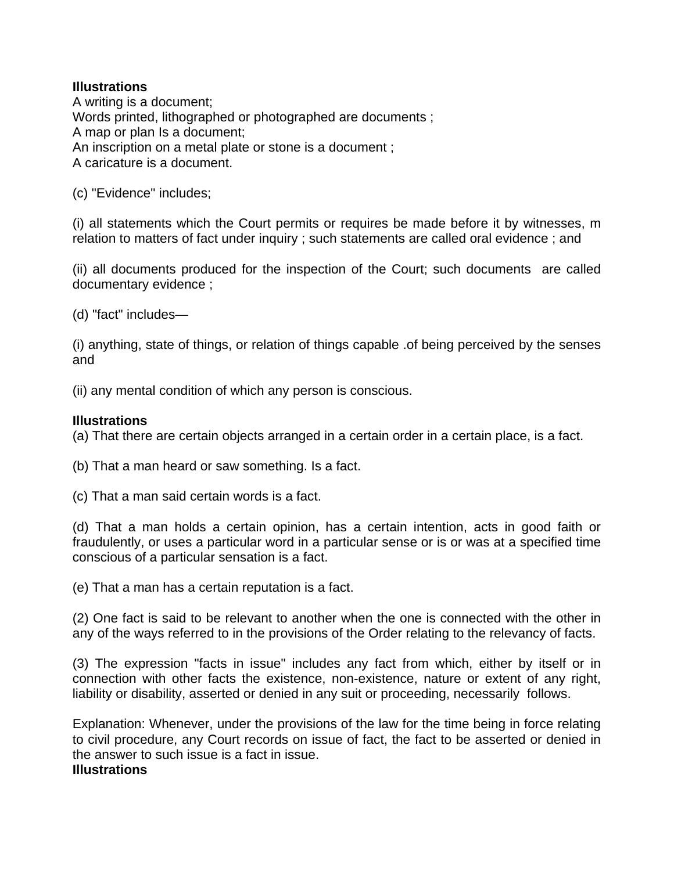#### **Illustrations**

A writing is a document; Words printed, lithographed or photographed are documents ; A map or plan Is a document; An inscription on a metal plate or stone is a document ; A caricature is a document.

(c) "Evidence" includes;

(i) all statements which the Court permits or requires be made before it by witnesses, m relation to matters of fact under inquiry ; such statements are called oral evidence ; and

(ii) all documents produced for the inspection of the Court; such documents are called documentary evidence ;

(d) "fact" includes—

(i) anything, state of things, or relation of things capable .of being perceived by the senses and

(ii) any mental condition of which any person is conscious.

#### **Illustrations**

(a) That there are certain objects arranged in a certain order in a certain place, is a fact.

(b) That a man heard or saw something. Is a fact.

(c) That a man said certain words is a fact.

(d) That a man holds a certain opinion, has a certain intention, acts in good faith or fraudulently, or uses a particular word in a particular sense or is or was at a specified time conscious of a particular sensation is a fact.

(e) That a man has a certain reputation is a fact.

(2) One fact is said to be relevant to another when the one is connected with the other in any of the ways referred to in the provisions of the Order relating to the relevancy of facts.

(3) The expression "facts in issue" includes any fact from which, either by itself or in connection with other facts the existence, non-existence, nature or extent of any right, liability or disability, asserted or denied in any suit or proceeding, necessarily follows.

Explanation: Whenever, under the provisions of the law for the time being in force relating to civil procedure, any Court records on issue of fact, the fact to be asserted or denied in the answer to such issue is a fact in issue.

#### **Illustrations**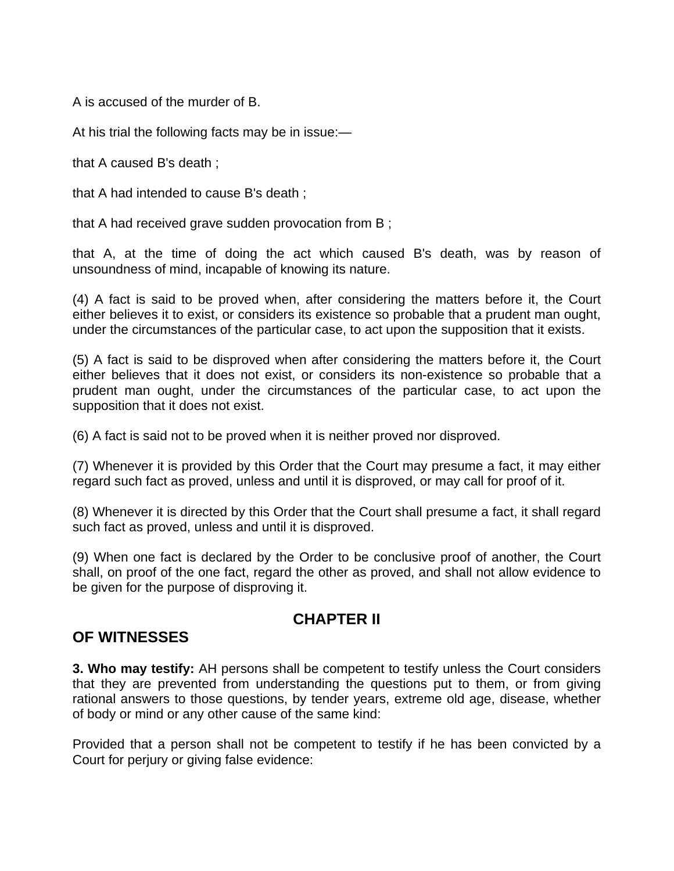A is accused of the murder of B.

At his trial the following facts may be in issue:—

that A caused B's death ;

that A had intended to cause B's death ;

that A had received grave sudden provocation from B ;

that A, at the time of doing the act which caused B's death, was by reason of unsoundness of mind, incapable of knowing its nature.

(4) A fact is said to be proved when, after considering the matters before it, the Court either believes it to exist, or considers its existence so probable that a prudent man ought, under the circumstances of the particular case, to act upon the supposition that it exists.

(5) A fact is said to be disproved when after considering the matters before it, the Court either believes that it does not exist, or considers its non-existence so probable that a prudent man ought, under the circumstances of the particular case, to act upon the supposition that it does not exist.

(6) A fact is said not to be proved when it is neither proved nor disproved.

(7) Whenever it is provided by this Order that the Court may presume a fact, it may either regard such fact as proved, unless and until it is disproved, or may call for proof of it.

(8) Whenever it is directed by this Order that the Court shall presume a fact, it shall regard such fact as proved, unless and until it is disproved.

(9) When one fact is declared by the Order to be conclusive proof of another, the Court shall, on proof of the one fact, regard the other as proved, and shall not allow evidence to be given for the purpose of disproving it.

### **CHAPTER II**

### **OF WITNESSES**

**3. Who may testify:** AH persons shall be competent to testify unless the Court considers that they are prevented from understanding the questions put to them, or from giving rational answers to those questions, by tender years, extreme old age, disease, whether of body or mind or any other cause of the same kind:

Provided that a person shall not be competent to testify if he has been convicted by a Court for perjury or giving false evidence: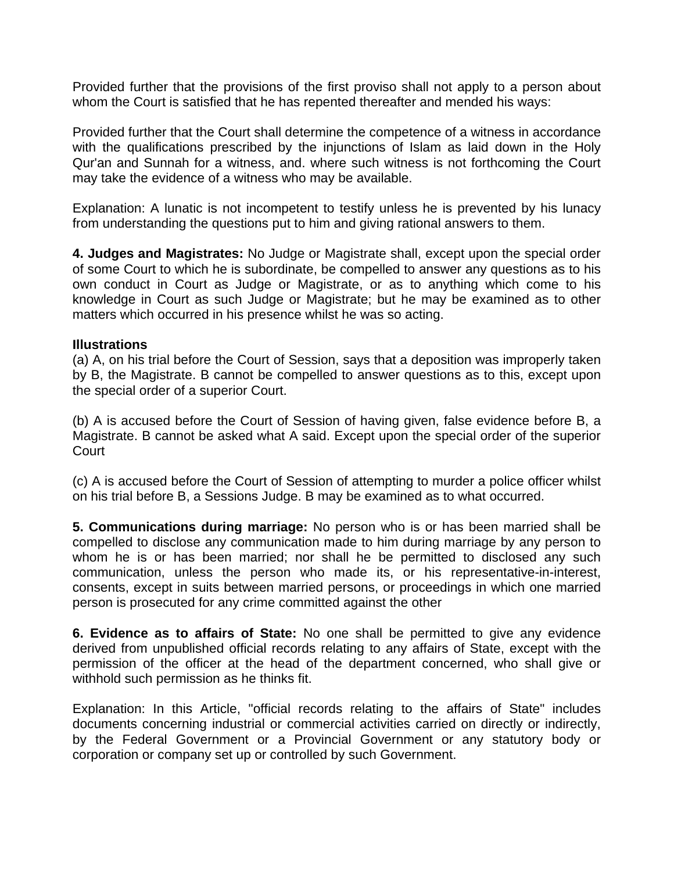Provided further that the provisions of the first proviso shall not apply to a person about whom the Court is satisfied that he has repented thereafter and mended his ways:

Provided further that the Court shall determine the competence of a witness in accordance with the qualifications prescribed by the injunctions of Islam as laid down in the Holy Qur'an and Sunnah for a witness, and. where such witness is not forthcoming the Court may take the evidence of a witness who may be available.

Explanation: A lunatic is not incompetent to testify unless he is prevented by his lunacy from understanding the questions put to him and giving rational answers to them.

**4. Judges and Magistrates:** No Judge or Magistrate shall, except upon the special order of some Court to which he is subordinate, be compelled to answer any questions as to his own conduct in Court as Judge or Magistrate, or as to anything which come to his knowledge in Court as such Judge or Magistrate; but he may be examined as to other matters which occurred in his presence whilst he was so acting.

#### **Illustrations**

(a) A, on his trial before the Court of Session, says that a deposition was improperly taken by B, the Magistrate. B cannot be compelled to answer questions as to this, except upon the special order of a superior Court.

(b) A is accused before the Court of Session of having given, false evidence before B, a Magistrate. B cannot be asked what A said. Except upon the special order of the superior Court

(c) A is accused before the Court of Session of attempting to murder a police officer whilst on his trial before B, a Sessions Judge. B may be examined as to what occurred.

**5. Communications during marriage:** No person who is or has been married shall be compelled to disclose any communication made to him during marriage by any person to whom he is or has been married; nor shall he be permitted to disclosed any such communication, unless the person who made its, or his representative-in-interest, consents, except in suits between married persons, or proceedings in which one married person is prosecuted for any crime committed against the other

**6. Evidence as to affairs of State:** No one shall be permitted to give any evidence derived from unpublished official records relating to any affairs of State, except with the permission of the officer at the head of the department concerned, who shall give or withhold such permission as he thinks fit.

Explanation: In this Article, "official records relating to the affairs of State" includes documents concerning industrial or commercial activities carried on directly or indirectly, by the Federal Government or a Provincial Government or any statutory body or corporation or company set up or controlled by such Government.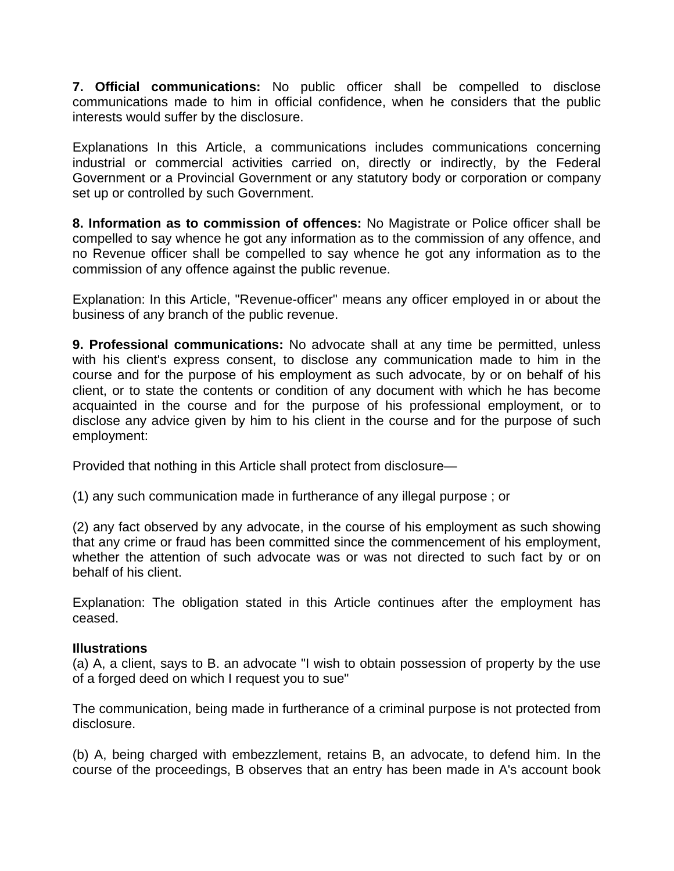**7. Official communications:** No public officer shall be compelled to disclose communications made to him in official confidence, when he considers that the public interests would suffer by the disclosure.

Explanations In this Article, a communications includes communications concerning industrial or commercial activities carried on, directly or indirectly, by the Federal Government or a Provincial Government or any statutory body or corporation or company set up or controlled by such Government.

**8. Information as to commission of offences:** No Magistrate or Police officer shall be compelled to say whence he got any information as to the commission of any offence, and no Revenue officer shall be compelled to say whence he got any information as to the commission of any offence against the public revenue.

Explanation: In this Article, "Revenue-officer" means any officer employed in or about the business of any branch of the public revenue.

**9. Professional communications:** No advocate shall at any time be permitted, unless with his client's express consent, to disclose any communication made to him in the course and for the purpose of his employment as such advocate, by or on behalf of his client, or to state the contents or condition of any document with which he has become acquainted in the course and for the purpose of his professional employment, or to disclose any advice given by him to his client in the course and for the purpose of such employment:

Provided that nothing in this Article shall protect from disclosure—

(1) any such communication made in furtherance of any illegal purpose ; or

(2) any fact observed by any advocate, in the course of his employment as such showing that any crime or fraud has been committed since the commencement of his employment, whether the attention of such advocate was or was not directed to such fact by or on behalf of his client.

Explanation: The obligation stated in this Article continues after the employment has ceased.

#### **Illustrations**

(a) A, a client, says to B. an advocate "I wish to obtain possession of property by the use of a forged deed on which I request you to sue"

The communication, being made in furtherance of a criminal purpose is not protected from disclosure.

(b) A, being charged with embezzlement, retains B, an advocate, to defend him. In the course of the proceedings, B observes that an entry has been made in A's account book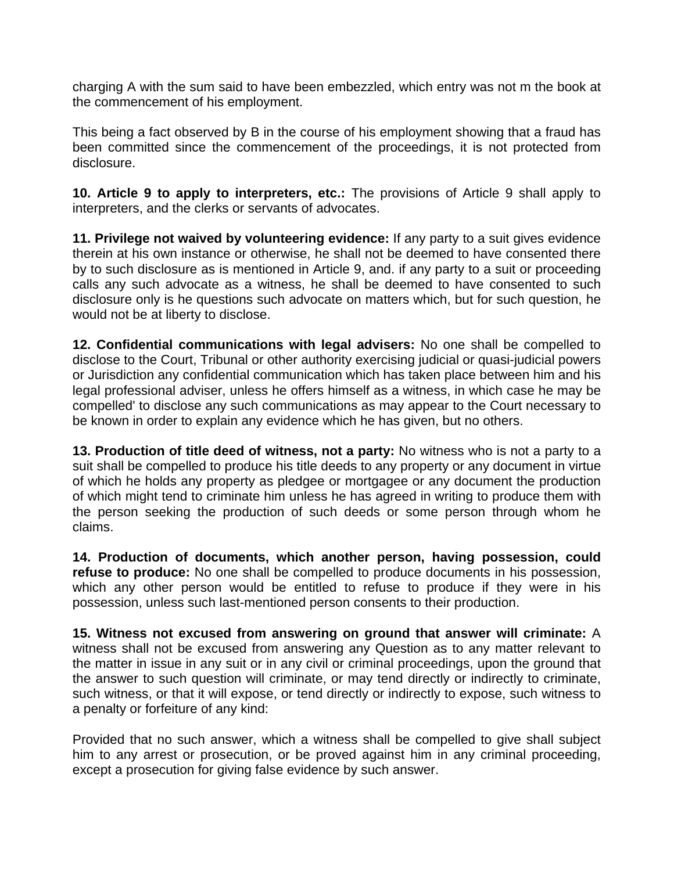charging A with the sum said to have been embezzled, which entry was not m the book at the commencement of his employment.

This being a fact observed by B in the course of his employment showing that a fraud has been committed since the commencement of the proceedings, it is not protected from disclosure.

**10. Article 9 to apply to interpreters, etc.:** The provisions of Article 9 shall apply to interpreters, and the clerks or servants of advocates.

**11. Privilege not waived by volunteering evidence:** If any party to a suit gives evidence therein at his own instance or otherwise, he shall not be deemed to have consented there by to such disclosure as is mentioned in Article 9, and. if any party to a suit or proceeding calls any such advocate as a witness, he shall be deemed to have consented to such disclosure only is he questions such advocate on matters which, but for such question, he would not be at liberty to disclose.

**12. Confidential communications with legal advisers:** No one shall be compelled to disclose to the Court, Tribunal or other authority exercising judicial or quasi-judicial powers or Jurisdiction any confidential communication which has taken place between him and his legal professional adviser, unless he offers himself as a witness, in which case he may be compelled' to disclose any such communications as may appear to the Court necessary to be known in order to explain any evidence which he has given, but no others.

**13. Production of title deed of witness, not a party:** No witness who is not a party to a suit shall be compelled to produce his title deeds to any property or any document in virtue of which he holds any property as pledgee or mortgagee or any document the production of which might tend to criminate him unless he has agreed in writing to produce them with the person seeking the production of such deeds or some person through whom he claims.

**14. Production of documents, which another person, having possession, could refuse to produce:** No one shall be compelled to produce documents in his possession, which any other person would be entitled to refuse to produce if they were in his possession, unless such last-mentioned person consents to their production.

**15. Witness not excused from answering on ground that answer will criminate:** A witness shall not be excused from answering any Question as to any matter relevant to the matter in issue in any suit or in any civil or criminal proceedings, upon the ground that the answer to such question will criminate, or may tend directly or indirectly to criminate, such witness, or that it will expose, or tend directly or indirectly to expose, such witness to a penalty or forfeiture of any kind:

Provided that no such answer, which a witness shall be compelled to give shall subject him to any arrest or prosecution, or be proved against him in any criminal proceeding, except a prosecution for giving false evidence by such answer.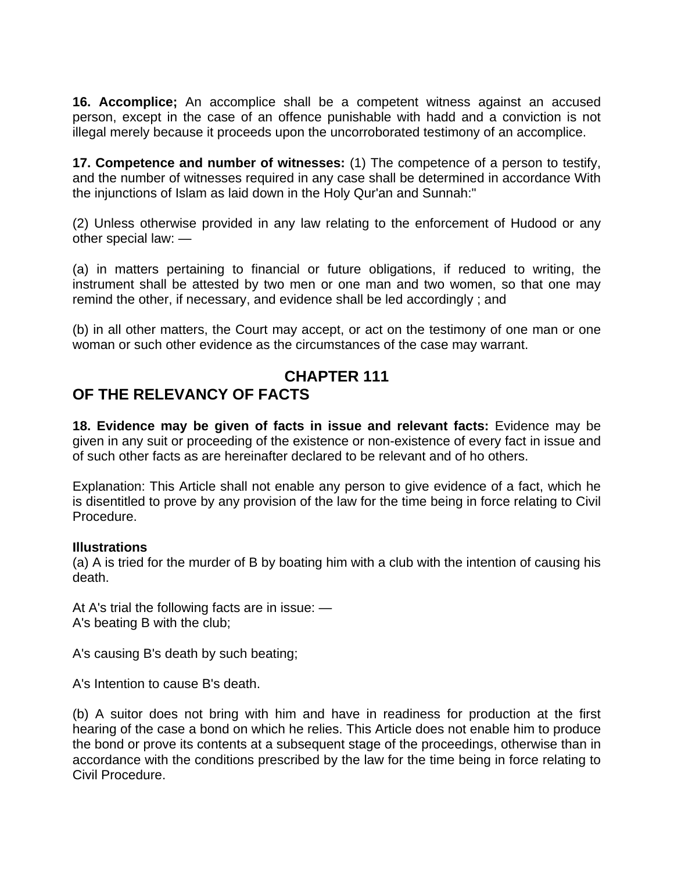**16. Accomplice;** An accomplice shall be a competent witness against an accused person, except in the case of an offence punishable with hadd and a conviction is not illegal merely because it proceeds upon the uncorroborated testimony of an accomplice.

**17. Competence and number of witnesses:** (1) The competence of a person to testify, and the number of witnesses required in any case shall be determined in accordance With the injunctions of Islam as laid down in the Holy Qur'an and Sunnah:"

(2) Unless otherwise provided in any law relating to the enforcement of Hudood or any other special law: —

(a) in matters pertaining to financial or future obligations, if reduced to writing, the instrument shall be attested by two men or one man and two women, so that one may remind the other, if necessary, and evidence shall be led accordingly ; and

(b) in all other matters, the Court may accept, or act on the testimony of one man or one woman or such other evidence as the circumstances of the case may warrant.

# **CHAPTER 111**

### **OF THE RELEVANCY OF FACTS**

**18. Evidence may be given of facts in issue and relevant facts:** Evidence may be given in any suit or proceeding of the existence or non-existence of every fact in issue and of such other facts as are hereinafter declared to be relevant and of ho others.

Explanation: This Article shall not enable any person to give evidence of a fact, which he is disentitled to prove by any provision of the law for the time being in force relating to Civil Procedure.

#### **Illustrations**

(a) A is tried for the murder of B by boating him with a club with the intention of causing his death.

At A's trial the following facts are in issue: — A's beating B with the club;

A's causing B's death by such beating;

A's Intention to cause B's death.

(b) A suitor does not bring with him and have in readiness for production at the first hearing of the case a bond on which he relies. This Article does not enable him to produce the bond or prove its contents at a subsequent stage of the proceedings, otherwise than in accordance with the conditions prescribed by the law for the time being in force relating to Civil Procedure.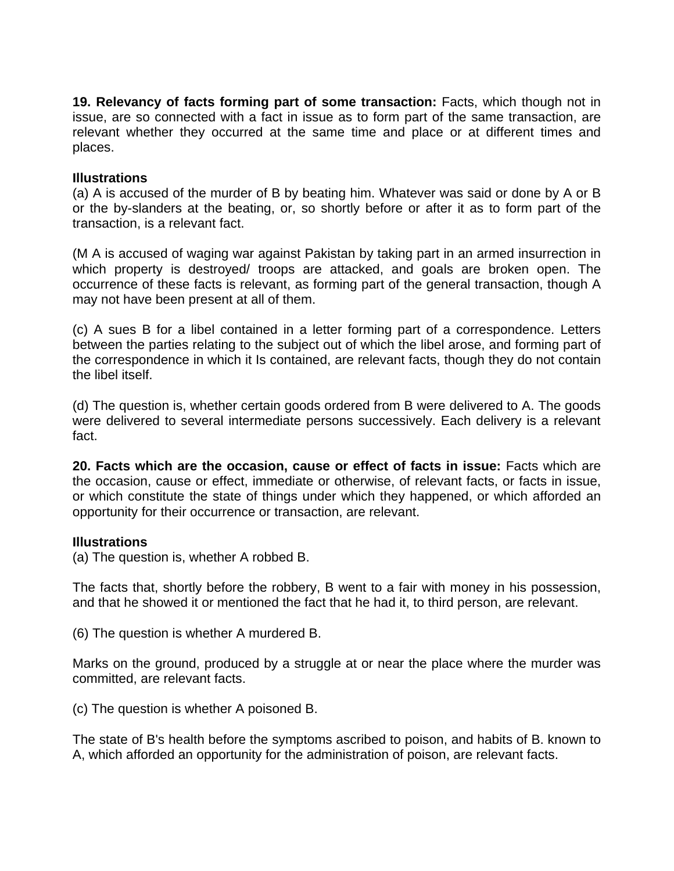**19. Relevancy of facts forming part of some transaction:** Facts, which though not in issue, are so connected with a fact in issue as to form part of the same transaction, are relevant whether they occurred at the same time and place or at different times and places.

#### **Illustrations**

(a) A is accused of the murder of B by beating him. Whatever was said or done by A or B or the by-slanders at the beating, or, so shortly before or after it as to form part of the transaction, is a relevant fact.

(M A is accused of waging war against Pakistan by taking part in an armed insurrection in which property is destroyed/ troops are attacked, and goals are broken open. The occurrence of these facts is relevant, as forming part of the general transaction, though A may not have been present at all of them.

(c) A sues B for a libel contained in a letter forming part of a correspondence. Letters between the parties relating to the subject out of which the libel arose, and forming part of the correspondence in which it Is contained, are relevant facts, though they do not contain the libel itself.

(d) The question is, whether certain goods ordered from B were delivered to A. The goods were delivered to several intermediate persons successively. Each delivery is a relevant fact.

**20. Facts which are the occasion, cause or effect of facts in issue:** Facts which are the occasion, cause or effect, immediate or otherwise, of relevant facts, or facts in issue, or which constitute the state of things under which they happened, or which afforded an opportunity for their occurrence or transaction, are relevant.

#### **Illustrations**

(a) The question is, whether A robbed B.

The facts that, shortly before the robbery, B went to a fair with money in his possession, and that he showed it or mentioned the fact that he had it, to third person, are relevant.

(6) The question is whether A murdered B.

Marks on the ground, produced by a struggle at or near the place where the murder was committed, are relevant facts.

(c) The question is whether A poisoned B.

The state of B's health before the symptoms ascribed to poison, and habits of B. known to A, which afforded an opportunity for the administration of poison, are relevant facts.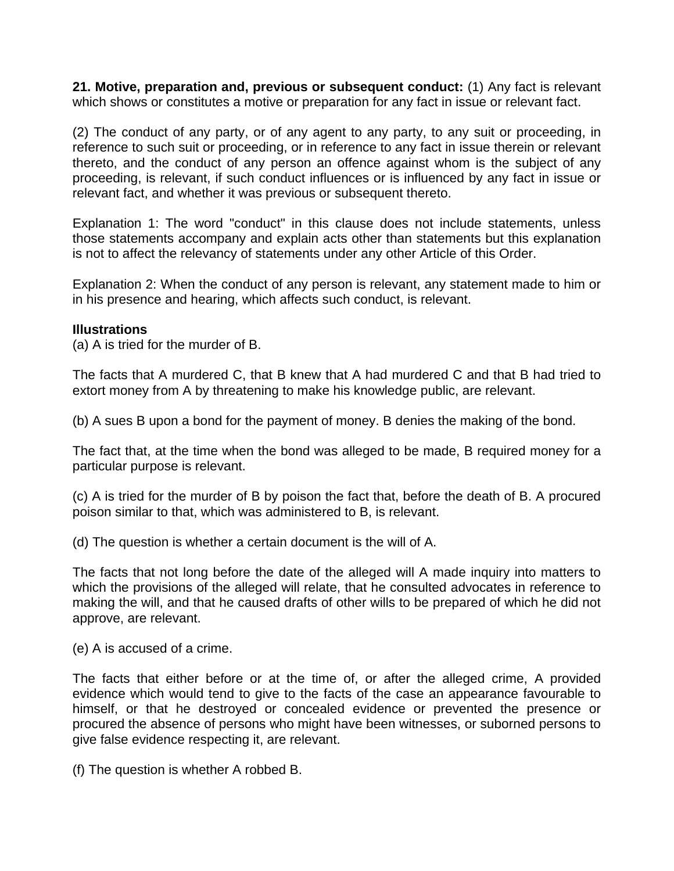**21. Motive, preparation and, previous or subsequent conduct:** (1) Any fact is relevant which shows or constitutes a motive or preparation for any fact in issue or relevant fact.

(2) The conduct of any party, or of any agent to any party, to any suit or proceeding, in reference to such suit or proceeding, or in reference to any fact in issue therein or relevant thereto, and the conduct of any person an offence against whom is the subject of any proceeding, is relevant, if such conduct influences or is influenced by any fact in issue or relevant fact, and whether it was previous or subsequent thereto.

Explanation 1: The word "conduct" in this clause does not include statements, unless those statements accompany and explain acts other than statements but this explanation is not to affect the relevancy of statements under any other Article of this Order.

Explanation 2: When the conduct of any person is relevant, any statement made to him or in his presence and hearing, which affects such conduct, is relevant.

#### **Illustrations**

(a) A is tried for the murder of B.

The facts that A murdered C, that B knew that A had murdered C and that B had tried to extort money from A by threatening to make his knowledge public, are relevant.

(b) A sues B upon a bond for the payment of money. B denies the making of the bond.

The fact that, at the time when the bond was alleged to be made, B required money for a particular purpose is relevant.

(c) A is tried for the murder of B by poison the fact that, before the death of B. A procured poison similar to that, which was administered to B, is relevant.

(d) The question is whether a certain document is the will of A.

The facts that not long before the date of the alleged will A made inquiry into matters to which the provisions of the alleged will relate, that he consulted advocates in reference to making the will, and that he caused drafts of other wills to be prepared of which he did not approve, are relevant.

(e) A is accused of a crime.

The facts that either before or at the time of, or after the alleged crime, A provided evidence which would tend to give to the facts of the case an appearance favourable to himself, or that he destroyed or concealed evidence or prevented the presence or procured the absence of persons who might have been witnesses, or suborned persons to give false evidence respecting it, are relevant.

(f) The question is whether A robbed B.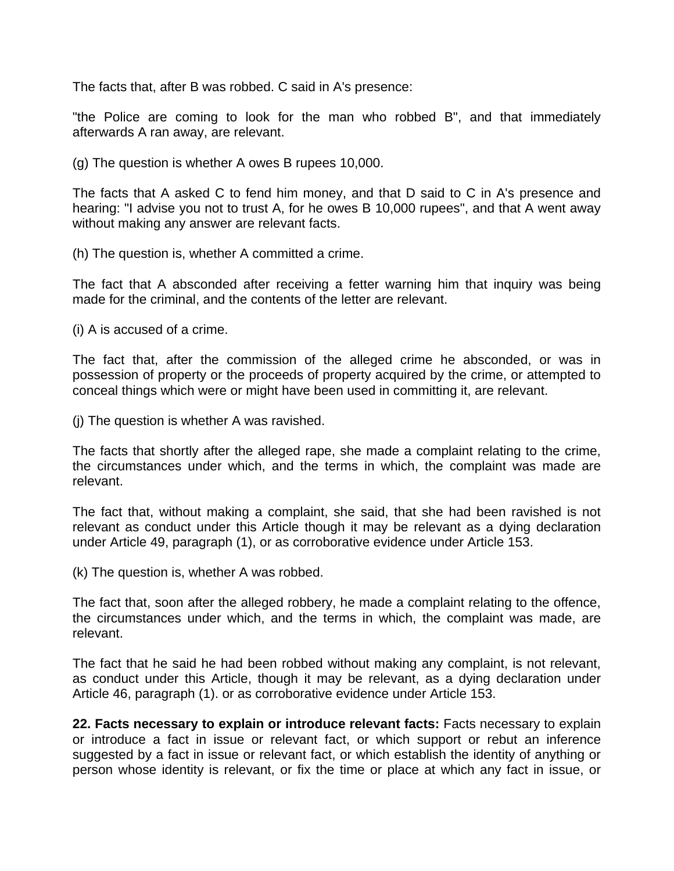The facts that, after B was robbed. C said in A's presence:

"the Police are coming to look for the man who robbed B", and that immediately afterwards A ran away, are relevant.

(g) The question is whether A owes B rupees 10,000.

The facts that A asked C to fend him money, and that D said to C in A's presence and hearing: "I advise you not to trust A, for he owes B 10,000 rupees", and that A went away without making any answer are relevant facts.

(h) The question is, whether A committed a crime.

The fact that A absconded after receiving a fetter warning him that inquiry was being made for the criminal, and the contents of the letter are relevant.

(i) A is accused of a crime.

The fact that, after the commission of the alleged crime he absconded, or was in possession of property or the proceeds of property acquired by the crime, or attempted to conceal things which were or might have been used in committing it, are relevant.

(j) The question is whether A was ravished.

The facts that shortly after the alleged rape, she made a complaint relating to the crime, the circumstances under which, and the terms in which, the complaint was made are relevant.

The fact that, without making a complaint, she said, that she had been ravished is not relevant as conduct under this Article though it may be relevant as a dying declaration under Article 49, paragraph (1), or as corroborative evidence under Article 153.

(k) The question is, whether A was robbed.

The fact that, soon after the alleged robbery, he made a complaint relating to the offence, the circumstances under which, and the terms in which, the complaint was made, are relevant.

The fact that he said he had been robbed without making any complaint, is not relevant, as conduct under this Article, though it may be relevant, as a dying declaration under Article 46, paragraph (1). or as corroborative evidence under Article 153.

**22. Facts necessary to explain or introduce relevant facts:** Facts necessary to explain or introduce a fact in issue or relevant fact, or which support or rebut an inference suggested by a fact in issue or relevant fact, or which establish the identity of anything or person whose identity is relevant, or fix the time or place at which any fact in issue, or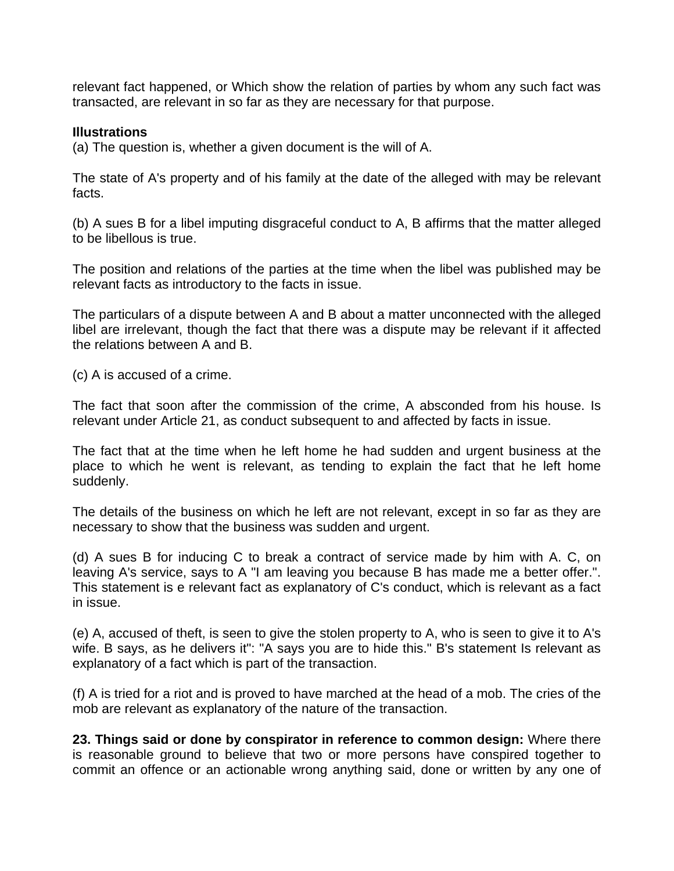relevant fact happened, or Which show the relation of parties by whom any such fact was transacted, are relevant in so far as they are necessary for that purpose.

#### **Illustrations**

(a) The question is, whether a given document is the will of A.

The state of A's property and of his family at the date of the alleged with may be relevant facts.

(b) A sues B for a libel imputing disgraceful conduct to A, B affirms that the matter alleged to be libellous is true.

The position and relations of the parties at the time when the libel was published may be relevant facts as introductory to the facts in issue.

The particulars of a dispute between A and B about a matter unconnected with the alleged libel are irrelevant, though the fact that there was a dispute may be relevant if it affected the relations between A and B.

(c) A is accused of a crime.

The fact that soon after the commission of the crime, A absconded from his house. Is relevant under Article 21, as conduct subsequent to and affected by facts in issue.

The fact that at the time when he left home he had sudden and urgent business at the place to which he went is relevant, as tending to explain the fact that he left home suddenly.

The details of the business on which he left are not relevant, except in so far as they are necessary to show that the business was sudden and urgent.

(d) A sues B for inducing C to break a contract of service made by him with A. C, on leaving A's service, says to A "I am leaving you because B has made me a better offer.". This statement is e relevant fact as explanatory of C's conduct, which is relevant as a fact in issue.

(e) A, accused of theft, is seen to give the stolen property to A, who is seen to give it to A's wife. B says, as he delivers it": "A says you are to hide this." B's statement Is relevant as explanatory of a fact which is part of the transaction.

(f) A is tried for a riot and is proved to have marched at the head of a mob. The cries of the mob are relevant as explanatory of the nature of the transaction.

**23. Things said or done by conspirator in reference to common design:** Where there is reasonable ground to believe that two or more persons have conspired together to commit an offence or an actionable wrong anything said, done or written by any one of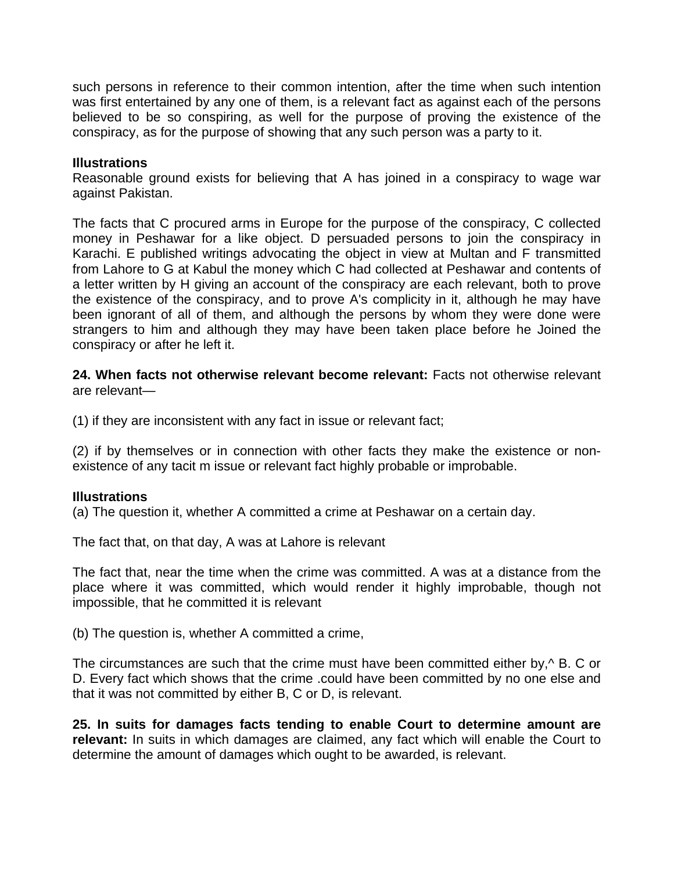such persons in reference to their common intention, after the time when such intention was first entertained by any one of them, is a relevant fact as against each of the persons believed to be so conspiring, as well for the purpose of proving the existence of the conspiracy, as for the purpose of showing that any such person was a party to it.

#### **Illustrations**

Reasonable ground exists for believing that A has joined in a conspiracy to wage war against Pakistan.

The facts that C procured arms in Europe for the purpose of the conspiracy, C collected money in Peshawar for a like object. D persuaded persons to join the conspiracy in Karachi. E published writings advocating the object in view at Multan and F transmitted from Lahore to G at Kabul the money which C had collected at Peshawar and contents of a letter written by H giving an account of the conspiracy are each relevant, both to prove the existence of the conspiracy, and to prove A's complicity in it, although he may have been ignorant of all of them, and although the persons by whom they were done were strangers to him and although they may have been taken place before he Joined the conspiracy or after he left it.

**24. When facts not otherwise relevant become relevant:** Facts not otherwise relevant are relevant—

(1) if they are inconsistent with any fact in issue or relevant fact;

(2) if by themselves or in connection with other facts they make the existence or nonexistence of any tacit m issue or relevant fact highly probable or improbable.

#### **Illustrations**

(a) The question it, whether A committed a crime at Peshawar on a certain day.

The fact that, on that day, A was at Lahore is relevant

The fact that, near the time when the crime was committed. A was at a distance from the place where it was committed, which would render it highly improbable, though not impossible, that he committed it is relevant

(b) The question is, whether A committed a crime,

The circumstances are such that the crime must have been committed either by,  $\sim$  B. C or D. Every fact which shows that the crime .could have been committed by no one else and that it was not committed by either B, C or D, is relevant.

**25. In suits for damages facts tending to enable Court to determine amount are relevant:** In suits in which damages are claimed, any fact which will enable the Court to determine the amount of damages which ought to be awarded, is relevant.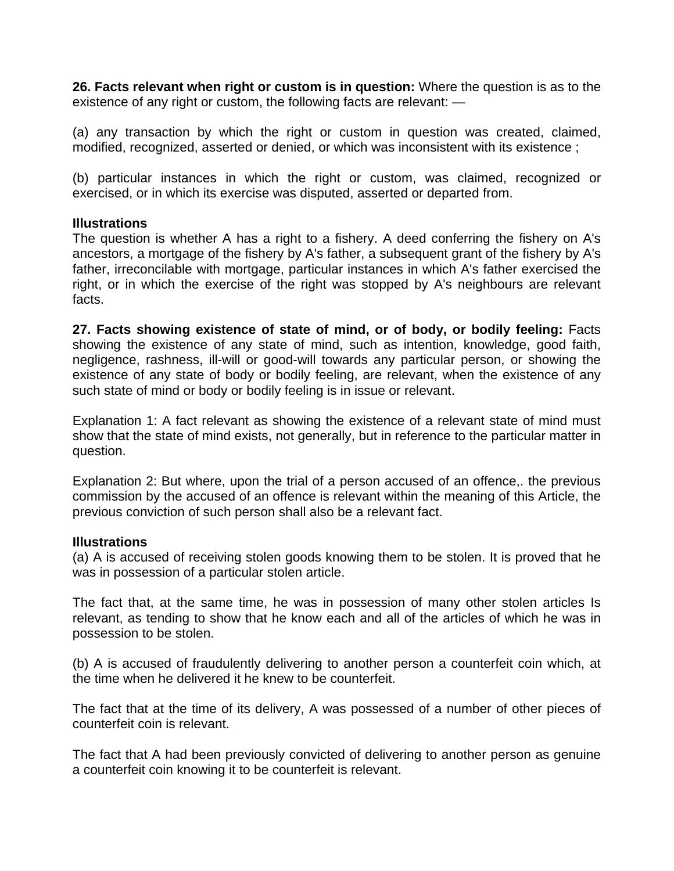**26. Facts relevant when right or custom is in question:** Where the question is as to the existence of any right or custom, the following facts are relevant: —

(a) any transaction by which the right or custom in question was created, claimed, modified, recognized, asserted or denied, or which was inconsistent with its existence ;

(b) particular instances in which the right or custom, was claimed, recognized or exercised, or in which its exercise was disputed, asserted or departed from.

#### **Illustrations**

The question is whether A has a right to a fishery. A deed conferring the fishery on A's ancestors, a mortgage of the fishery by A's father, a subsequent grant of the fishery by A's father, irreconcilable with mortgage, particular instances in which A's father exercised the right, or in which the exercise of the right was stopped by A's neighbours are relevant facts.

**27. Facts showing existence of state of mind, or of body, or bodily feeling:** Facts showing the existence of any state of mind, such as intention, knowledge, good faith, negligence, rashness, ill-will or good-will towards any particular person, or showing the existence of any state of body or bodily feeling, are relevant, when the existence of any such state of mind or body or bodily feeling is in issue or relevant.

Explanation 1: A fact relevant as showing the existence of a relevant state of mind must show that the state of mind exists, not generally, but in reference to the particular matter in question.

Explanation 2: But where, upon the trial of a person accused of an offence,. the previous commission by the accused of an offence is relevant within the meaning of this Article, the previous conviction of such person shall also be a relevant fact.

#### **Illustrations**

(a) A is accused of receiving stolen goods knowing them to be stolen. It is proved that he was in possession of a particular stolen article.

The fact that, at the same time, he was in possession of many other stolen articles Is relevant, as tending to show that he know each and all of the articles of which he was in possession to be stolen.

(b) A is accused of fraudulently delivering to another person a counterfeit coin which, at the time when he delivered it he knew to be counterfeit.

The fact that at the time of its delivery, A was possessed of a number of other pieces of counterfeit coin is relevant.

The fact that A had been previously convicted of delivering to another person as genuine a counterfeit coin knowing it to be counterfeit is relevant.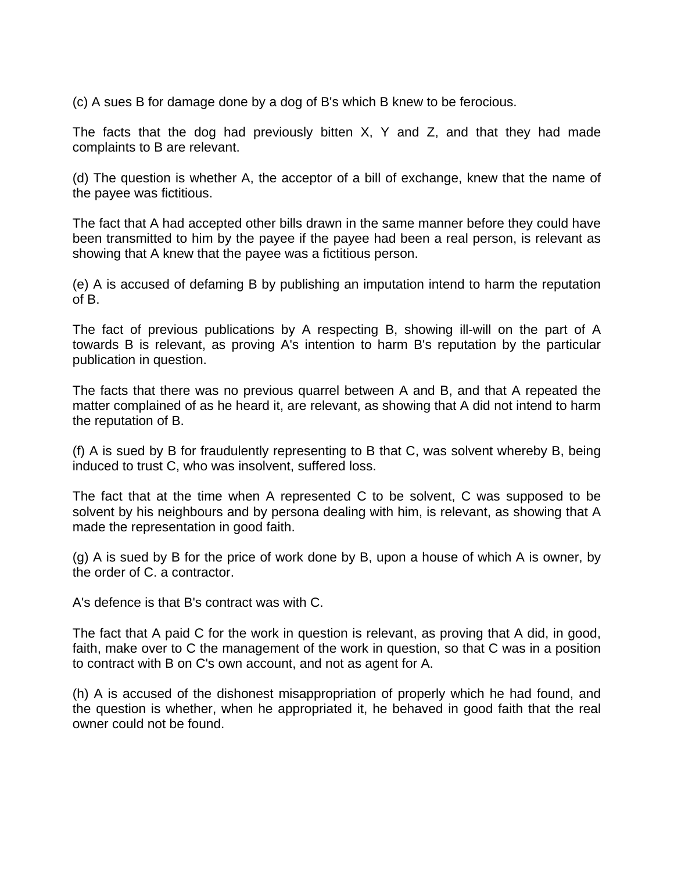(c) A sues B for damage done by a dog of B's which B knew to be ferocious.

The facts that the dog had previously bitten X, Y and Z, and that they had made complaints to B are relevant.

(d) The question is whether A, the acceptor of a bill of exchange, knew that the name of the payee was fictitious.

The fact that A had accepted other bills drawn in the same manner before they could have been transmitted to him by the payee if the payee had been a real person, is relevant as showing that A knew that the payee was a fictitious person.

(e) A is accused of defaming B by publishing an imputation intend to harm the reputation of B.

The fact of previous publications by A respecting B, showing ill-will on the part of A towards B is relevant, as proving A's intention to harm B's reputation by the particular publication in question.

The facts that there was no previous quarrel between A and B, and that A repeated the matter complained of as he heard it, are relevant, as showing that A did not intend to harm the reputation of B.

(f) A is sued by B for fraudulently representing to B that C, was solvent whereby B, being induced to trust C, who was insolvent, suffered loss.

The fact that at the time when A represented C to be solvent, C was supposed to be solvent by his neighbours and by persona dealing with him, is relevant, as showing that A made the representation in good faith.

(g) A is sued by B for the price of work done by B, upon a house of which A is owner, by the order of C. a contractor.

A's defence is that B's contract was with C.

The fact that A paid C for the work in question is relevant, as proving that A did, in good, faith, make over to C the management of the work in question, so that C was in a position to contract with B on C's own account, and not as agent for A.

(h) A is accused of the dishonest misappropriation of properly which he had found, and the question is whether, when he appropriated it, he behaved in good faith that the real owner could not be found.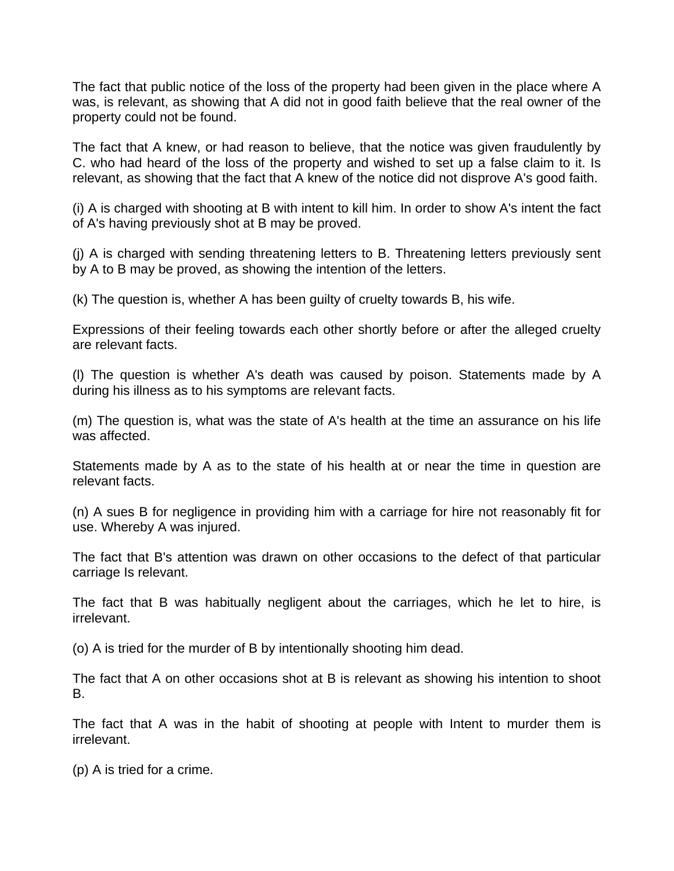The fact that public notice of the loss of the property had been given in the place where A was, is relevant, as showing that A did not in good faith believe that the real owner of the property could not be found.

The fact that A knew, or had reason to believe, that the notice was given fraudulently by C. who had heard of the loss of the property and wished to set up a false claim to it. Is relevant, as showing that the fact that A knew of the notice did not disprove A's good faith.

(i) A is charged with shooting at B with intent to kill him. In order to show A's intent the fact of A's having previously shot at B may be proved.

(j) A is charged with sending threatening letters to B. Threatening letters previously sent by A to B may be proved, as showing the intention of the letters.

(k) The question is, whether A has been guilty of cruelty towards B, his wife.

Expressions of their feeling towards each other shortly before or after the alleged cruelty are relevant facts.

(l) The question is whether A's death was caused by poison. Statements made by A during his illness as to his symptoms are relevant facts.

(m) The question is, what was the state of A's health at the time an assurance on his life was affected.

Statements made by A as to the state of his health at or near the time in question are relevant facts.

(n) A sues B for negligence in providing him with a carriage for hire not reasonably fit for use. Whereby A was injured.

The fact that B's attention was drawn on other occasions to the defect of that particular carriage Is relevant.

The fact that B was habitually negligent about the carriages, which he let to hire, is irrelevant.

(o) A is tried for the murder of B by intentionally shooting him dead.

The fact that A on other occasions shot at B is relevant as showing his intention to shoot B.

The fact that A was in the habit of shooting at people with Intent to murder them is irrelevant.

(p) A is tried for a crime.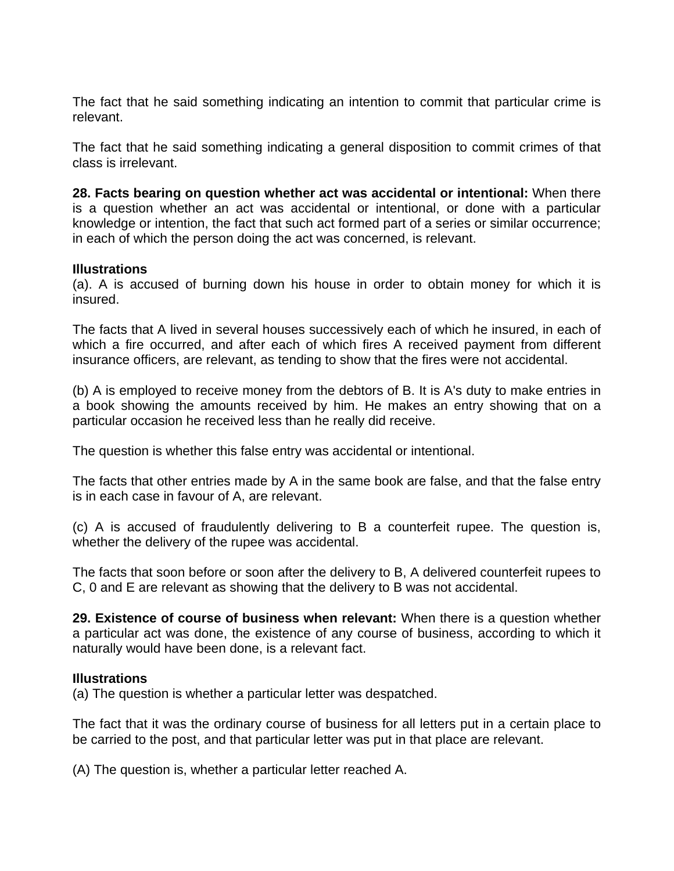The fact that he said something indicating an intention to commit that particular crime is relevant.

The fact that he said something indicating a general disposition to commit crimes of that class is irrelevant.

**28. Facts bearing on question whether act was accidental or intentional:** When there is a question whether an act was accidental or intentional, or done with a particular knowledge or intention, the fact that such act formed part of a series or similar occurrence; in each of which the person doing the act was concerned, is relevant.

#### **Illustrations**

(a). A is accused of burning down his house in order to obtain money for which it is insured.

The facts that A lived in several houses successively each of which he insured, in each of which a fire occurred, and after each of which fires A received payment from different insurance officers, are relevant, as tending to show that the fires were not accidental.

(b) A is employed to receive money from the debtors of B. It is A's duty to make entries in a book showing the amounts received by him. He makes an entry showing that on a particular occasion he received less than he really did receive.

The question is whether this false entry was accidental or intentional.

The facts that other entries made by A in the same book are false, and that the false entry is in each case in favour of A, are relevant.

(c) A is accused of fraudulently delivering to B a counterfeit rupee. The question is, whether the delivery of the rupee was accidental.

The facts that soon before or soon after the delivery to B, A delivered counterfeit rupees to C, 0 and E are relevant as showing that the delivery to B was not accidental.

**29. Existence of course of business when relevant:** When there is a question whether a particular act was done, the existence of any course of business, according to which it naturally would have been done, is a relevant fact.

#### **Illustrations**

(a) The question is whether a particular letter was despatched.

The fact that it was the ordinary course of business for all letters put in a certain place to be carried to the post, and that particular letter was put in that place are relevant.

(A) The question is, whether a particular letter reached A.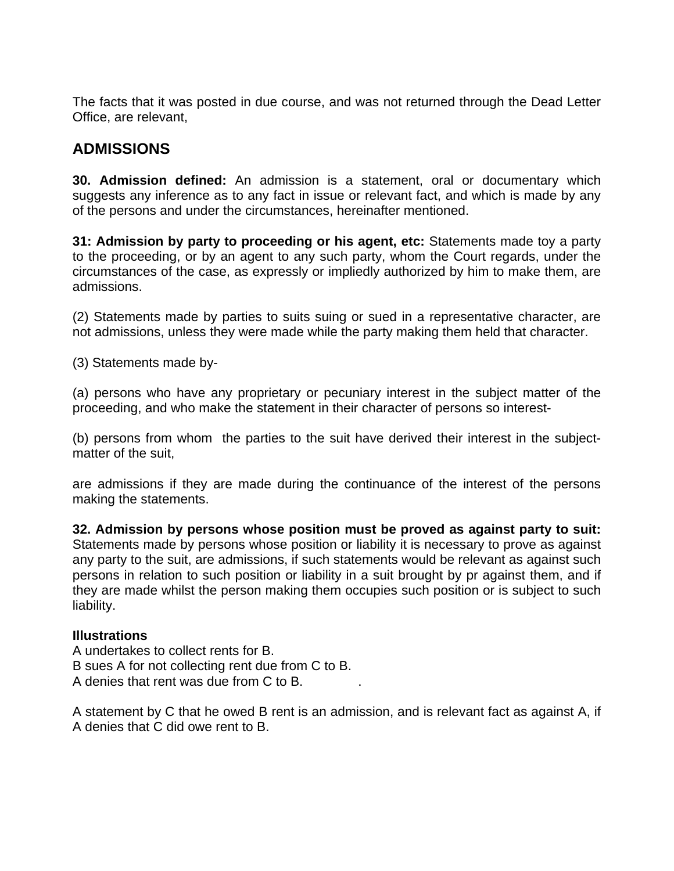The facts that it was posted in due course, and was not returned through the Dead Letter Office, are relevant,

### **ADMISSIONS**

**30. Admission defined:** An admission is a statement, oral or documentary which suggests any inference as to any fact in issue or relevant fact, and which is made by any of the persons and under the circumstances, hereinafter mentioned.

**31: Admission by party to proceeding or his agent, etc:** Statements made toy a party to the proceeding, or by an agent to any such party, whom the Court regards, under the circumstances of the case, as expressly or impliedly authorized by him to make them, are admissions.

(2) Statements made by parties to suits suing or sued in a representative character, are not admissions, unless they were made while the party making them held that character.

(3) Statements made by-

(a) persons who have any proprietary or pecuniary interest in the subject matter of the proceeding, and who make the statement in their character of persons so interest-

(b) persons from whom the parties to the suit have derived their interest in the subjectmatter of the suit,

are admissions if they are made during the continuance of the interest of the persons making the statements.

**32. Admission by persons whose position must be proved as against party to suit:** Statements made by persons whose position or liability it is necessary to prove as against any party to the suit, are admissions, if such statements would be relevant as against such persons in relation to such position or liability in a suit brought by pr against them, and if they are made whilst the person making them occupies such position or is subject to such liability.

#### **Illustrations**

A undertakes to collect rents for B. B sues A for not collecting rent due from C to B. A denies that rent was due from C to B. .

A statement by C that he owed B rent is an admission, and is relevant fact as against A, if A denies that C did owe rent to B.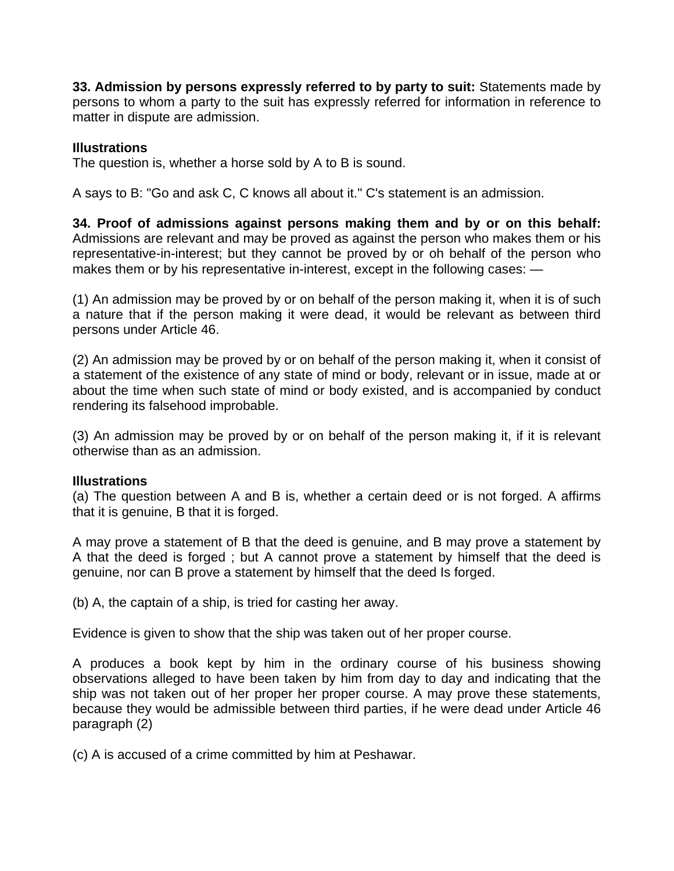**33. Admission by persons expressly referred to by party to suit:** Statements made by persons to whom a party to the suit has expressly referred for information in reference to matter in dispute are admission.

#### **Illustrations**

The question is, whether a horse sold by A to B is sound.

A says to B: "Go and ask C, C knows all about it." C's statement is an admission.

**34. Proof of admissions against persons making them and by or on this behalf:** Admissions are relevant and may be proved as against the person who makes them or his representative-in-interest; but they cannot be proved by or oh behalf of the person who makes them or by his representative in-interest, except in the following cases:  $-$ 

(1) An admission may be proved by or on behalf of the person making it, when it is of such a nature that if the person making it were dead, it would be relevant as between third persons under Article 46.

(2) An admission may be proved by or on behalf of the person making it, when it consist of a statement of the existence of any state of mind or body, relevant or in issue, made at or about the time when such state of mind or body existed, and is accompanied by conduct rendering its falsehood improbable.

(3) An admission may be proved by or on behalf of the person making it, if it is relevant otherwise than as an admission.

#### **Illustrations**

(a) The question between A and B is, whether a certain deed or is not forged. A affirms that it is genuine, B that it is forged.

A may prove a statement of B that the deed is genuine, and B may prove a statement by A that the deed is forged ; but A cannot prove a statement by himself that the deed is genuine, nor can B prove a statement by himself that the deed Is forged.

(b) A, the captain of a ship, is tried for casting her away.

Evidence is given to show that the ship was taken out of her proper course.

A produces a book kept by him in the ordinary course of his business showing observations alleged to have been taken by him from day to day and indicating that the ship was not taken out of her proper her proper course. A may prove these statements, because they would be admissible between third parties, if he were dead under Article 46 paragraph (2)

(c) A is accused of a crime committed by him at Peshawar.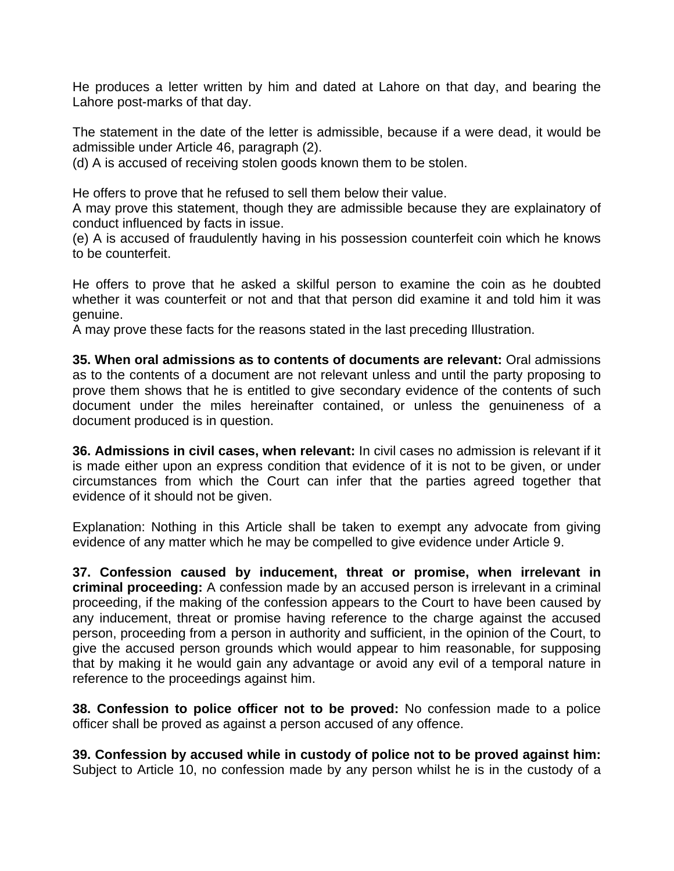He produces a letter written by him and dated at Lahore on that day, and bearing the Lahore post-marks of that day.

The statement in the date of the letter is admissible, because if a were dead, it would be admissible under Article 46, paragraph (2).

(d) A is accused of receiving stolen goods known them to be stolen.

He offers to prove that he refused to sell them below their value.

A may prove this statement, though they are admissible because they are explainatory of conduct influenced by facts in issue.

(e) A is accused of fraudulently having in his possession counterfeit coin which he knows to be counterfeit.

He offers to prove that he asked a skilful person to examine the coin as he doubted whether it was counterfeit or not and that that person did examine it and told him it was genuine.

A may prove these facts for the reasons stated in the last preceding Illustration.

**35. When oral admissions as to contents of documents are relevant:** Oral admissions as to the contents of a document are not relevant unless and until the party proposing to prove them shows that he is entitled to give secondary evidence of the contents of such document under the miles hereinafter contained, or unless the genuineness of a document produced is in question.

**36. Admissions in civil cases, when relevant:** In civil cases no admission is relevant if it is made either upon an express condition that evidence of it is not to be given, or under circumstances from which the Court can infer that the parties agreed together that evidence of it should not be given.

Explanation: Nothing in this Article shall be taken to exempt any advocate from giving evidence of any matter which he may be compelled to give evidence under Article 9.

**37. Confession caused by inducement, threat or promise, when irrelevant in criminal proceeding:** A confession made by an accused person is irrelevant in a criminal proceeding, if the making of the confession appears to the Court to have been caused by any inducement, threat or promise having reference to the charge against the accused person, proceeding from a person in authority and sufficient, in the opinion of the Court, to give the accused person grounds which would appear to him reasonable, for supposing that by making it he would gain any advantage or avoid any evil of a temporal nature in reference to the proceedings against him.

**38. Confession to police officer not to be proved:** No confession made to a police officer shall be proved as against a person accused of any offence.

**39. Confession by accused while in custody of police not to be proved against him:** Subject to Article 10, no confession made by any person whilst he is in the custody of a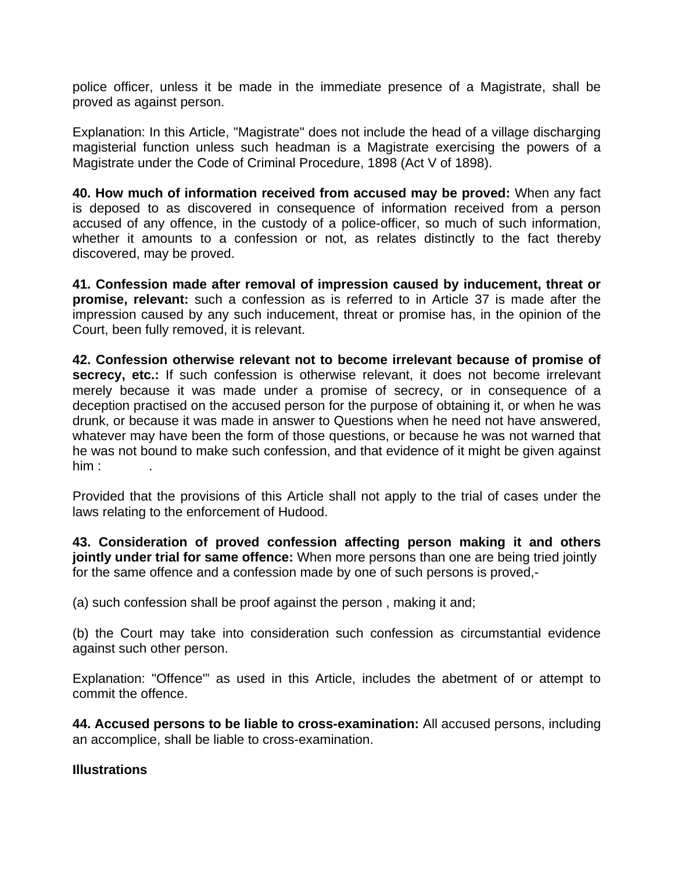police officer, unless it be made in the immediate presence of a Magistrate, shall be proved as against person.

Explanation: In this Article, "Magistrate" does not include the head of a village discharging magisterial function unless such headman is a Magistrate exercising the powers of a Magistrate under the Code of Criminal Procedure, 1898 (Act V of 1898).

**40. How much of information received from accused may be proved:** When any fact is deposed to as discovered in consequence of information received from a person accused of any offence, in the custody of a police-officer, so much of such information, whether it amounts to a confession or not, as relates distinctly to the fact thereby discovered, may be proved.

**41. Confession made after removal of impression caused by inducement, threat or promise, relevant:** such a confession as is referred to in Article 37 is made after the impression caused by any such inducement, threat or promise has, in the opinion of the Court, been fully removed, it is relevant.

**42. Confession otherwise relevant not to become irrelevant because of promise of secrecy, etc.:** If such confession is otherwise relevant, it does not become irrelevant merely because it was made under a promise of secrecy, or in consequence of a deception practised on the accused person for the purpose of obtaining it, or when he was drunk, or because it was made in answer to Questions when he need not have answered, whatever may have been the form of those questions, or because he was not warned that he was not bound to make such confession, and that evidence of it might be given against  $him:$ 

Provided that the provisions of this Article shall not apply to the trial of cases under the laws relating to the enforcement of Hudood.

**43. Consideration of proved confession affecting person making it and others jointly under trial for same offence:** When more persons than one are being tried jointly for the same offence and a confession made by one of such persons is proved,-

(a) such confession shall be proof against the person , making it and;

(b) the Court may take into consideration such confession as circumstantial evidence against such other person.

Explanation: "Offence'" as used in this Article, includes the abetment of or attempt to commit the offence.

**44. Accused persons to be liable to cross-examination:** All accused persons, including an accomplice, shall be liable to cross-examination.

#### **Illustrations**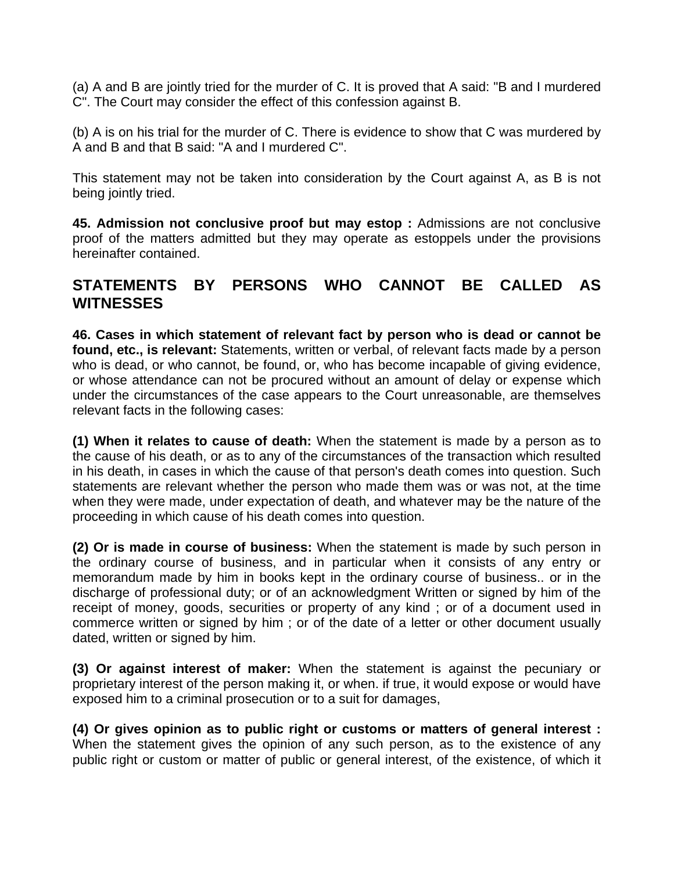(a) A and B are jointly tried for the murder of C. It is proved that A said: "B and I murdered C". The Court may consider the effect of this confession against B.

(b) A is on his trial for the murder of C. There is evidence to show that C was murdered by A and B and that B said: "A and I murdered C".

This statement may not be taken into consideration by the Court against A, as B is not being jointly tried.

**45. Admission not conclusive proof but may estop :** Admissions are not conclusive proof of the matters admitted but they may operate as estoppels under the provisions hereinafter contained.

### **STATEMENTS BY PERSONS WHO CANNOT BE CALLED AS WITNESSES**

**46. Cases in which statement of relevant fact by person who is dead or cannot be found, etc., is relevant:** Statements, written or verbal, of relevant facts made by a person who is dead, or who cannot, be found, or, who has become incapable of giving evidence, or whose attendance can not be procured without an amount of delay or expense which under the circumstances of the case appears to the Court unreasonable, are themselves relevant facts in the following cases:

**(1) When it relates to cause of death:** When the statement is made by a person as to the cause of his death, or as to any of the circumstances of the transaction which resulted in his death, in cases in which the cause of that person's death comes into question. Such statements are relevant whether the person who made them was or was not, at the time when they were made, under expectation of death, and whatever may be the nature of the proceeding in which cause of his death comes into question.

**(2) Or is made in course of business:** When the statement is made by such person in the ordinary course of business, and in particular when it consists of any entry or memorandum made by him in books kept in the ordinary course of business.. or in the discharge of professional duty; or of an acknowledgment Written or signed by him of the receipt of money, goods, securities or property of any kind; or of a document used in commerce written or signed by him ; or of the date of a letter or other document usually dated, written or signed by him.

**(3) Or against interest of maker:** When the statement is against the pecuniary or proprietary interest of the person making it, or when. if true, it would expose or would have exposed him to a criminal prosecution or to a suit for damages,

**(4) Or gives opinion as to public right or customs or matters of general interest :** When the statement gives the opinion of any such person, as to the existence of any public right or custom or matter of public or general interest, of the existence, of which it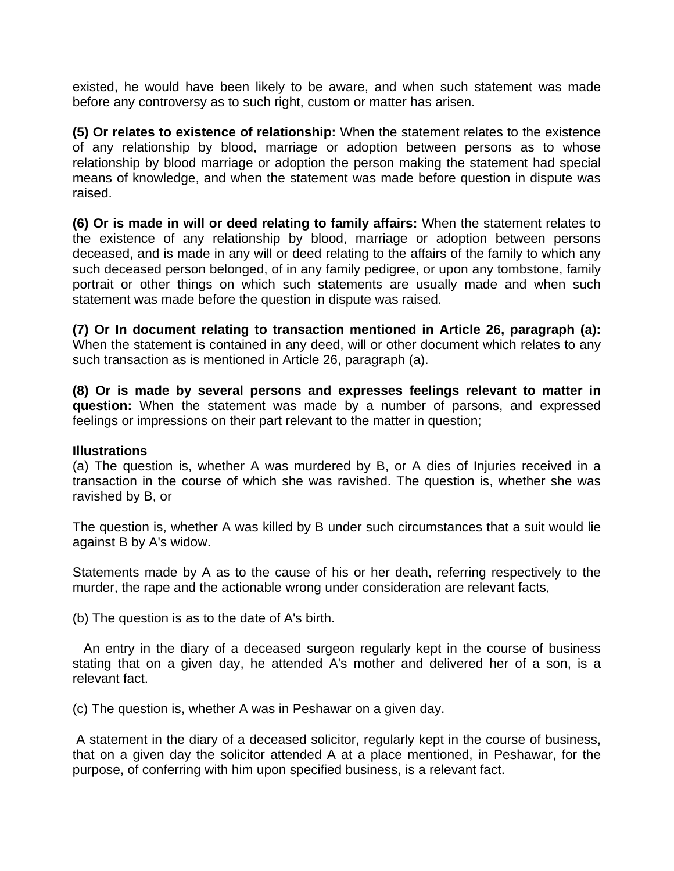existed, he would have been likely to be aware, and when such statement was made before any controversy as to such right, custom or matter has arisen.

**(5) Or relates to existence of relationship:** When the statement relates to the existence of any relationship by blood, marriage or adoption between persons as to whose relationship by blood marriage or adoption the person making the statement had special means of knowledge, and when the statement was made before question in dispute was raised.

**(6) Or is made in will or deed relating to family affairs:** When the statement relates to the existence of any relationship by blood, marriage or adoption between persons deceased, and is made in any will or deed relating to the affairs of the family to which any such deceased person belonged, of in any family pedigree, or upon any tombstone, family portrait or other things on which such statements are usually made and when such statement was made before the question in dispute was raised.

**(7) Or In document relating to transaction mentioned in Article 26, paragraph (a):** When the statement is contained in any deed, will or other document which relates to any such transaction as is mentioned in Article 26, paragraph (a).

**(8) Or is made by several persons and expresses feelings relevant to matter in question:** When the statement was made by a number of parsons, and expressed feelings or impressions on their part relevant to the matter in question;

#### **Illustrations**

(a) The question is, whether A was murdered by B, or A dies of Injuries received in a transaction in the course of which she was ravished. The question is, whether she was ravished by B, or

The question is, whether A was killed by B under such circumstances that a suit would lie against B by A's widow.

Statements made by A as to the cause of his or her death, referring respectively to the murder, the rape and the actionable wrong under consideration are relevant facts,

(b) The question is as to the date of A's birth.

 An entry in the diary of a deceased surgeon regularly kept in the course of business stating that on a given day, he attended A's mother and delivered her of a son, is a relevant fact.

(c) The question is, whether A was in Peshawar on a given day.

 A statement in the diary of a deceased solicitor, regularly kept in the course of business, that on a given day the solicitor attended A at a place mentioned, in Peshawar, for the purpose, of conferring with him upon specified business, is a relevant fact.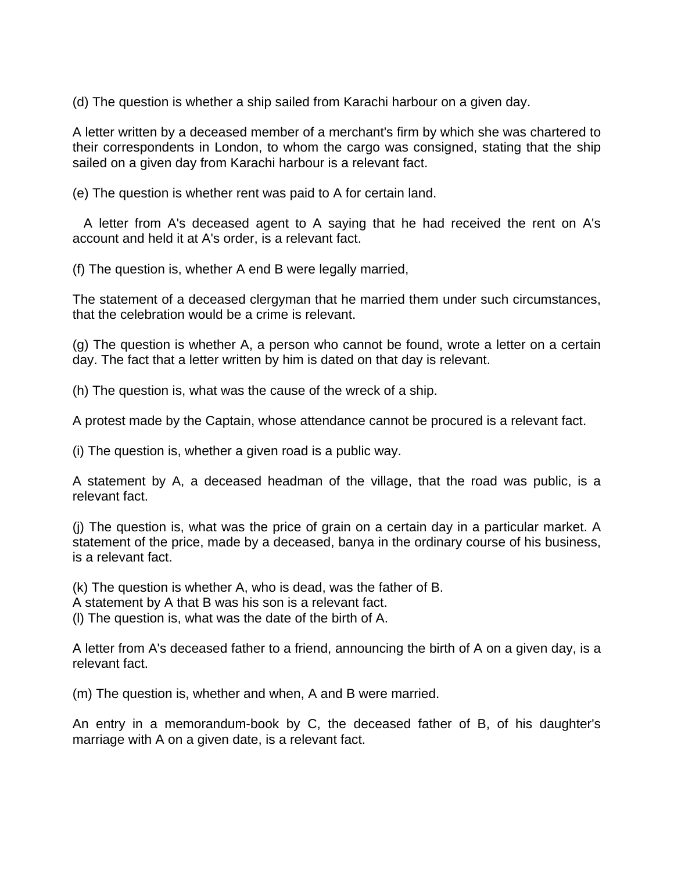(d) The question is whether a ship sailed from Karachi harbour on a given day.

A letter written by a deceased member of a merchant's firm by which she was chartered to their correspondents in London, to whom the cargo was consigned, stating that the ship sailed on a given day from Karachi harbour is a relevant fact.

(e) The question is whether rent was paid to A for certain land.

 A letter from A's deceased agent to A saying that he had received the rent on A's account and held it at A's order, is a relevant fact.

(f) The question is, whether A end B were legally married,

The statement of a deceased clergyman that he married them under such circumstances, that the celebration would be a crime is relevant.

(g) The question is whether A, a person who cannot be found, wrote a letter on a certain day. The fact that a letter written by him is dated on that day is relevant.

(h) The question is, what was the cause of the wreck of a ship.

A protest made by the Captain, whose attendance cannot be procured is a relevant fact.

(i) The question is, whether a given road is a public way.

A statement by A, a deceased headman of the village, that the road was public, is a relevant fact.

(j) The question is, what was the price of grain on a certain day in a particular market. A statement of the price, made by a deceased, banya in the ordinary course of his business, is a relevant fact.

(k) The question is whether A, who is dead, was the father of B.

A statement by A that B was his son is a relevant fact.

(l) The question is, what was the date of the birth of A.

A letter from A's deceased father to a friend, announcing the birth of A on a given day, is a relevant fact.

(m) The question is, whether and when, A and B were married.

An entry in a memorandum-book by C, the deceased father of B, of his daughter's marriage with A on a given date, is a relevant fact.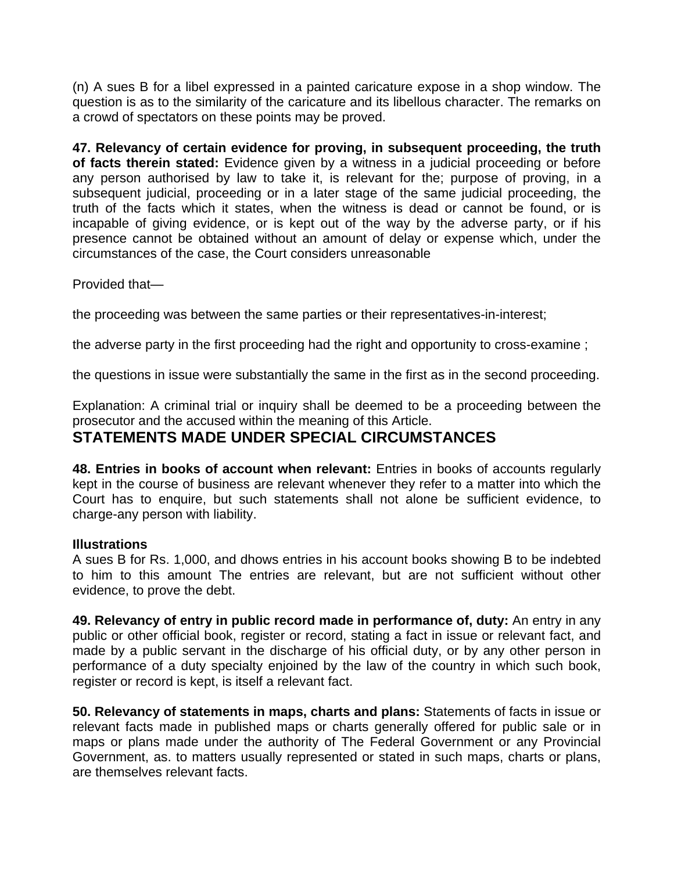(n) A sues B for a libel expressed in a painted caricature expose in a shop window. The question is as to the similarity of the caricature and its libellous character. The remarks on a crowd of spectators on these points may be proved.

**47. Relevancy of certain evidence for proving, in subsequent proceeding, the truth of facts therein stated:** Evidence given by a witness in a judicial proceeding or before any person authorised by law to take it, is relevant for the; purpose of proving, in a subsequent judicial, proceeding or in a later stage of the same judicial proceeding, the truth of the facts which it states, when the witness is dead or cannot be found, or is incapable of giving evidence, or is kept out of the way by the adverse party, or if his presence cannot be obtained without an amount of delay or expense which, under the circumstances of the case, the Court considers unreasonable

Provided that—

the proceeding was between the same parties or their representatives-in-interest;

the adverse party in the first proceeding had the right and opportunity to cross-examine ;

the questions in issue were substantially the same in the first as in the second proceeding.

Explanation: A criminal trial or inquiry shall be deemed to be a proceeding between the prosecutor and the accused within the meaning of this Article.

### **STATEMENTS MADE UNDER SPECIAL CIRCUMSTANCES**

**48. Entries in books of account when relevant:** Entries in books of accounts regularly kept in the course of business are relevant whenever they refer to a matter into which the Court has to enquire, but such statements shall not alone be sufficient evidence, to charge-any person with liability.

#### **Illustrations**

A sues B for Rs. 1,000, and dhows entries in his account books showing B to be indebted to him to this amount The entries are relevant, but are not sufficient without other evidence, to prove the debt.

**49. Relevancy of entry in public record made in performance of, duty:** An entry in any public or other official book, register or record, stating a fact in issue or relevant fact, and made by a public servant in the discharge of his official duty, or by any other person in performance of a duty specialty enjoined by the law of the country in which such book, register or record is kept, is itself a relevant fact.

**50. Relevancy of statements in maps, charts and plans:** Statements of facts in issue or relevant facts made in published maps or charts generally offered for public sale or in maps or plans made under the authority of The Federal Government or any Provincial Government, as. to matters usually represented or stated in such maps, charts or plans, are themselves relevant facts.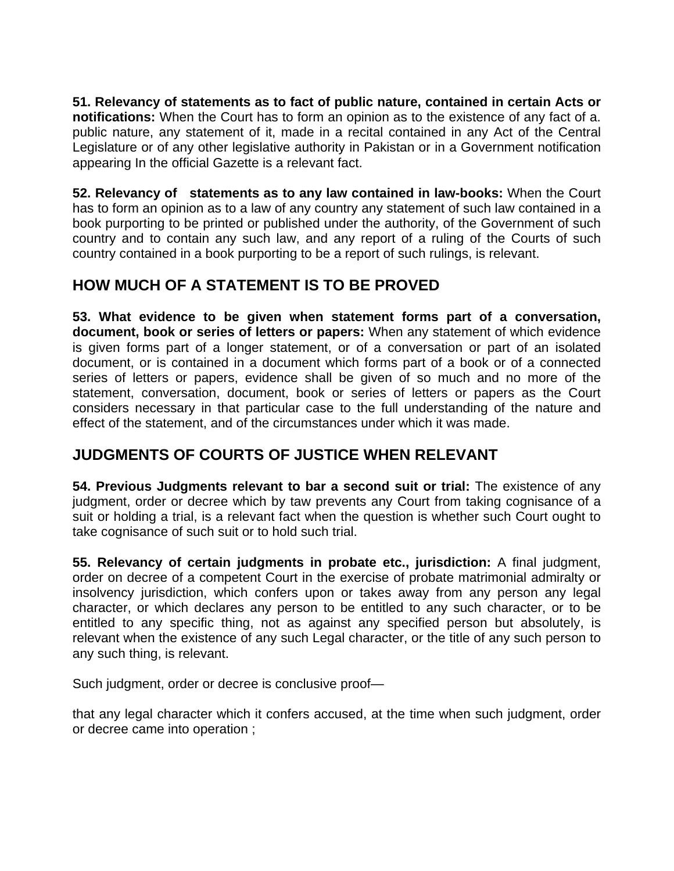**51. Relevancy of statements as to fact of public nature, contained in certain Acts or notifications:** When the Court has to form an opinion as to the existence of any fact of a. public nature, any statement of it, made in a recital contained in any Act of the Central Legislature or of any other legislative authority in Pakistan or in a Government notification appearing In the official Gazette is a relevant fact.

**52. Relevancy of statements as to any law contained in law-books:** When the Court has to form an opinion as to a law of any country any statement of such law contained in a book purporting to be printed or published under the authority, of the Government of such country and to contain any such law, and any report of a ruling of the Courts of such country contained in a book purporting to be a report of such rulings, is relevant.

### **HOW MUCH OF A STATEMENT IS TO BE PROVED**

**53. What evidence to be given when statement forms part of a conversation, document, book or series of letters or papers:** When any statement of which evidence is given forms part of a longer statement, or of a conversation or part of an isolated document, or is contained in a document which forms part of a book or of a connected series of letters or papers, evidence shall be given of so much and no more of the statement, conversation, document, book or series of letters or papers as the Court considers necessary in that particular case to the full understanding of the nature and effect of the statement, and of the circumstances under which it was made.

### **JUDGMENTS OF COURTS OF JUSTICE WHEN RELEVANT**

**54. Previous Judgments relevant to bar a second suit or trial:** The existence of any judgment, order or decree which by taw prevents any Court from taking cognisance of a suit or holding a trial, is a relevant fact when the question is whether such Court ought to take cognisance of such suit or to hold such trial.

**55. Relevancy of certain judgments in probate etc., jurisdiction:** A final judgment, order on decree of a competent Court in the exercise of probate matrimonial admiralty or insolvency jurisdiction, which confers upon or takes away from any person any legal character, or which declares any person to be entitled to any such character, or to be entitled to any specific thing, not as against any specified person but absolutely, is relevant when the existence of any such Legal character, or the title of any such person to any such thing, is relevant.

Such judgment, order or decree is conclusive proof—

that any legal character which it confers accused, at the time when such judgment, order or decree came into operation ;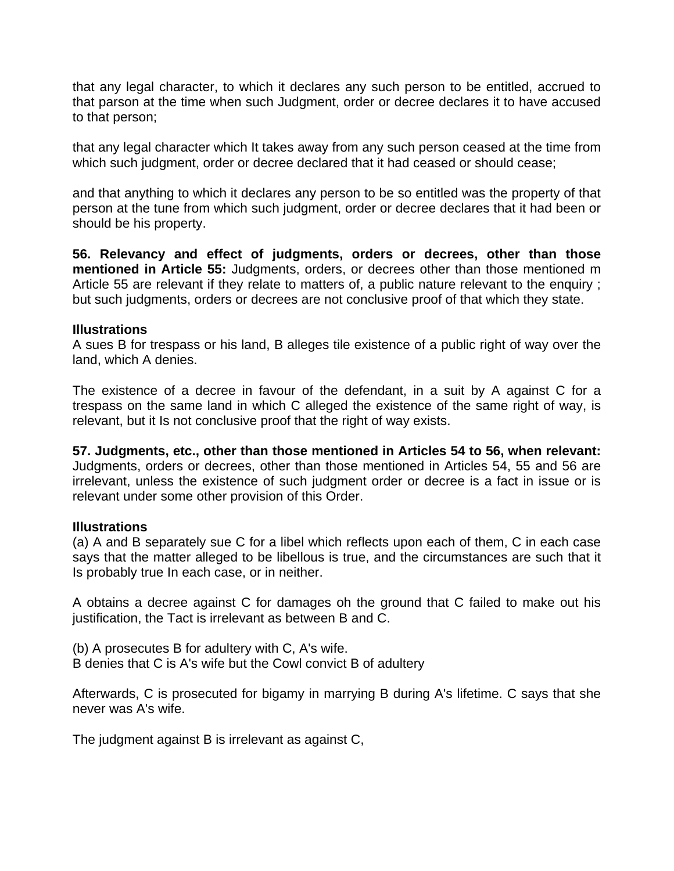that any legal character, to which it declares any such person to be entitled, accrued to that parson at the time when such Judgment, order or decree declares it to have accused to that person;

that any legal character which It takes away from any such person ceased at the time from which such judgment, order or decree declared that it had ceased or should cease;

and that anything to which it declares any person to be so entitled was the property of that person at the tune from which such judgment, order or decree declares that it had been or should be his property.

**56. Relevancy and effect of judgments, orders or decrees, other than those mentioned in Article 55:** Judgments, orders, or decrees other than those mentioned m Article 55 are relevant if they relate to matters of, a public nature relevant to the enquiry ; but such judgments, orders or decrees are not conclusive proof of that which they state.

#### **Illustrations**

A sues B for trespass or his land, B alleges tile existence of a public right of way over the land, which A denies.

The existence of a decree in favour of the defendant, in a suit by A against C for a trespass on the same land in which C alleged the existence of the same right of way, is relevant, but it Is not conclusive proof that the right of way exists.

**57. Judgments, etc., other than those mentioned in Articles 54 to 56, when relevant:** Judgments, orders or decrees, other than those mentioned in Articles 54, 55 and 56 are irrelevant, unless the existence of such judgment order or decree is a fact in issue or is relevant under some other provision of this Order.

#### **Illustrations**

(a) A and B separately sue C for a libel which reflects upon each of them, C in each case says that the matter alleged to be libellous is true, and the circumstances are such that it Is probably true In each case, or in neither.

A obtains a decree against C for damages oh the ground that C failed to make out his justification, the Tact is irrelevant as between B and C.

(b) A prosecutes B for adultery with C, A's wife. B denies that C is A's wife but the Cowl convict B of adultery

Afterwards, C is prosecuted for bigamy in marrying B during A's lifetime. C says that she never was A's wife.

The judgment against B is irrelevant as against C,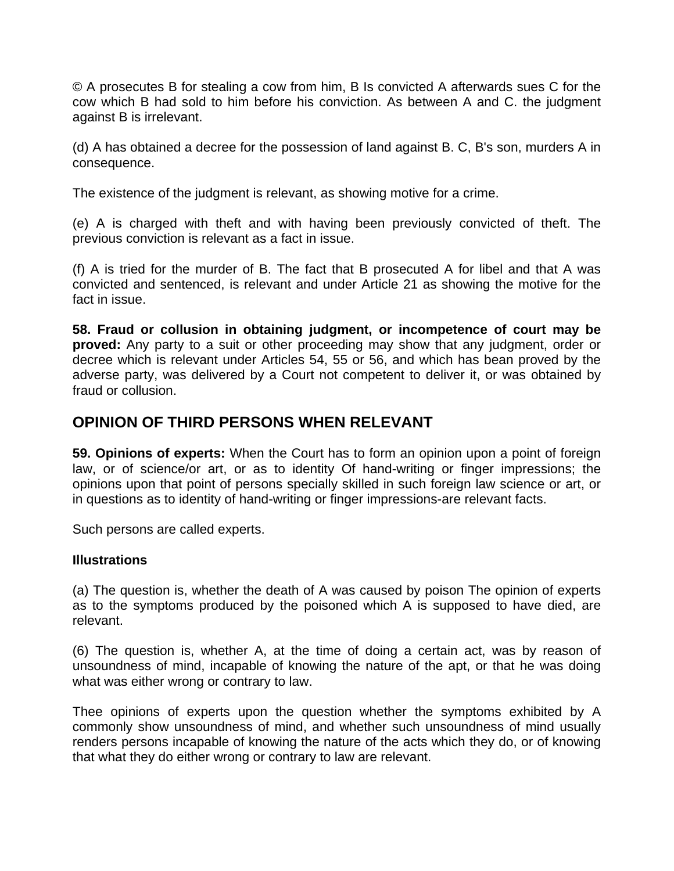© A prosecutes B for stealing a cow from him, B Is convicted A afterwards sues C for the cow which B had sold to him before his conviction. As between A and C. the judgment against B is irrelevant.

(d) A has obtained a decree for the possession of land against B. C, B's son, murders A in consequence.

The existence of the judgment is relevant, as showing motive for a crime.

(e) A is charged with theft and with having been previously convicted of theft. The previous conviction is relevant as a fact in issue.

(f) A is tried for the murder of B. The fact that B prosecuted A for libel and that A was convicted and sentenced, is relevant and under Article 21 as showing the motive for the fact in issue.

**58. Fraud or collusion in obtaining judgment, or incompetence of court may be proved:** Any party to a suit or other proceeding may show that any judgment, order or decree which is relevant under Articles 54, 55 or 56, and which has bean proved by the adverse party, was delivered by a Court not competent to deliver it, or was obtained by fraud or collusion.

### **OPINION OF THIRD PERSONS WHEN RELEVANT**

**59. Opinions of experts:** When the Court has to form an opinion upon a point of foreign law, or of science/or art, or as to identity Of hand-writing or finger impressions; the opinions upon that point of persons specially skilled in such foreign law science or art, or in questions as to identity of hand-writing or finger impressions-are relevant facts.

Such persons are called experts.

#### **Illustrations**

(a) The question is, whether the death of A was caused by poison The opinion of experts as to the symptoms produced by the poisoned which A is supposed to have died, are relevant.

(6) The question is, whether A, at the time of doing a certain act, was by reason of unsoundness of mind, incapable of knowing the nature of the apt, or that he was doing what was either wrong or contrary to law.

Thee opinions of experts upon the question whether the symptoms exhibited by A commonly show unsoundness of mind, and whether such unsoundness of mind usually renders persons incapable of knowing the nature of the acts which they do, or of knowing that what they do either wrong or contrary to law are relevant.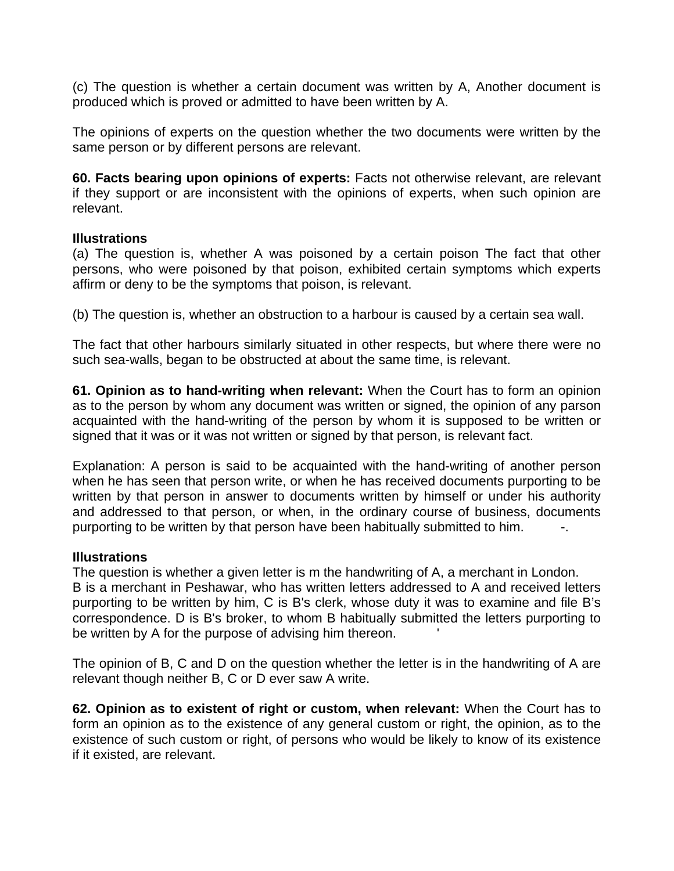(c) The question is whether a certain document was written by A, Another document is produced which is proved or admitted to have been written by A.

The opinions of experts on the question whether the two documents were written by the same person or by different persons are relevant.

**60. Facts bearing upon opinions of experts:** Facts not otherwise relevant, are relevant if they support or are inconsistent with the opinions of experts, when such opinion are relevant.

#### **Illustrations**

(a) The question is, whether A was poisoned by a certain poison The fact that other persons, who were poisoned by that poison, exhibited certain symptoms which experts affirm or deny to be the symptoms that poison, is relevant.

(b) The question is, whether an obstruction to a harbour is caused by a certain sea wall.

The fact that other harbours similarly situated in other respects, but where there were no such sea-walls, began to be obstructed at about the same time, is relevant.

**61. Opinion as to hand-writing when relevant:** When the Court has to form an opinion as to the person by whom any document was written or signed, the opinion of any parson acquainted with the hand-writing of the person by whom it is supposed to be written or signed that it was or it was not written or signed by that person, is relevant fact.

Explanation: A person is said to be acquainted with the hand-writing of another person when he has seen that person write, or when he has received documents purporting to be written by that person in answer to documents written by himself or under his authority and addressed to that person, or when, in the ordinary course of business, documents purporting to be written by that person have been habitually submitted to him.  $\blacksquare$ 

#### **Illustrations**

The question is whether a given letter is m the handwriting of A, a merchant in London. B is a merchant in Peshawar, who has written letters addressed to A and received letters purporting to be written by him, C is B's clerk, whose duty it was to examine and file B's correspondence. D is B's broker, to whom B habitually submitted the letters purporting to be written by A for the purpose of advising him thereon.

The opinion of B, C and D on the question whether the letter is in the handwriting of A are relevant though neither B, C or D ever saw A write.

**62. Opinion as to existent of right or custom, when relevant:** When the Court has to form an opinion as to the existence of any general custom or right, the opinion, as to the existence of such custom or right, of persons who would be likely to know of its existence if it existed, are relevant.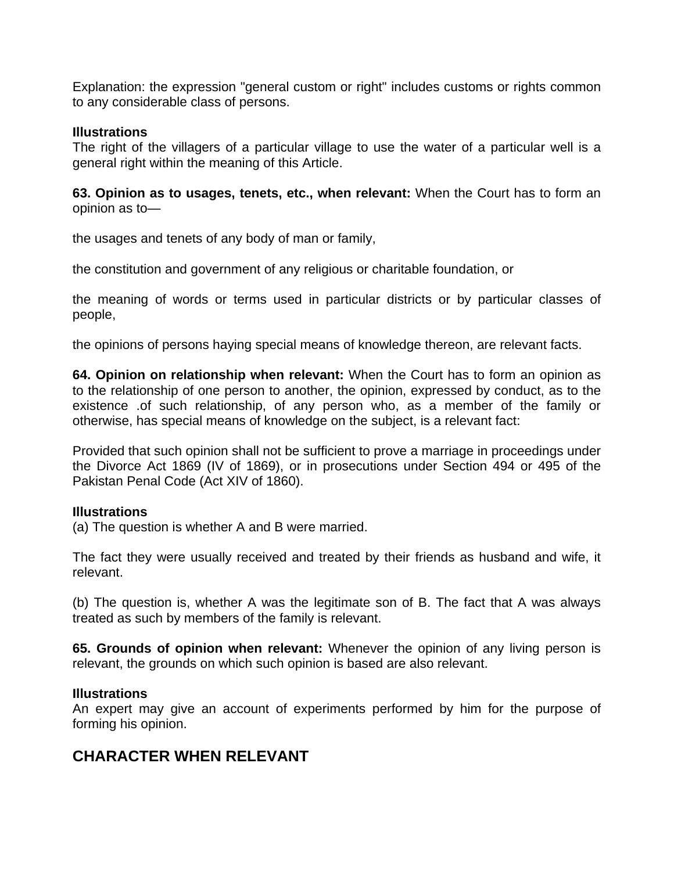Explanation: the expression "general custom or right" includes customs or rights common to any considerable class of persons.

#### **Illustrations**

The right of the villagers of a particular village to use the water of a particular well is a general right within the meaning of this Article.

**63. Opinion as to usages, tenets, etc., when relevant:** When the Court has to form an opinion as to—

the usages and tenets of any body of man or family,

the constitution and government of any religious or charitable foundation, or

the meaning of words or terms used in particular districts or by particular classes of people,

the opinions of persons haying special means of knowledge thereon, are relevant facts.

**64. Opinion on relationship when relevant:** When the Court has to form an opinion as to the relationship of one person to another, the opinion, expressed by conduct, as to the existence .of such relationship, of any person who, as a member of the family or otherwise, has special means of knowledge on the subject, is a relevant fact:

Provided that such opinion shall not be sufficient to prove a marriage in proceedings under the Divorce Act 1869 (IV of 1869), or in prosecutions under Section 494 or 495 of the Pakistan Penal Code (Act XIV of 1860).

#### **Illustrations**

(a) The question is whether A and B were married.

The fact they were usually received and treated by their friends as husband and wife, it relevant.

(b) The question is, whether A was the legitimate son of B. The fact that A was always treated as such by members of the family is relevant.

**65. Grounds of opinion when relevant:** Whenever the opinion of any living person is relevant, the grounds on which such opinion is based are also relevant.

#### **Illustrations**

An expert may give an account of experiments performed by him for the purpose of forming his opinion.

### **CHARACTER WHEN RELEVANT**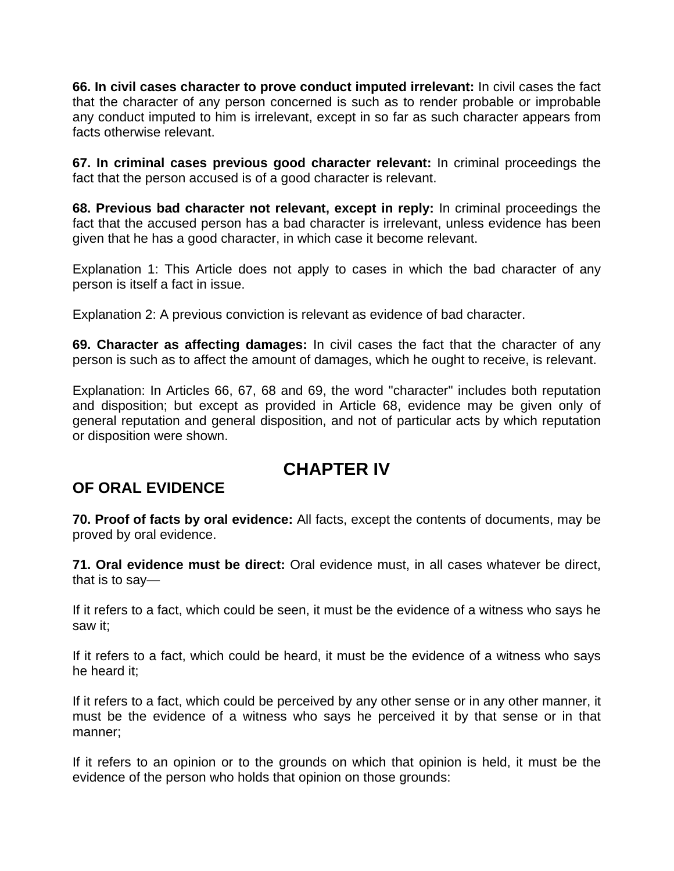**66. In civil cases character to prove conduct imputed irrelevant:** In civil cases the fact that the character of any person concerned is such as to render probable or improbable any conduct imputed to him is irrelevant, except in so far as such character appears from facts otherwise relevant.

**67. In criminal cases previous good character relevant:** In criminal proceedings the fact that the person accused is of a good character is relevant.

**68. Previous bad character not relevant, except in reply:** In criminal proceedings the fact that the accused person has a bad character is irrelevant, unless evidence has been given that he has a good character, in which case it become relevant.

Explanation 1: This Article does not apply to cases in which the bad character of any person is itself a fact in issue.

Explanation 2: A previous conviction is relevant as evidence of bad character.

**69. Character as affecting damages:** In civil cases the fact that the character of any person is such as to affect the amount of damages, which he ought to receive, is relevant.

Explanation: In Articles 66, 67, 68 and 69, the word "character" includes both reputation and disposition; but except as provided in Article 68, evidence may be given only of general reputation and general disposition, and not of particular acts by which reputation or disposition were shown.

# **CHAPTER IV**

### **OF ORAL EVIDENCE**

**70. Proof of facts by oral evidence:** All facts, except the contents of documents, may be proved by oral evidence.

**71. Oral evidence must be direct:** Oral evidence must, in all cases whatever be direct, that is to say—

If it refers to a fact, which could be seen, it must be the evidence of a witness who says he saw it;

If it refers to a fact, which could be heard, it must be the evidence of a witness who says he heard it;

If it refers to a fact, which could be perceived by any other sense or in any other manner, it must be the evidence of a witness who says he perceived it by that sense or in that manner;

If it refers to an opinion or to the grounds on which that opinion is held, it must be the evidence of the person who holds that opinion on those grounds: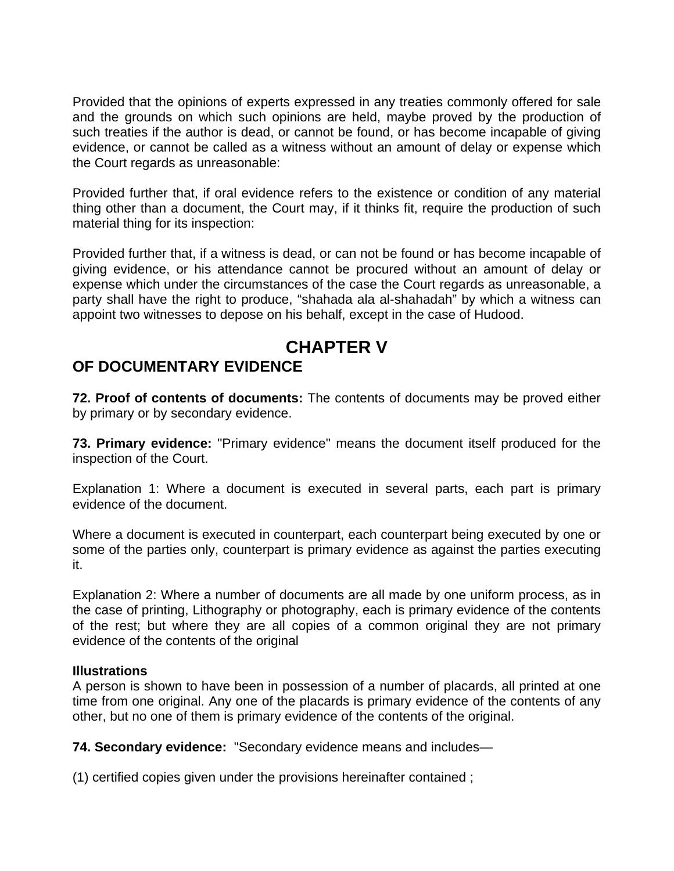Provided that the opinions of experts expressed in any treaties commonly offered for sale and the grounds on which such opinions are held, maybe proved by the production of such treaties if the author is dead, or cannot be found, or has become incapable of giving evidence, or cannot be called as a witness without an amount of delay or expense which the Court regards as unreasonable:

Provided further that, if oral evidence refers to the existence or condition of any material thing other than a document, the Court may, if it thinks fit, require the production of such material thing for its inspection:

Provided further that, if a witness is dead, or can not be found or has become incapable of giving evidence, or his attendance cannot be procured without an amount of delay or expense which under the circumstances of the case the Court regards as unreasonable, a party shall have the right to produce, "shahada ala al-shahadah" by which a witness can appoint two witnesses to depose on his behalf, except in the case of Hudood.

### **CHAPTER V OF DOCUMENTARY EVIDENCE**

**72. Proof of contents of documents:** The contents of documents may be proved either by primary or by secondary evidence.

**73. Primary evidence:** "Primary evidence" means the document itself produced for the inspection of the Court.

Explanation 1: Where a document is executed in several parts, each part is primary evidence of the document.

Where a document is executed in counterpart, each counterpart being executed by one or some of the parties only, counterpart is primary evidence as against the parties executing it.

Explanation 2: Where a number of documents are all made by one uniform process, as in the case of printing, Lithography or photography, each is primary evidence of the contents of the rest; but where they are all copies of a common original they are not primary evidence of the contents of the original

#### **Illustrations**

A person is shown to have been in possession of a number of placards, all printed at one time from one original. Any one of the placards is primary evidence of the contents of any other, but no one of them is primary evidence of the contents of the original.

**74. Secondary evidence:** "Secondary evidence means and includes—

(1) certified copies given under the provisions hereinafter contained ;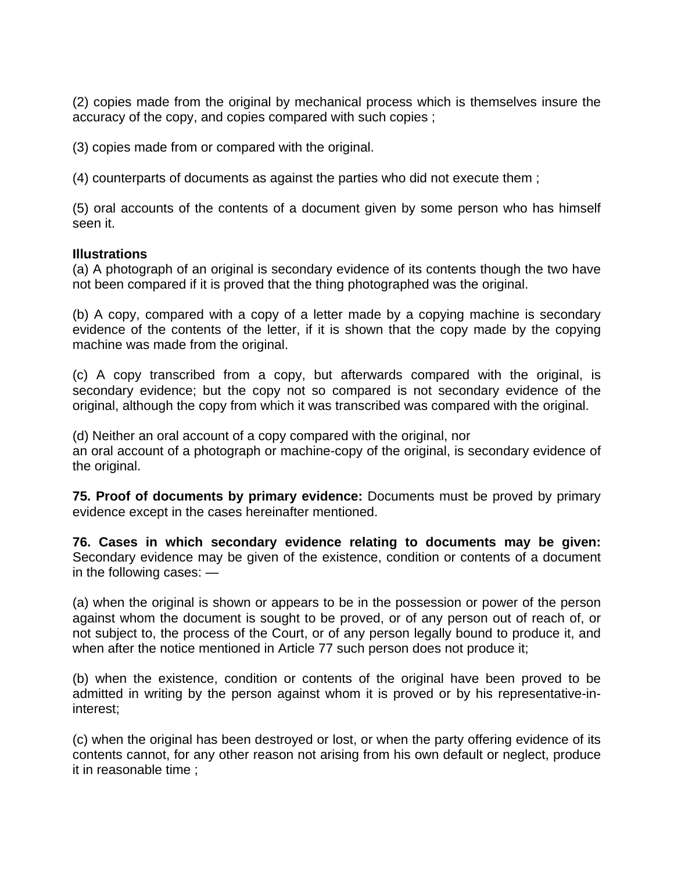(2) copies made from the original by mechanical process which is themselves insure the accuracy of the copy, and copies compared with such copies ;

(3) copies made from or compared with the original.

(4) counterparts of documents as against the parties who did not execute them ;

(5) oral accounts of the contents of a document given by some person who has himself seen it.

#### **Illustrations**

(a) A photograph of an original is secondary evidence of its contents though the two have not been compared if it is proved that the thing photographed was the original.

(b) A copy, compared with a copy of a letter made by a copying machine is secondary evidence of the contents of the letter, if it is shown that the copy made by the copying machine was made from the original.

(c) A copy transcribed from a copy, but afterwards compared with the original, is secondary evidence; but the copy not so compared is not secondary evidence of the original, although the copy from which it was transcribed was compared with the original.

(d) Neither an oral account of a copy compared with the original, nor

an oral account of a photograph or machine-copy of the original, is secondary evidence of the original.

**75. Proof of documents by primary evidence:** Documents must be proved by primary evidence except in the cases hereinafter mentioned.

**76. Cases in which secondary evidence relating to documents may be given:** Secondary evidence may be given of the existence, condition or contents of a document in the following cases: —

(a) when the original is shown or appears to be in the possession or power of the person against whom the document is sought to be proved, or of any person out of reach of, or not subject to, the process of the Court, or of any person legally bound to produce it, and when after the notice mentioned in Article 77 such person does not produce it;

(b) when the existence, condition or contents of the original have been proved to be admitted in writing by the person against whom it is proved or by his representative-ininterest;

(c) when the original has been destroyed or lost, or when the party offering evidence of its contents cannot, for any other reason not arising from his own default or neglect, produce it in reasonable time ;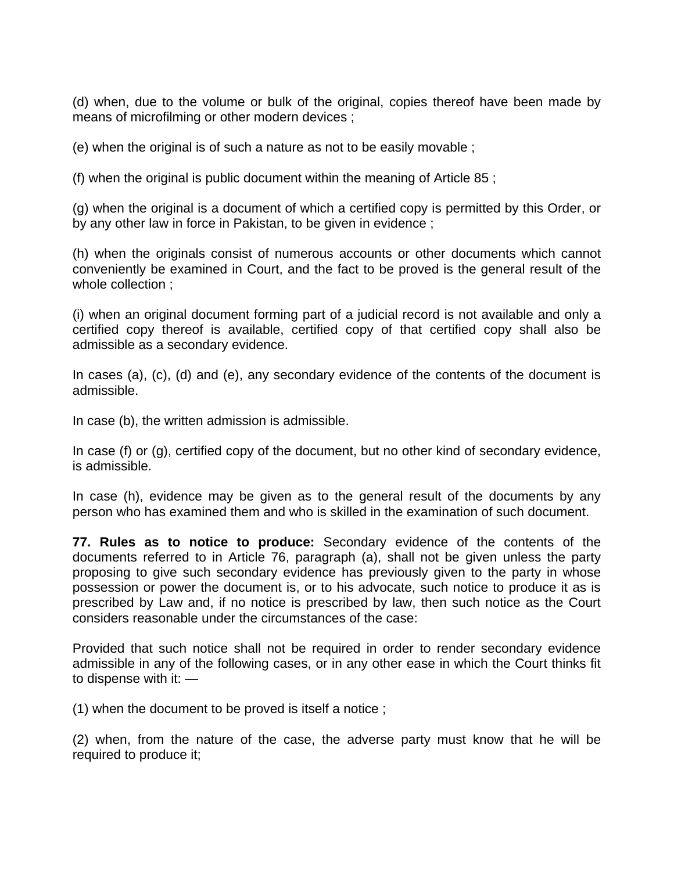(d) when, due to the volume or bulk of the original, copies thereof have been made by means of microfilming or other modern devices ;

(e) when the original is of such a nature as not to be easily movable ;

(f) when the original is public document within the meaning of Article 85 ;

(g) when the original is a document of which a certified copy is permitted by this Order, or by any other law in force in Pakistan, to be given in evidence ;

(h) when the originals consist of numerous accounts or other documents which cannot conveniently be examined in Court, and the fact to be proved is the general result of the whole collection ;

(i) when an original document forming part of a judicial record is not available and only a certified copy thereof is available, certified copy of that certified copy shall also be admissible as a secondary evidence.

In cases (a), (c), (d) and (e), any secondary evidence of the contents of the document is admissible.

In case (b), the written admission is admissible.

In case (f) or (g), certified copy of the document, but no other kind of secondary evidence, is admissible.

In case (h), evidence may be given as to the general result of the documents by any person who has examined them and who is skilled in the examination of such document.

**77. Rules as to notice to produce:** Secondary evidence of the contents of the documents referred to in Article 76, paragraph (a), shall not be given unless the party proposing to give such secondary evidence has previously given to the party in whose possession or power the document is, or to his advocate, such notice to produce it as is prescribed by Law and, if no notice is prescribed by law, then such notice as the Court considers reasonable under the circumstances of the case:

Provided that such notice shall not be required in order to render secondary evidence admissible in any of the following cases, or in any other ease in which the Court thinks fit to dispense with it: —

(1) when the document to be proved is itself a notice ;

(2) when, from the nature of the case, the adverse party must know that he will be required to produce it;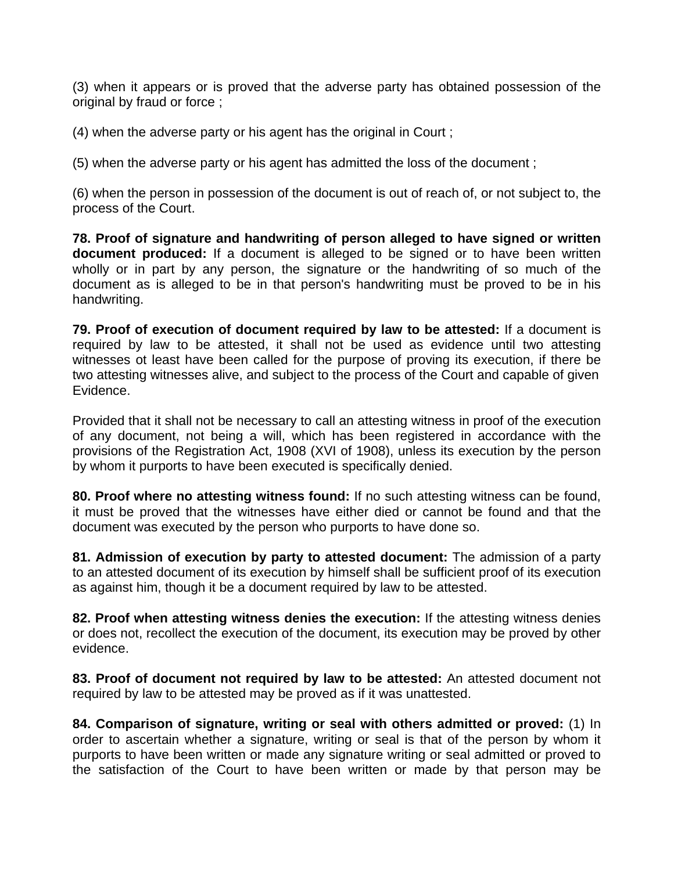(3) when it appears or is proved that the adverse party has obtained possession of the original by fraud or force ;

(4) when the adverse party or his agent has the original in Court ;

(5) when the adverse party or his agent has admitted the loss of the document ;

(6) when the person in possession of the document is out of reach of, or not subject to, the process of the Court.

**78. Proof of signature and handwriting of person alleged to have signed or written document produced:** If a document is alleged to be signed or to have been written wholly or in part by any person, the signature or the handwriting of so much of the document as is alleged to be in that person's handwriting must be proved to be in his handwriting.

**79. Proof of execution of document required by law to be attested:** If a document is required by law to be attested, it shall not be used as evidence until two attesting witnesses ot least have been called for the purpose of proving its execution, if there be two attesting witnesses alive, and subject to the process of the Court and capable of given Evidence.

Provided that it shall not be necessary to call an attesting witness in proof of the execution of any document, not being a will, which has been registered in accordance with the provisions of the Registration Act, 1908 (XVI of 1908), unless its execution by the person by whom it purports to have been executed is specifically denied.

**80. Proof where no attesting witness found:** If no such attesting witness can be found, it must be proved that the witnesses have either died or cannot be found and that the document was executed by the person who purports to have done so.

**81. Admission of execution by party to attested document:** The admission of a party to an attested document of its execution by himself shall be sufficient proof of its execution as against him, though it be a document required by law to be attested.

**82. Proof when attesting witness denies the execution:** If the attesting witness denies or does not, recollect the execution of the document, its execution may be proved by other evidence.

**83. Proof of document not required by law to be attested:** An attested document not required by law to be attested may be proved as if it was unattested.

**84. Comparison of signature, writing or seal with others admitted or proved:** (1) In order to ascertain whether a signature, writing or seal is that of the person by whom it purports to have been written or made any signature writing or seal admitted or proved to the satisfaction of the Court to have been written or made by that person may be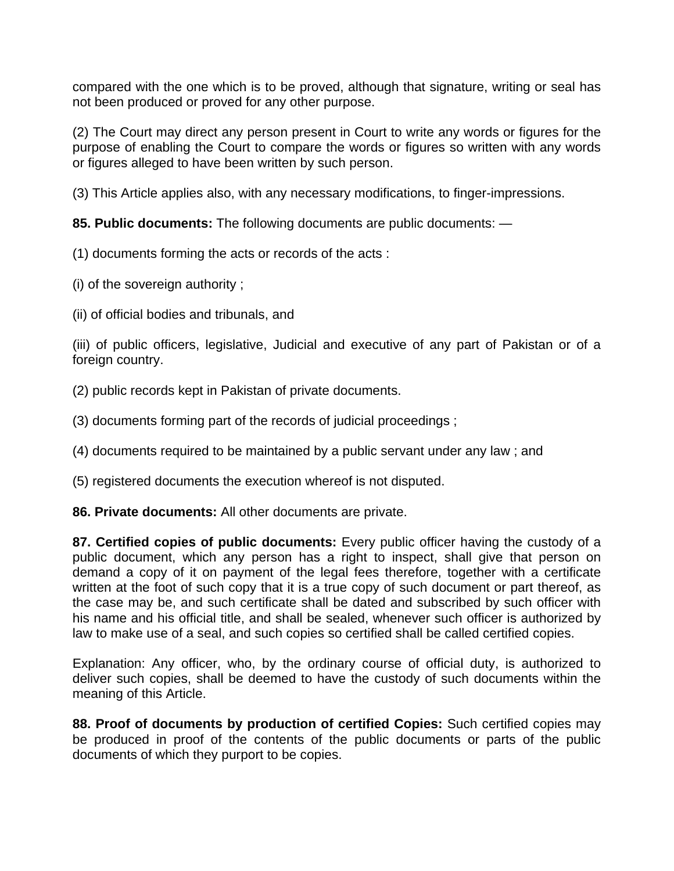compared with the one which is to be proved, although that signature, writing or seal has not been produced or proved for any other purpose.

(2) The Court may direct any person present in Court to write any words or figures for the purpose of enabling the Court to compare the words or figures so written with any words or figures alleged to have been written by such person.

(3) This Article applies also, with any necessary modifications, to finger-impressions.

**85. Public documents:** The following documents are public documents: —

(1) documents forming the acts or records of the acts :

(i) of the sovereign authority ;

(ii) of official bodies and tribunals, and

(iii) of public officers, legislative, Judicial and executive of any part of Pakistan or of a foreign country.

(2) public records kept in Pakistan of private documents.

(3) documents forming part of the records of judicial proceedings ;

(4) documents required to be maintained by a public servant under any law ; and

(5) registered documents the execution whereof is not disputed.

**86. Private documents:** All other documents are private.

**87. Certified copies of public documents:** Every public officer having the custody of a public document, which any person has a right to inspect, shall give that person on demand a copy of it on payment of the legal fees therefore, together with a certificate written at the foot of such copy that it is a true copy of such document or part thereof, as the case may be, and such certificate shall be dated and subscribed by such officer with his name and his official title, and shall be sealed, whenever such officer is authorized by law to make use of a seal, and such copies so certified shall be called certified copies.

Explanation: Any officer, who, by the ordinary course of official duty, is authorized to deliver such copies, shall be deemed to have the custody of such documents within the meaning of this Article.

**88. Proof of documents by production of certified Copies:** Such certified copies may be produced in proof of the contents of the public documents or parts of the public documents of which they purport to be copies.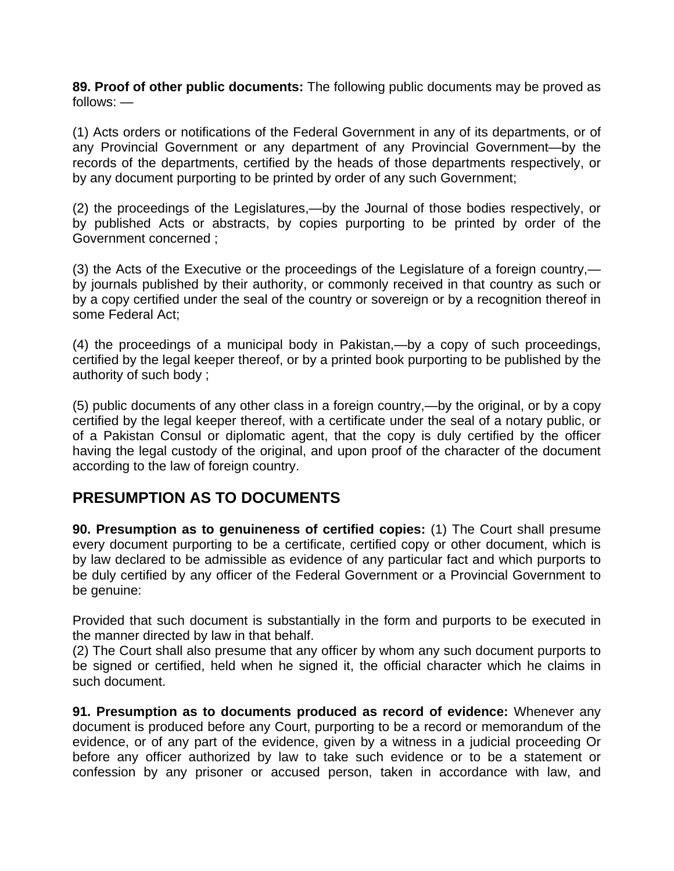**89. Proof of other public documents:** The following public documents may be proved as follows: —

(1) Acts orders or notifications of the Federal Government in any of its departments, or of any Provincial Government or any department of any Provincial Government—by the records of the departments, certified by the heads of those departments respectively, or by any document purporting to be printed by order of any such Government;

(2) the proceedings of the Legislatures,—by the Journal of those bodies respectively, or by published Acts or abstracts, by copies purporting to be printed by order of the Government concerned ;

(3) the Acts of the Executive or the proceedings of the Legislature of a foreign country, by journals published by their authority, or commonly received in that country as such or by a copy certified under the seal of the country or sovereign or by a recognition thereof in some Federal Act;

(4) the proceedings of a municipal body in Pakistan,—by a copy of such proceedings, certified by the legal keeper thereof, or by a printed book purporting to be published by the authority of such body ;

(5) public documents of any other class in a foreign country,—by the original, or by a copy certified by the legal keeper thereof, with a certificate under the seal of a notary public, or of a Pakistan Consul or diplomatic agent, that the copy is duly certified by the officer having the legal custody of the original, and upon proof of the character of the document according to the law of foreign country.

### **PRESUMPTION AS TO DOCUMENTS**

**90. Presumption as to genuineness of certified copies:** (1) The Court shall presume every document purporting to be a certificate, certified copy or other document, which is by law declared to be admissible as evidence of any particular fact and which purports to be duly certified by any officer of the Federal Government or a Provincial Government to be genuine:

Provided that such document is substantially in the form and purports to be executed in the manner directed by law in that behalf.

(2) The Court shall also presume that any officer by whom any such document purports to be signed or certified, held when he signed it, the official character which he claims in such document.

**91. Presumption as to documents produced as record of evidence:** Whenever any document is produced before any Court, purporting to be a record or memorandum of the evidence, or of any part of the evidence, given by a witness in a judicial proceeding Or before any officer authorized by law to take such evidence or to be a statement or confession by any prisoner or accused person, taken in accordance with law, and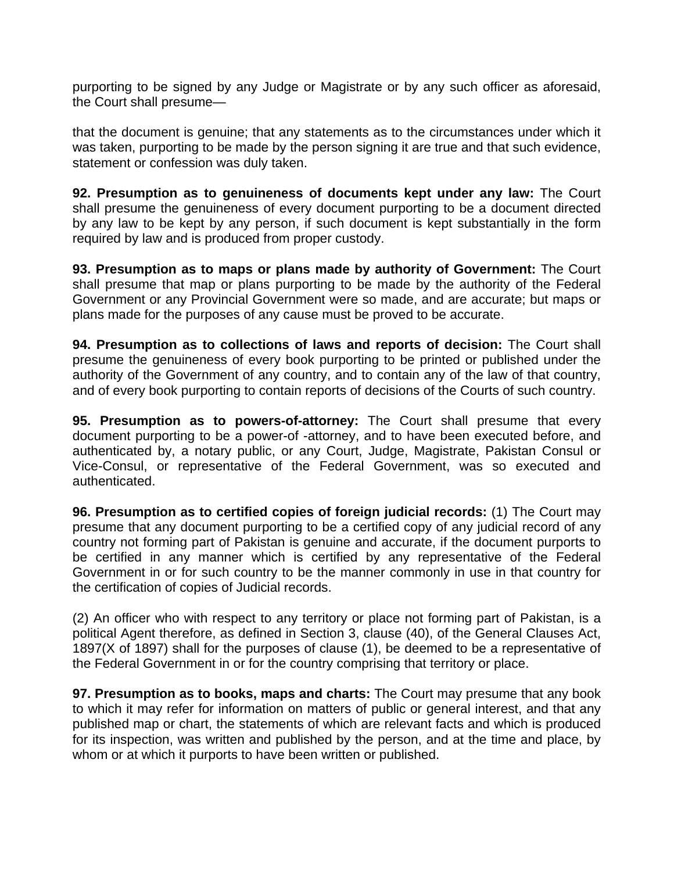purporting to be signed by any Judge or Magistrate or by any such officer as aforesaid, the Court shall presume—

that the document is genuine; that any statements as to the circumstances under which it was taken, purporting to be made by the person signing it are true and that such evidence, statement or confession was duly taken.

**92. Presumption as to genuineness of documents kept under any law:** The Court shall presume the genuineness of every document purporting to be a document directed by any law to be kept by any person, if such document is kept substantially in the form required by law and is produced from proper custody.

**93. Presumption as to maps or plans made by authority of Government:** The Court shall presume that map or plans purporting to be made by the authority of the Federal Government or any Provincial Government were so made, and are accurate; but maps or plans made for the purposes of any cause must be proved to be accurate.

**94. Presumption as to collections of laws and reports of decision:** The Court shall presume the genuineness of every book purporting to be printed or published under the authority of the Government of any country, and to contain any of the law of that country, and of every book purporting to contain reports of decisions of the Courts of such country.

**95. Presumption as to powers-of-attorney:** The Court shall presume that every document purporting to be a power-of -attorney, and to have been executed before, and authenticated by, a notary public, or any Court, Judge, Magistrate, Pakistan Consul or Vice-Consul, or representative of the Federal Government, was so executed and authenticated.

**96. Presumption as to certified copies of foreign judicial records:** (1) The Court may presume that any document purporting to be a certified copy of any judicial record of any country not forming part of Pakistan is genuine and accurate, if the document purports to be certified in any manner which is certified by any representative of the Federal Government in or for such country to be the manner commonly in use in that country for the certification of copies of Judicial records.

(2) An officer who with respect to any territory or place not forming part of Pakistan, is a political Agent therefore, as defined in Section 3, clause (40), of the General Clauses Act, 1897(X of 1897) shall for the purposes of clause (1), be deemed to be a representative of the Federal Government in or for the country comprising that territory or place.

**97. Presumption as to books, maps and charts:** The Court may presume that any book to which it may refer for information on matters of public or general interest, and that any published map or chart, the statements of which are relevant facts and which is produced for its inspection, was written and published by the person, and at the time and place, by whom or at which it purports to have been written or published.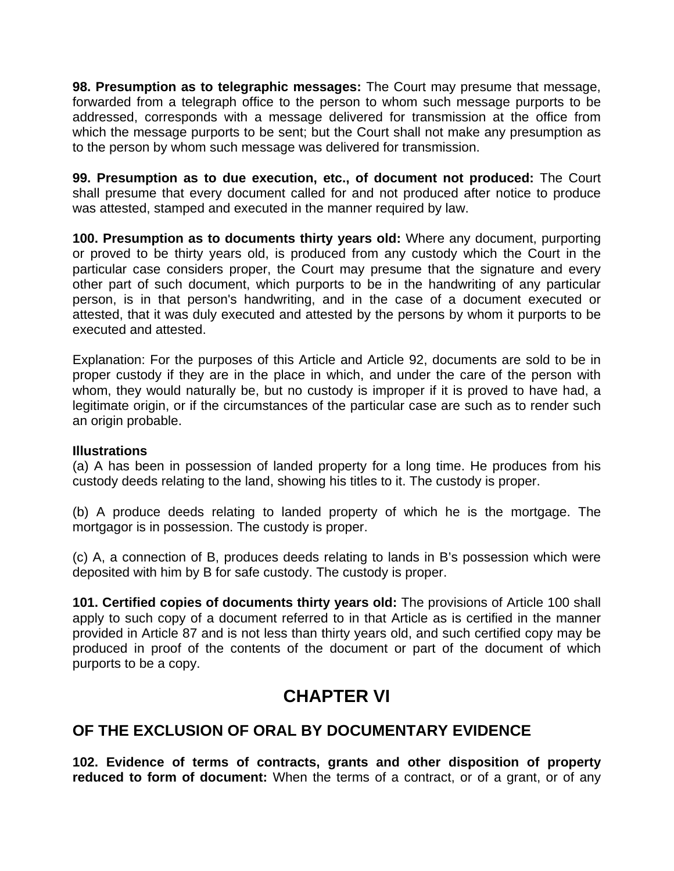**98. Presumption as to telegraphic messages:** The Court may presume that message, forwarded from a telegraph office to the person to whom such message purports to be addressed, corresponds with a message delivered for transmission at the office from which the message purports to be sent; but the Court shall not make any presumption as to the person by whom such message was delivered for transmission.

**99. Presumption as to due execution, etc., of document not produced:** The Court shall presume that every document called for and not produced after notice to produce was attested, stamped and executed in the manner required by law.

**100. Presumption as to documents thirty years old:** Where any document, purporting or proved to be thirty years old, is produced from any custody which the Court in the particular case considers proper, the Court may presume that the signature and every other part of such document, which purports to be in the handwriting of any particular person, is in that person's handwriting, and in the case of a document executed or attested, that it was duly executed and attested by the persons by whom it purports to be executed and attested.

Explanation: For the purposes of this Article and Article 92, documents are sold to be in proper custody if they are in the place in which, and under the care of the person with whom, they would naturally be, but no custody is improper if it is proved to have had, a legitimate origin, or if the circumstances of the particular case are such as to render such an origin probable.

#### **Illustrations**

(a) A has been in possession of landed property for a long time. He produces from his custody deeds relating to the land, showing his titles to it. The custody is proper.

(b) A produce deeds relating to landed property of which he is the mortgage. The mortgagor is in possession. The custody is proper.

(c) A, a connection of B, produces deeds relating to lands in B's possession which were deposited with him by B for safe custody. The custody is proper.

**101. Certified copies of documents thirty years old:** The provisions of Article 100 shall apply to such copy of a document referred to in that Article as is certified in the manner provided in Article 87 and is not less than thirty years old, and such certified copy may be produced in proof of the contents of the document or part of the document of which purports to be a copy.

# **CHAPTER VI**

### **OF THE EXCLUSION OF ORAL BY DOCUMENTARY EVIDENCE**

**102. Evidence of terms of contracts, grants and other disposition of property reduced to form of document:** When the terms of a contract, or of a grant, or of any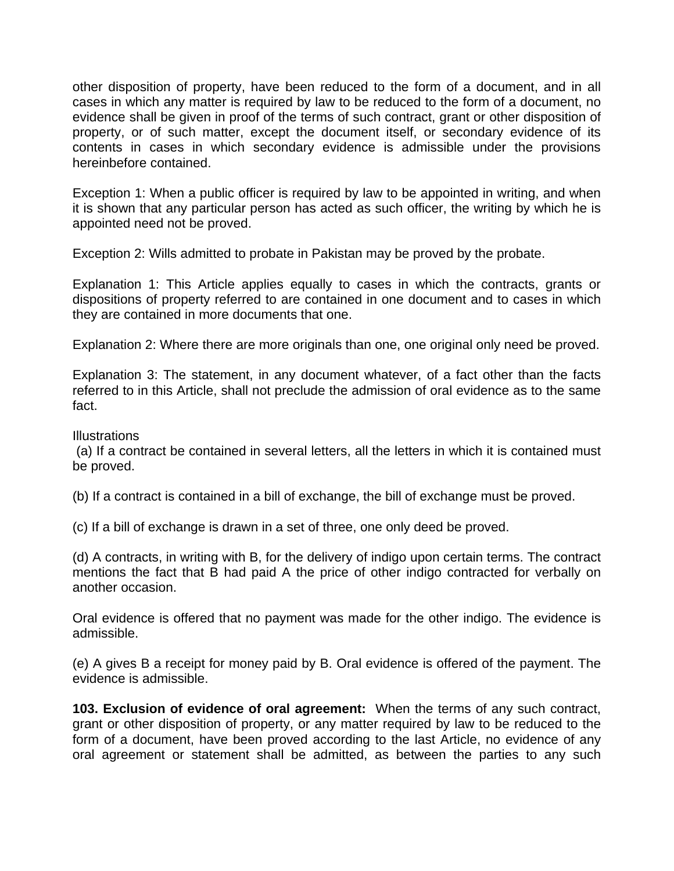other disposition of property, have been reduced to the form of a document, and in all cases in which any matter is required by law to be reduced to the form of a document, no evidence shall be given in proof of the terms of such contract, grant or other disposition of property, or of such matter, except the document itself, or secondary evidence of its contents in cases in which secondary evidence is admissible under the provisions hereinbefore contained.

Exception 1: When a public officer is required by law to be appointed in writing, and when it is shown that any particular person has acted as such officer, the writing by which he is appointed need not be proved.

Exception 2: Wills admitted to probate in Pakistan may be proved by the probate.

Explanation 1: This Article applies equally to cases in which the contracts, grants or dispositions of property referred to are contained in one document and to cases in which they are contained in more documents that one.

Explanation 2: Where there are more originals than one, one original only need be proved.

Explanation 3: The statement, in any document whatever, of a fact other than the facts referred to in this Article, shall not preclude the admission of oral evidence as to the same fact.

#### Illustrations

 (a) If a contract be contained in several letters, all the letters in which it is contained must be proved.

(b) If a contract is contained in a bill of exchange, the bill of exchange must be proved.

(c) If a bill of exchange is drawn in a set of three, one only deed be proved.

(d) A contracts, in writing with B, for the delivery of indigo upon certain terms. The contract mentions the fact that B had paid A the price of other indigo contracted for verbally on another occasion.

Oral evidence is offered that no payment was made for the other indigo. The evidence is admissible.

(e) A gives B a receipt for money paid by B. Oral evidence is offered of the payment. The evidence is admissible.

**103. Exclusion of evidence of oral agreement:** When the terms of any such contract, grant or other disposition of property, or any matter required by law to be reduced to the form of a document, have been proved according to the last Article, no evidence of any oral agreement or statement shall be admitted, as between the parties to any such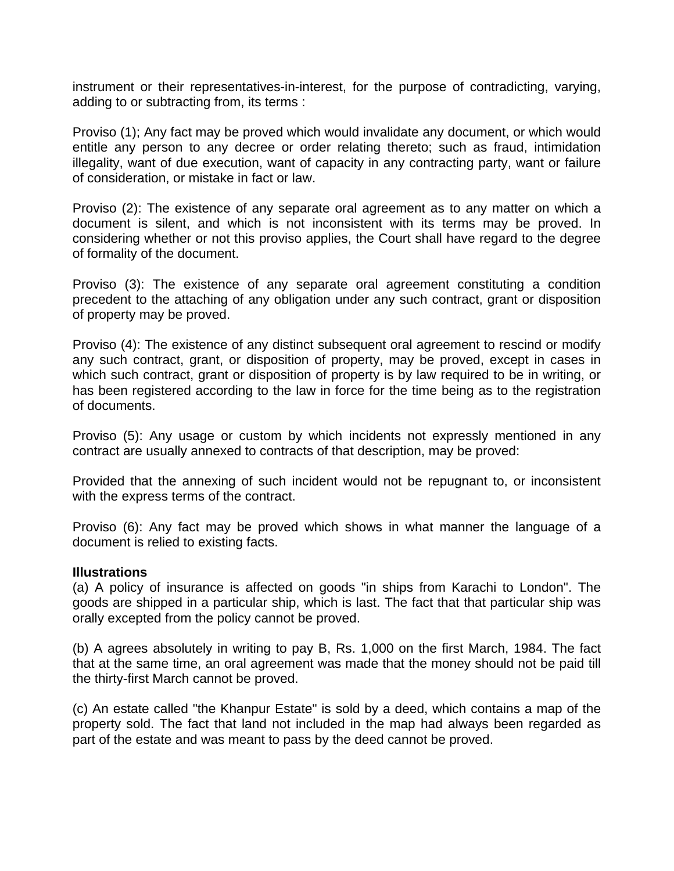instrument or their representatives-in-interest, for the purpose of contradicting, varying, adding to or subtracting from, its terms :

Proviso (1); Any fact may be proved which would invalidate any document, or which would entitle any person to any decree or order relating thereto; such as fraud, intimidation illegality, want of due execution, want of capacity in any contracting party, want or failure of consideration, or mistake in fact or law.

Proviso (2): The existence of any separate oral agreement as to any matter on which a document is silent, and which is not inconsistent with its terms may be proved. In considering whether or not this proviso applies, the Court shall have regard to the degree of formality of the document.

Proviso (3): The existence of any separate oral agreement constituting a condition precedent to the attaching of any obligation under any such contract, grant or disposition of property may be proved.

Proviso (4): The existence of any distinct subsequent oral agreement to rescind or modify any such contract, grant, or disposition of property, may be proved, except in cases in which such contract, grant or disposition of property is by law required to be in writing, or has been registered according to the law in force for the time being as to the registration of documents.

Proviso (5): Any usage or custom by which incidents not expressly mentioned in any contract are usually annexed to contracts of that description, may be proved:

Provided that the annexing of such incident would not be repugnant to, or inconsistent with the express terms of the contract.

Proviso (6): Any fact may be proved which shows in what manner the language of a document is relied to existing facts.

#### **Illustrations**

(a) A policy of insurance is affected on goods "in ships from Karachi to London". The goods are shipped in a particular ship, which is last. The fact that that particular ship was orally excepted from the policy cannot be proved.

(b) A agrees absolutely in writing to pay B, Rs. 1,000 on the first March, 1984. The fact that at the same time, an oral agreement was made that the money should not be paid till the thirty-first March cannot be proved.

(c) An estate called "the Khanpur Estate" is sold by a deed, which contains a map of the property sold. The fact that land not included in the map had always been regarded as part of the estate and was meant to pass by the deed cannot be proved.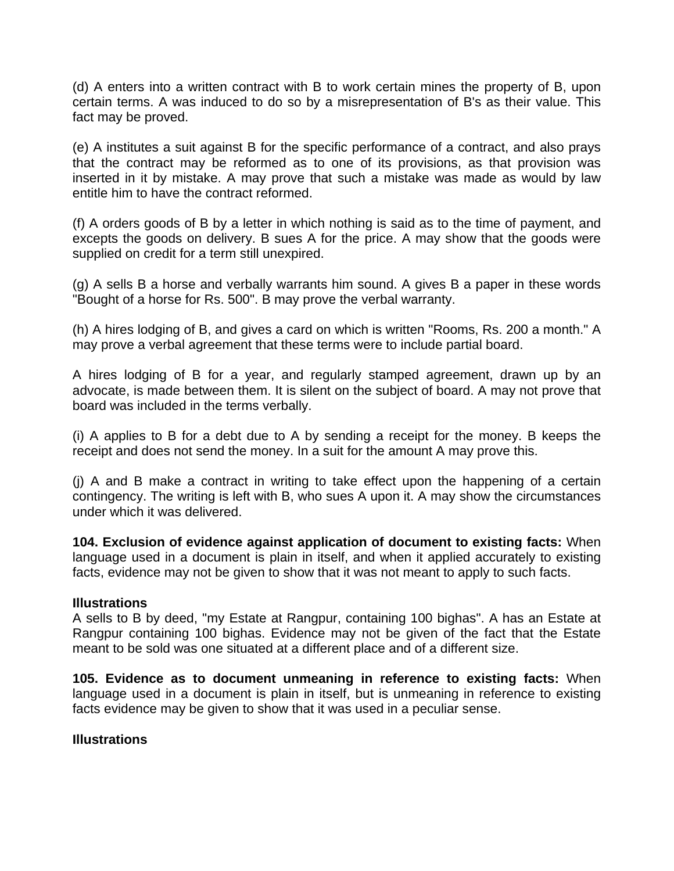(d) A enters into a written contract with B to work certain mines the property of B, upon certain terms. A was induced to do so by a misrepresentation of B's as their value. This fact may be proved.

(e) A institutes a suit against B for the specific performance of a contract, and also prays that the contract may be reformed as to one of its provisions, as that provision was inserted in it by mistake. A may prove that such a mistake was made as would by law entitle him to have the contract reformed.

(f) A orders goods of B by a letter in which nothing is said as to the time of payment, and excepts the goods on delivery. B sues A for the price. A may show that the goods were supplied on credit for a term still unexpired.

(g) A sells B a horse and verbally warrants him sound. A gives B a paper in these words "Bought of a horse for Rs. 500". B may prove the verbal warranty.

(h) A hires lodging of B, and gives a card on which is written "Rooms, Rs. 200 a month." A may prove a verbal agreement that these terms were to include partial board.

A hires lodging of B for a year, and regularly stamped agreement, drawn up by an advocate, is made between them. It is silent on the subject of board. A may not prove that board was included in the terms verbally.

(i) A applies to B for a debt due to A by sending a receipt for the money. B keeps the receipt and does not send the money. In a suit for the amount A may prove this.

(j) A and B make a contract in writing to take effect upon the happening of a certain contingency. The writing is left with B, who sues A upon it. A may show the circumstances under which it was delivered.

**104. Exclusion of evidence against application of document to existing facts:** When language used in a document is plain in itself, and when it applied accurately to existing facts, evidence may not be given to show that it was not meant to apply to such facts.

#### **Illustrations**

A sells to B by deed, "my Estate at Rangpur, containing 100 bighas". A has an Estate at Rangpur containing 100 bighas. Evidence may not be given of the fact that the Estate meant to be sold was one situated at a different place and of a different size.

**105. Evidence as to document unmeaning in reference to existing facts:** When language used in a document is plain in itself, but is unmeaning in reference to existing facts evidence may be given to show that it was used in a peculiar sense.

#### **Illustrations**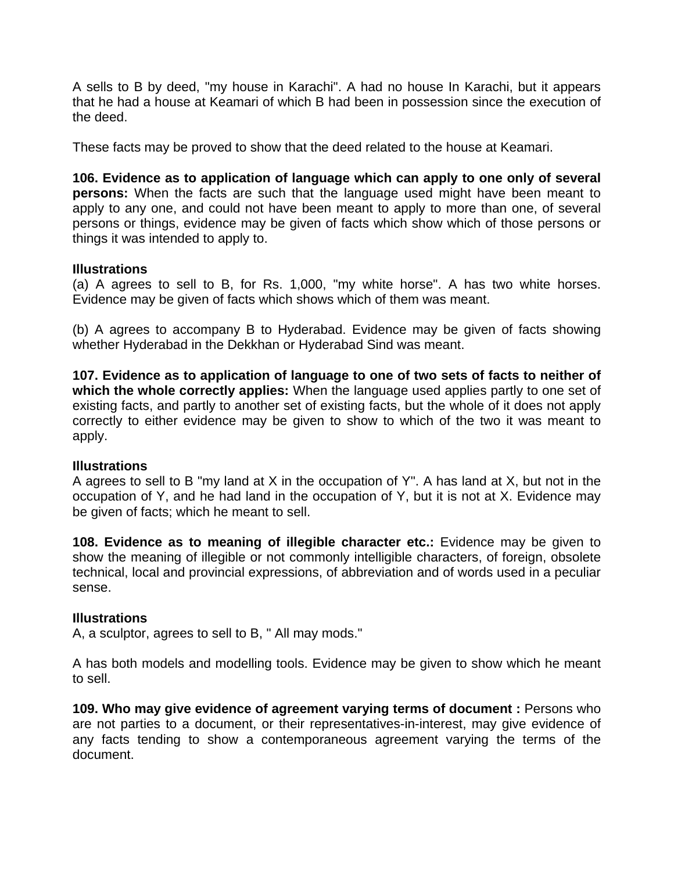A sells to B by deed, "my house in Karachi". A had no house In Karachi, but it appears that he had a house at Keamari of which B had been in possession since the execution of the deed.

These facts may be proved to show that the deed related to the house at Keamari.

**106. Evidence as to application of language which can apply to one only of several persons:** When the facts are such that the language used might have been meant to apply to any one, and could not have been meant to apply to more than one, of several persons or things, evidence may be given of facts which show which of those persons or things it was intended to apply to.

#### **Illustrations**

(a) A agrees to sell to B, for Rs. 1,000, "my white horse". A has two white horses. Evidence may be given of facts which shows which of them was meant.

(b) A agrees to accompany B to Hyderabad. Evidence may be given of facts showing whether Hyderabad in the Dekkhan or Hyderabad Sind was meant.

**107. Evidence as to application of language to one of two sets of facts to neither of which the whole correctly applies:** When the language used applies partly to one set of existing facts, and partly to another set of existing facts, but the whole of it does not apply correctly to either evidence may be given to show to which of the two it was meant to apply.

#### **Illustrations**

A agrees to sell to B "my land at X in the occupation of Y". A has land at X, but not in the occupation of Y, and he had land in the occupation of Y, but it is not at X. Evidence may be given of facts; which he meant to sell.

**108. Evidence as to meaning of illegible character etc.:** Evidence may be given to show the meaning of illegible or not commonly intelligible characters, of foreign, obsolete technical, local and provincial expressions, of abbreviation and of words used in a peculiar sense.

#### **Illustrations**

A, a sculptor, agrees to sell to B, " All may mods."

A has both models and modelling tools. Evidence may be given to show which he meant to sell.

**109. Who may give evidence of agreement varying terms of document :** Persons who are not parties to a document, or their representatives-in-interest, may give evidence of any facts tending to show a contemporaneous agreement varying the terms of the document.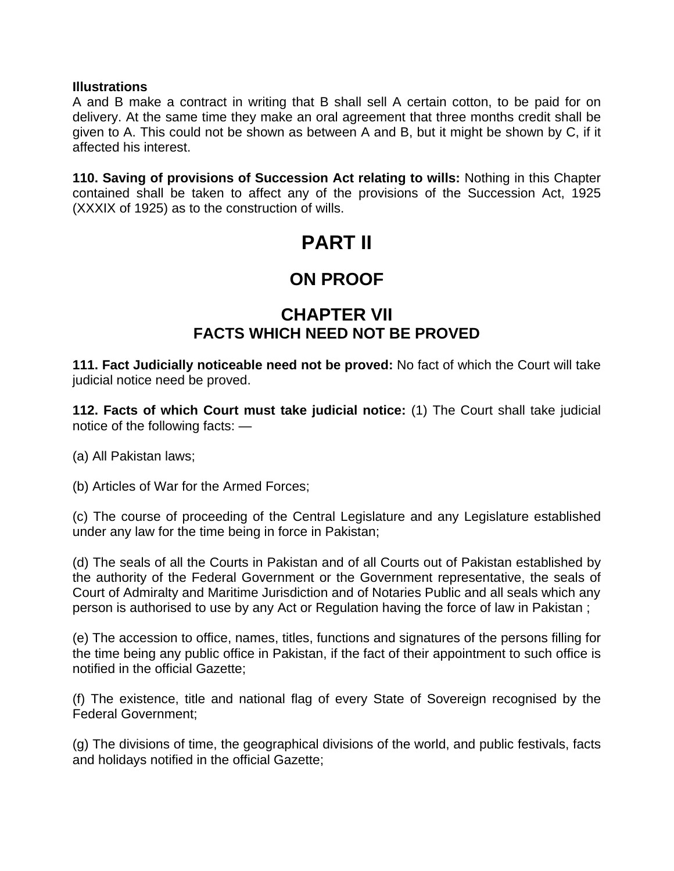#### **Illustrations**

A and B make a contract in writing that B shall sell A certain cotton, to be paid for on delivery. At the same time they make an oral agreement that three months credit shall be given to A. This could not be shown as between A and B, but it might be shown by C, if it affected his interest.

**110. Saving of provisions of Succession Act relating to wills:** Nothing in this Chapter contained shall be taken to affect any of the provisions of the Succession Act, 1925 (XXXIX of 1925) as to the construction of wills.

# **PART II**

# **ON PROOF**

### **CHAPTER VII FACTS WHICH NEED NOT BE PROVED**

**111. Fact Judicially noticeable need not be proved:** No fact of which the Court will take judicial notice need be proved.

**112. Facts of which Court must take judicial notice:** (1) The Court shall take judicial notice of the following facts: —

(a) All Pakistan laws;

(b) Articles of War for the Armed Forces;

(c) The course of proceeding of the Central Legislature and any Legislature established under any law for the time being in force in Pakistan;

(d) The seals of all the Courts in Pakistan and of all Courts out of Pakistan established by the authority of the Federal Government or the Government representative, the seals of Court of Admiralty and Maritime Jurisdiction and of Notaries Public and all seals which any person is authorised to use by any Act or Regulation having the force of law in Pakistan ;

(e) The accession to office, names, titles, functions and signatures of the persons filling for the time being any public office in Pakistan, if the fact of their appointment to such office is notified in the official Gazette;

(f) The existence, title and national flag of every State of Sovereign recognised by the Federal Government;

(g) The divisions of time, the geographical divisions of the world, and public festivals, facts and holidays notified in the official Gazette;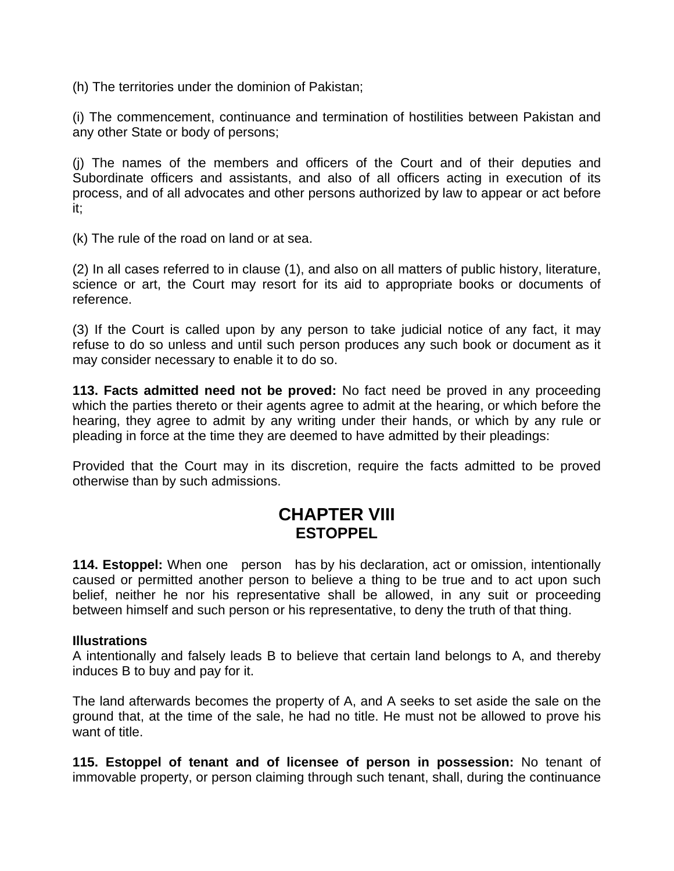(h) The territories under the dominion of Pakistan;

(i) The commencement, continuance and termination of hostilities between Pakistan and any other State or body of persons;

(j) The names of the members and officers of the Court and of their deputies and Subordinate officers and assistants, and also of all officers acting in execution of its process, and of all advocates and other persons authorized by law to appear or act before it;

(k) The rule of the road on land or at sea.

(2) In all cases referred to in clause (1), and also on all matters of public history, literature, science or art, the Court may resort for its aid to appropriate books or documents of reference.

(3) If the Court is called upon by any person to take judicial notice of any fact, it may refuse to do so unless and until such person produces any such book or document as it may consider necessary to enable it to do so.

**113. Facts admitted need not be proved:** No fact need be proved in any proceeding which the parties thereto or their agents agree to admit at the hearing, or which before the hearing, they agree to admit by any writing under their hands, or which by any rule or pleading in force at the time they are deemed to have admitted by their pleadings:

Provided that the Court may in its discretion, require the facts admitted to be proved otherwise than by such admissions.

### **CHAPTER VIII ESTOPPEL**

**114. Estoppel:** When one person has by his declaration, act or omission, intentionally caused or permitted another person to believe a thing to be true and to act upon such belief, neither he nor his representative shall be allowed, in any suit or proceeding between himself and such person or his representative, to deny the truth of that thing.

#### **Illustrations**

A intentionally and falsely leads B to believe that certain land belongs to A, and thereby induces B to buy and pay for it.

The land afterwards becomes the property of A, and A seeks to set aside the sale on the ground that, at the time of the sale, he had no title. He must not be allowed to prove his want of title.

**115. Estoppel of tenant and of licensee of person in possession:** No tenant of immovable property, or person claiming through such tenant, shall, during the continuance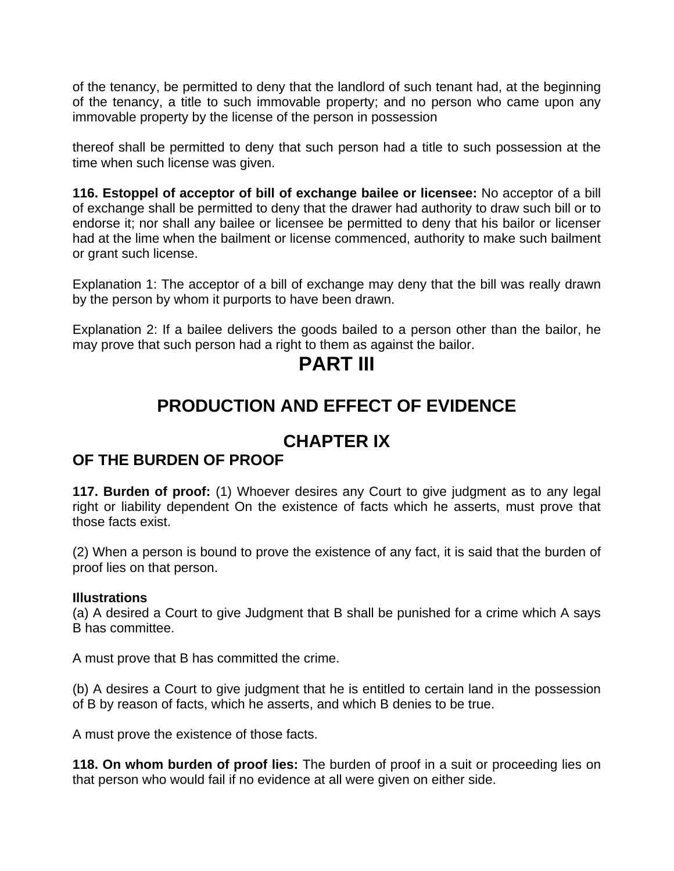of the tenancy, be permitted to deny that the landlord of such tenant had, at the beginning of the tenancy, a title to such immovable property; and no person who came upon any immovable property by the license of the person in possession

thereof shall be permitted to deny that such person had a title to such possession at the time when such license was given.

**116. Estoppel of acceptor of bill of exchange bailee or licensee:** No acceptor of a bill of exchange shall be permitted to deny that the drawer had authority to draw such bill or to endorse it; nor shall any bailee or licensee be permitted to deny that his bailor or licenser had at the lime when the bailment or license commenced, authority to make such bailment or grant such license.

Explanation 1: The acceptor of a bill of exchange may deny that the bill was really drawn by the person by whom it purports to have been drawn.

Explanation 2: If a bailee delivers the goods bailed to a person other than the bailor, he may prove that such person had a right to them as against the bailor.

# **PART III**

# **PRODUCTION AND EFFECT OF EVIDENCE**

# **CHAPTER IX**

### **OF THE BURDEN OF PROOF**

**117. Burden of proof:** (1) Whoever desires any Court to give judgment as to any legal right or liability dependent On the existence of facts which he asserts, must prove that those facts exist.

(2) When a person is bound to prove the existence of any fact, it is said that the burden of proof lies on that person.

#### **Illustrations**

(a) A desired a Court to give Judgment that B shall be punished for a crime which A says B has committee.

A must prove that B has committed the crime.

(b) A desires a Court to give judgment that he is entitled to certain land in the possession of B by reason of facts, which he asserts, and which B denies to be true.

A must prove the existence of those facts.

**118. On whom burden of proof lies:** The burden of proof in a suit or proceeding lies on that person who would fail if no evidence at all were given on either side.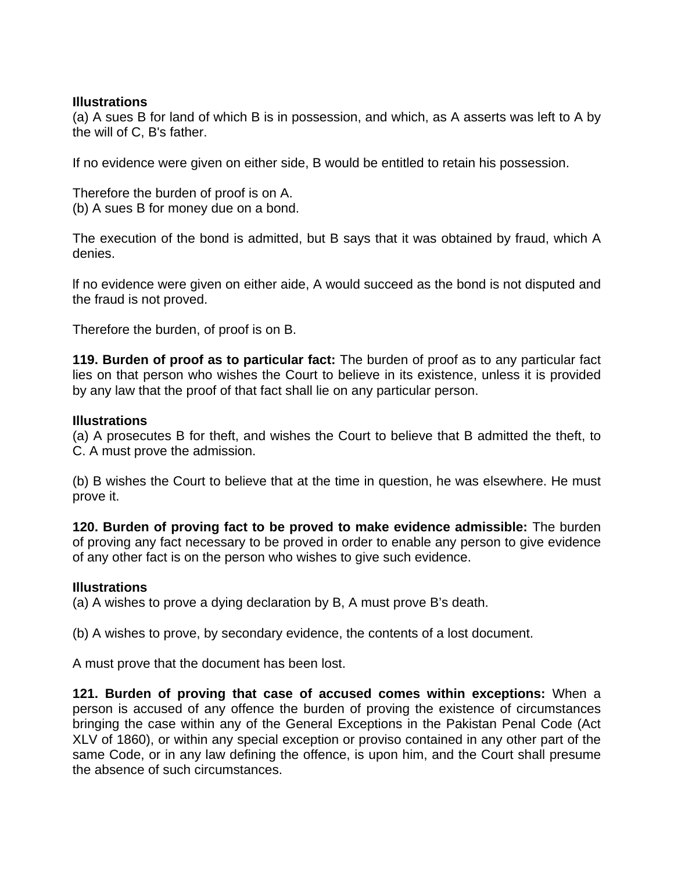#### **Illustrations**

(a) A sues B for land of which B is in possession, and which, as A asserts was left to A by the will of C, B's father.

If no evidence were given on either side, B would be entitled to retain his possession.

Therefore the burden of proof is on A. (b) A sues B for money due on a bond.

The execution of the bond is admitted, but B says that it was obtained by fraud, which A denies.

lf no evidence were given on either aide, A would succeed as the bond is not disputed and the fraud is not proved.

Therefore the burden, of proof is on B.

**119. Burden of proof as to particular fact:** The burden of proof as to any particular fact lies on that person who wishes the Court to believe in its existence, unless it is provided by any law that the proof of that fact shall lie on any particular person.

#### **Illustrations**

(a) A prosecutes B for theft, and wishes the Court to believe that B admitted the theft, to C. A must prove the admission.

(b) B wishes the Court to believe that at the time in question, he was elsewhere. He must prove it.

**120. Burden of proving fact to be proved to make evidence admissible:** The burden of proving any fact necessary to be proved in order to enable any person to give evidence of any other fact is on the person who wishes to give such evidence.

#### **Illustrations**

(a) A wishes to prove a dying declaration by B, A must prove B's death.

(b) A wishes to prove, by secondary evidence, the contents of a lost document.

A must prove that the document has been lost.

**121. Burden of proving that case of accused comes within exceptions:** When a person is accused of any offence the burden of proving the existence of circumstances bringing the case within any of the General Exceptions in the Pakistan Penal Code (Act XLV of 1860), or within any special exception or proviso contained in any other part of the same Code, or in any law defining the offence, is upon him, and the Court shall presume the absence of such circumstances.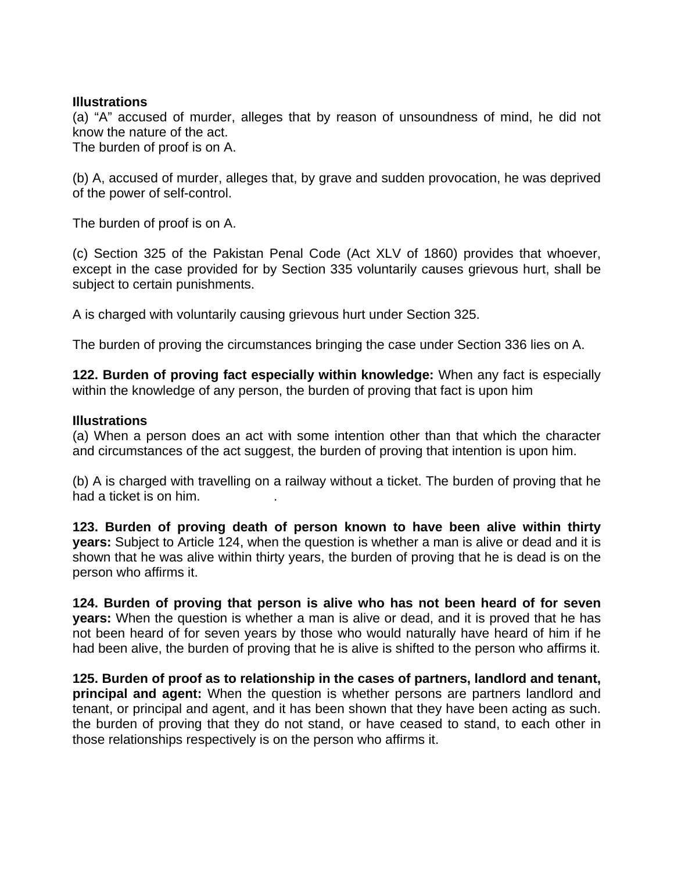#### **Illustrations**

(a) "A" accused of murder, alleges that by reason of unsoundness of mind, he did not know the nature of the act.

The burden of proof is on A.

(b) A, accused of murder, alleges that, by grave and sudden provocation, he was deprived of the power of self-control.

The burden of proof is on A.

(c) Section 325 of the Pakistan Penal Code (Act XLV of 1860) provides that whoever, except in the case provided for by Section 335 voluntarily causes grievous hurt, shall be subject to certain punishments.

A is charged with voluntarily causing grievous hurt under Section 325.

The burden of proving the circumstances bringing the case under Section 336 lies on A.

**122. Burden of proving fact especially within knowledge:** When any fact is especially within the knowledge of any person, the burden of proving that fact is upon him

#### **Illustrations**

(a) When a person does an act with some intention other than that which the character and circumstances of the act suggest, the burden of proving that intention is upon him.

(b) A is charged with travelling on a railway without a ticket. The burden of proving that he had a ticket is on him.

**123. Burden of proving death of person known to have been alive within thirty years:** Subject to Article 124, when the question is whether a man is alive or dead and it is shown that he was alive within thirty years, the burden of proving that he is dead is on the person who affirms it.

**124. Burden of proving that person is alive who has not been heard of for seven years:** When the question is whether a man is alive or dead, and it is proved that he has not been heard of for seven years by those who would naturally have heard of him if he had been alive, the burden of proving that he is alive is shifted to the person who affirms it.

**125. Burden of proof as to relationship in the cases of partners, landlord and tenant, principal and agent:** When the question is whether persons are partners landlord and tenant, or principal and agent, and it has been shown that they have been acting as such. the burden of proving that they do not stand, or have ceased to stand, to each other in those relationships respectively is on the person who affirms it.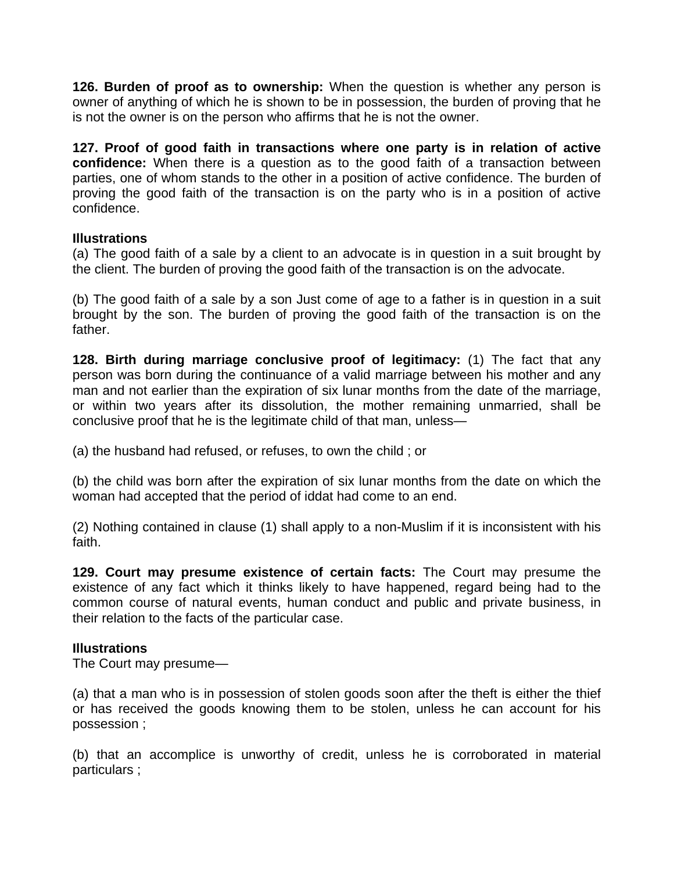**126. Burden of proof as to ownership:** When the question is whether any person is owner of anything of which he is shown to be in possession, the burden of proving that he is not the owner is on the person who affirms that he is not the owner.

**127. Proof of good faith in transactions where one party is in relation of active confidence:** When there is a question as to the good faith of a transaction between parties, one of whom stands to the other in a position of active confidence. The burden of proving the good faith of the transaction is on the party who is in a position of active confidence.

#### **Illustrations**

(a) The good faith of a sale by a client to an advocate is in question in a suit brought by the client. The burden of proving the good faith of the transaction is on the advocate.

(b) The good faith of a sale by a son Just come of age to a father is in question in a suit brought by the son. The burden of proving the good faith of the transaction is on the father.

**128. Birth during marriage conclusive proof of legitimacy:** (1) The fact that any person was born during the continuance of a valid marriage between his mother and any man and not earlier than the expiration of six lunar months from the date of the marriage, or within two years after its dissolution, the mother remaining unmarried, shall be conclusive proof that he is the legitimate child of that man, unless—

(a) the husband had refused, or refuses, to own the child ; or

(b) the child was born after the expiration of six lunar months from the date on which the woman had accepted that the period of iddat had come to an end.

(2) Nothing contained in clause (1) shall apply to a non-Muslim if it is inconsistent with his faith.

**129. Court may presume existence of certain facts:** The Court may presume the existence of any fact which it thinks likely to have happened, regard being had to the common course of natural events, human conduct and public and private business, in their relation to the facts of the particular case.

#### **Illustrations**

The Court may presume—

(a) that a man who is in possession of stolen goods soon after the theft is either the thief or has received the goods knowing them to be stolen, unless he can account for his possession ;

(b) that an accomplice is unworthy of credit, unless he is corroborated in material particulars ;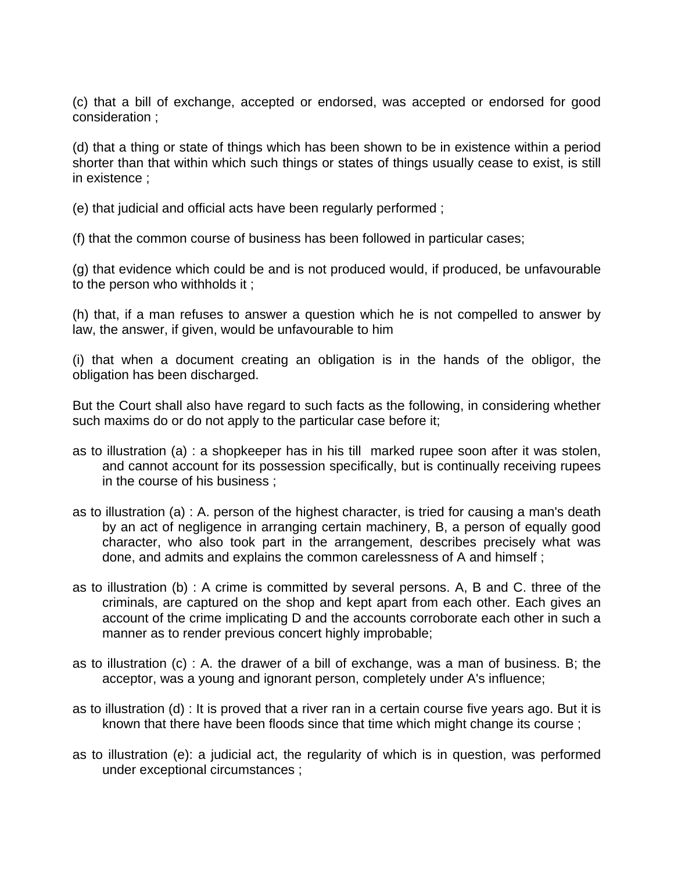(c) that a bill of exchange, accepted or endorsed, was accepted or endorsed for good consideration ;

(d) that a thing or state of things which has been shown to be in existence within a period shorter than that within which such things or states of things usually cease to exist, is still in existence ;

(e) that judicial and official acts have been regularly performed ;

(f) that the common course of business has been followed in particular cases;

(g) that evidence which could be and is not produced would, if produced, be unfavourable to the person who withholds it ;

(h) that, if a man refuses to answer a question which he is not compelled to answer by law, the answer, if given, would be unfavourable to him

(i) that when a document creating an obligation is in the hands of the obligor, the obligation has been discharged.

But the Court shall also have regard to such facts as the following, in considering whether such maxims do or do not apply to the particular case before it;

- as to illustration (a) : a shopkeeper has in his till marked rupee soon after it was stolen, and cannot account for its possession specifically, but is continually receiving rupees in the course of his business ;
- as to illustration (a) : A. person of the highest character, is tried for causing a man's death by an act of negligence in arranging certain machinery, B, a person of equally good character, who also took part in the arrangement, describes precisely what was done, and admits and explains the common carelessness of A and himself ;
- as to illustration (b) : A crime is committed by several persons. A, B and C. three of the criminals, are captured on the shop and kept apart from each other. Each gives an account of the crime implicating D and the accounts corroborate each other in such a manner as to render previous concert highly improbable;
- as to illustration (c) : A. the drawer of a bill of exchange, was a man of business. B; the acceptor, was a young and ignorant person, completely under A's influence;
- as to illustration (d) : It is proved that a river ran in a certain course five years ago. But it is known that there have been floods since that time which might change its course ;
- as to illustration (e): a judicial act, the regularity of which is in question, was performed under exceptional circumstances ;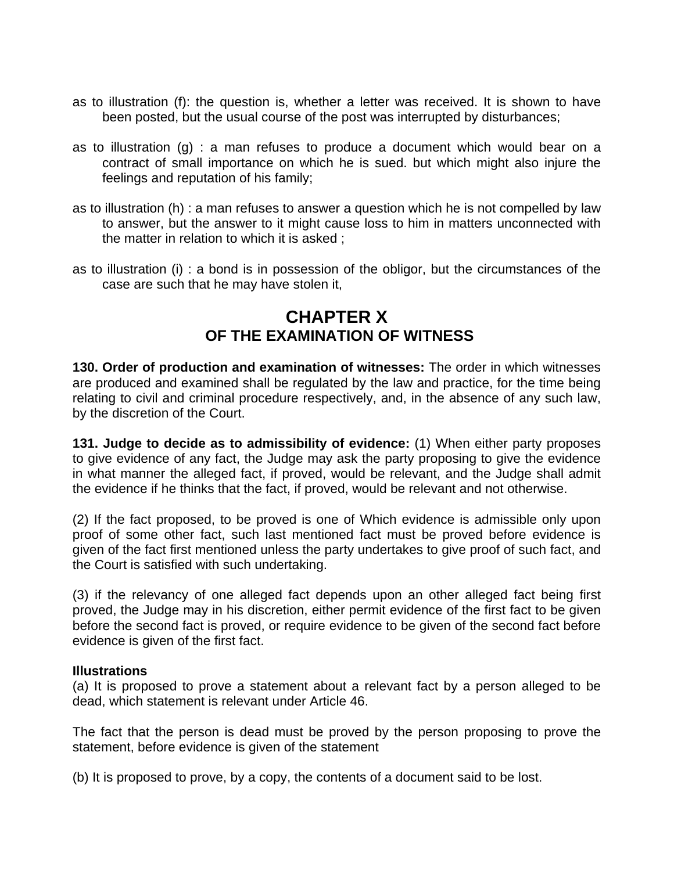- as to illustration (f): the question is, whether a letter was received. It is shown to have been posted, but the usual course of the post was interrupted by disturbances;
- as to illustration (g) : a man refuses to produce a document which would bear on a contract of small importance on which he is sued. but which might also injure the feelings and reputation of his family;
- as to illustration (h) : a man refuses to answer a question which he is not compelled by law to answer, but the answer to it might cause loss to him in matters unconnected with the matter in relation to which it is asked ;
- as to illustration (i) : a bond is in possession of the obligor, but the circumstances of the case are such that he may have stolen it,

### **CHAPTER X OF THE EXAMINATION OF WITNESS**

**130. Order of production and examination of witnesses:** The order in which witnesses are produced and examined shall be regulated by the law and practice, for the time being relating to civil and criminal procedure respectively, and, in the absence of any such law, by the discretion of the Court.

**131. Judge to decide as to admissibility of evidence:** (1) When either party proposes to give evidence of any fact, the Judge may ask the party proposing to give the evidence in what manner the alleged fact, if proved, would be relevant, and the Judge shall admit the evidence if he thinks that the fact, if proved, would be relevant and not otherwise.

(2) If the fact proposed, to be proved is one of Which evidence is admissible only upon proof of some other fact, such last mentioned fact must be proved before evidence is given of the fact first mentioned unless the party undertakes to give proof of such fact, and the Court is satisfied with such undertaking.

(3) if the relevancy of one alleged fact depends upon an other alleged fact being first proved, the Judge may in his discretion, either permit evidence of the first fact to be given before the second fact is proved, or require evidence to be given of the second fact before evidence is given of the first fact.

#### **Illustrations**

(a) It is proposed to prove a statement about a relevant fact by a person alleged to be dead, which statement is relevant under Article 46.

The fact that the person is dead must be proved by the person proposing to prove the statement, before evidence is given of the statement

(b) It is proposed to prove, by a copy, the contents of a document said to be lost.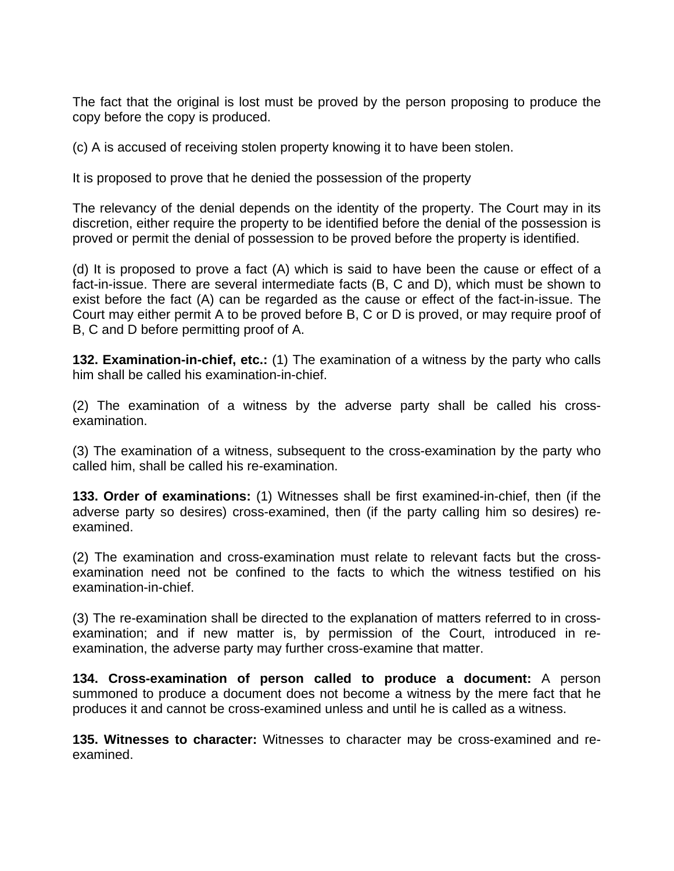The fact that the original is lost must be proved by the person proposing to produce the copy before the copy is produced.

(c) A is accused of receiving stolen property knowing it to have been stolen.

It is proposed to prove that he denied the possession of the property

The relevancy of the denial depends on the identity of the property. The Court may in its discretion, either require the property to be identified before the denial of the possession is proved or permit the denial of possession to be proved before the property is identified.

(d) It is proposed to prove a fact (A) which is said to have been the cause or effect of a fact-in-issue. There are several intermediate facts (B, C and D), which must be shown to exist before the fact (A) can be regarded as the cause or effect of the fact-in-issue. The Court may either permit A to be proved before B, C or D is proved, or may require proof of B, C and D before permitting proof of A.

**132. Examination-in-chief, etc.:** (1) The examination of a witness by the party who calls him shall be called his examination-in-chief.

(2) The examination of a witness by the adverse party shall be called his crossexamination.

(3) The examination of a witness, subsequent to the cross-examination by the party who called him, shall be called his re-examination.

**133. Order of examinations:** (1) Witnesses shall be first examined-in-chief, then (if the adverse party so desires) cross-examined, then (if the party calling him so desires) reexamined.

(2) The examination and cross-examination must relate to relevant facts but the crossexamination need not be confined to the facts to which the witness testified on his examination-in-chief.

(3) The re-examination shall be directed to the explanation of matters referred to in crossexamination; and if new matter is, by permission of the Court, introduced in reexamination, the adverse party may further cross-examine that matter.

**134. Cross-examination of person called to produce a document:** A person summoned to produce a document does not become a witness by the mere fact that he produces it and cannot be cross-examined unless and until he is called as a witness.

**135. Witnesses to character:** Witnesses to character may be cross-examined and reexamined.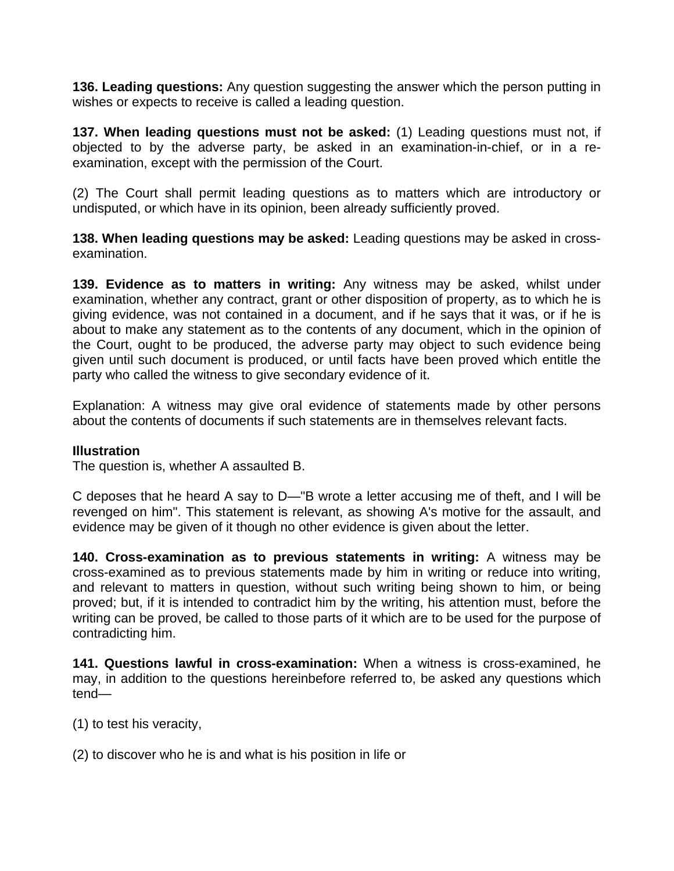**136. Leading questions:** Any question suggesting the answer which the person putting in wishes or expects to receive is called a leading question.

**137. When leading questions must not be asked:** (1) Leading questions must not, if objected to by the adverse party, be asked in an examination-in-chief, or in a reexamination, except with the permission of the Court.

(2) The Court shall permit leading questions as to matters which are introductory or undisputed, or which have in its opinion, been already sufficiently proved.

**138. When leading questions may be asked:** Leading questions may be asked in crossexamination.

**139. Evidence as to matters in writing:** Any witness may be asked, whilst under examination, whether any contract, grant or other disposition of property, as to which he is giving evidence, was not contained in a document, and if he says that it was, or if he is about to make any statement as to the contents of any document, which in the opinion of the Court, ought to be produced, the adverse party may object to such evidence being given until such document is produced, or until facts have been proved which entitle the party who called the witness to give secondary evidence of it.

Explanation: A witness may give oral evidence of statements made by other persons about the contents of documents if such statements are in themselves relevant facts.

#### **Illustration**

The question is, whether A assaulted B.

C deposes that he heard A say to D—"B wrote a letter accusing me of theft, and I will be revenged on him". This statement is relevant, as showing A's motive for the assault, and evidence may be given of it though no other evidence is given about the letter.

**140. Cross-examination as to previous statements in writing:** A witness may be cross-examined as to previous statements made by him in writing or reduce into writing, and relevant to matters in question, without such writing being shown to him, or being proved; but, if it is intended to contradict him by the writing, his attention must, before the writing can be proved, be called to those parts of it which are to be used for the purpose of contradicting him.

**141. Questions lawful in cross-examination:** When a witness is cross-examined, he may, in addition to the questions hereinbefore referred to, be asked any questions which tend—

- (1) to test his veracity,
- (2) to discover who he is and what is his position in life or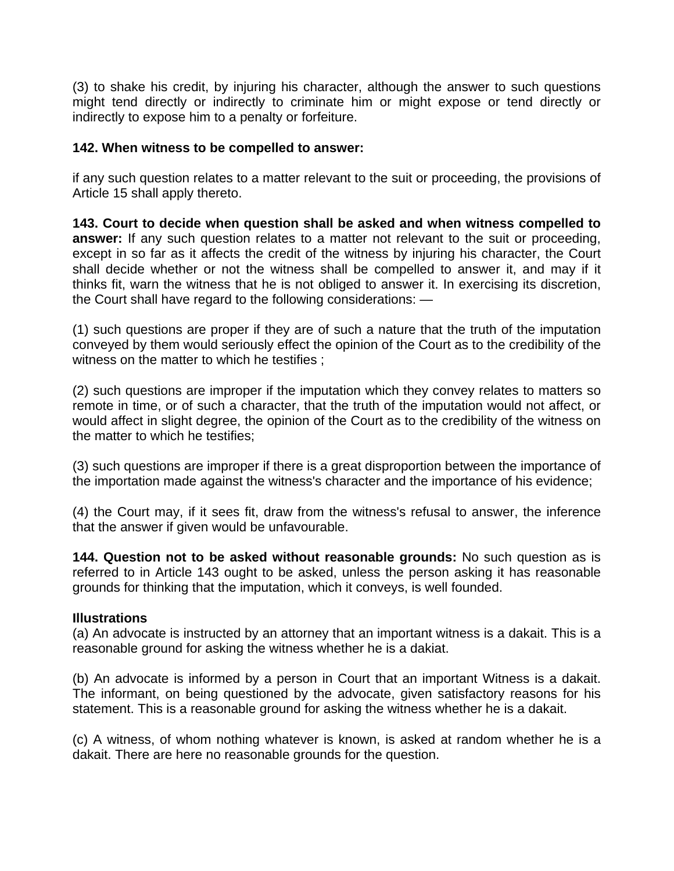(3) to shake his credit, by injuring his character, although the answer to such questions might tend directly or indirectly to criminate him or might expose or tend directly or indirectly to expose him to a penalty or forfeiture.

#### **142. When witness to be compelled to answer:**

if any such question relates to a matter relevant to the suit or proceeding, the provisions of Article 15 shall apply thereto.

**143. Court to decide when question shall be asked and when witness compelled to answer:** If any such question relates to a matter not relevant to the suit or proceeding, except in so far as it affects the credit of the witness by injuring his character, the Court shall decide whether or not the witness shall be compelled to answer it, and may if it thinks fit, warn the witness that he is not obliged to answer it. In exercising its discretion, the Court shall have regard to the following considerations: —

(1) such questions are proper if they are of such a nature that the truth of the imputation conveyed by them would seriously effect the opinion of the Court as to the credibility of the witness on the matter to which he testifies ;

(2) such questions are improper if the imputation which they convey relates to matters so remote in time, or of such a character, that the truth of the imputation would not affect, or would affect in slight degree, the opinion of the Court as to the credibility of the witness on the matter to which he testifies;

(3) such questions are improper if there is a great disproportion between the importance of the importation made against the witness's character and the importance of his evidence;

(4) the Court may, if it sees fit, draw from the witness's refusal to answer, the inference that the answer if given would be unfavourable.

**144. Question not to be asked without reasonable grounds:** No such question as is referred to in Article 143 ought to be asked, unless the person asking it has reasonable grounds for thinking that the imputation, which it conveys, is well founded.

#### **Illustrations**

(a) An advocate is instructed by an attorney that an important witness is a dakait. This is a reasonable ground for asking the witness whether he is a dakiat.

(b) An advocate is informed by a person in Court that an important Witness is a dakait. The informant, on being questioned by the advocate, given satisfactory reasons for his statement. This is a reasonable ground for asking the witness whether he is a dakait.

(c) A witness, of whom nothing whatever is known, is asked at random whether he is a dakait. There are here no reasonable grounds for the question.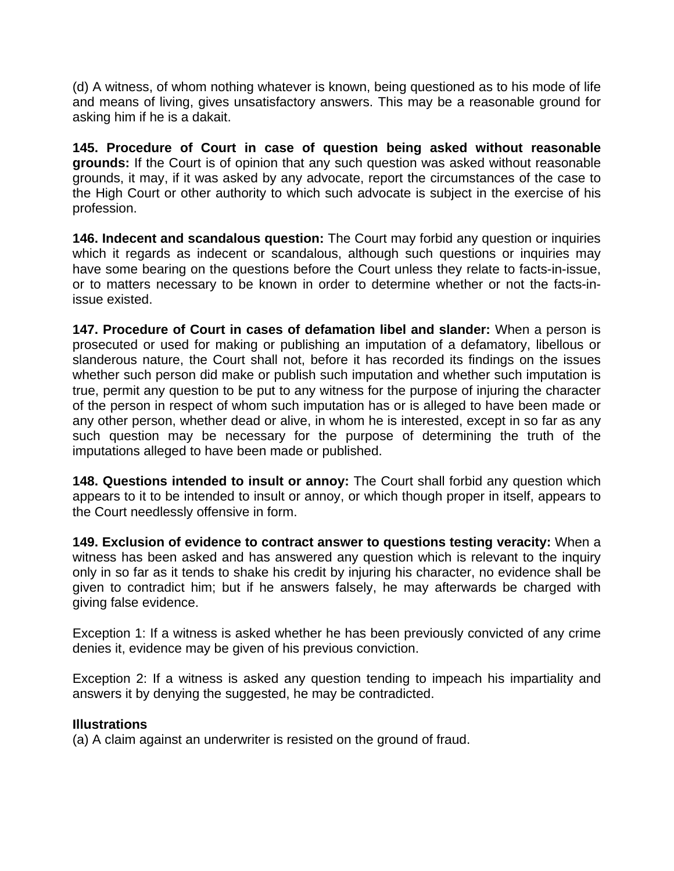(d) A witness, of whom nothing whatever is known, being questioned as to his mode of life and means of living, gives unsatisfactory answers. This may be a reasonable ground for asking him if he is a dakait.

**145. Procedure of Court in case of question being asked without reasonable grounds:** If the Court is of opinion that any such question was asked without reasonable grounds, it may, if it was asked by any advocate, report the circumstances of the case to the High Court or other authority to which such advocate is subject in the exercise of his profession.

**146. Indecent and scandalous question:** The Court may forbid any question or inquiries which it regards as indecent or scandalous, although such questions or inquiries may have some bearing on the questions before the Court unless they relate to facts-in-issue, or to matters necessary to be known in order to determine whether or not the facts-inissue existed.

**147. Procedure of Court in cases of defamation libel and slander:** When a person is prosecuted or used for making or publishing an imputation of a defamatory, libellous or slanderous nature, the Court shall not, before it has recorded its findings on the issues whether such person did make or publish such imputation and whether such imputation is true, permit any question to be put to any witness for the purpose of injuring the character of the person in respect of whom such imputation has or is alleged to have been made or any other person, whether dead or alive, in whom he is interested, except in so far as any such question may be necessary for the purpose of determining the truth of the imputations alleged to have been made or published.

**148. Questions intended to insult or annoy:** The Court shall forbid any question which appears to it to be intended to insult or annoy, or which though proper in itself, appears to the Court needlessly offensive in form.

**149. Exclusion of evidence to contract answer to questions testing veracity:** When a witness has been asked and has answered any question which is relevant to the inquiry only in so far as it tends to shake his credit by injuring his character, no evidence shall be given to contradict him; but if he answers falsely, he may afterwards be charged with giving false evidence.

Exception 1: If a witness is asked whether he has been previously convicted of any crime denies it, evidence may be given of his previous conviction.

Exception 2: If a witness is asked any question tending to impeach his impartiality and answers it by denying the suggested, he may be contradicted.

#### **Illustrations**

(a) A claim against an underwriter is resisted on the ground of fraud.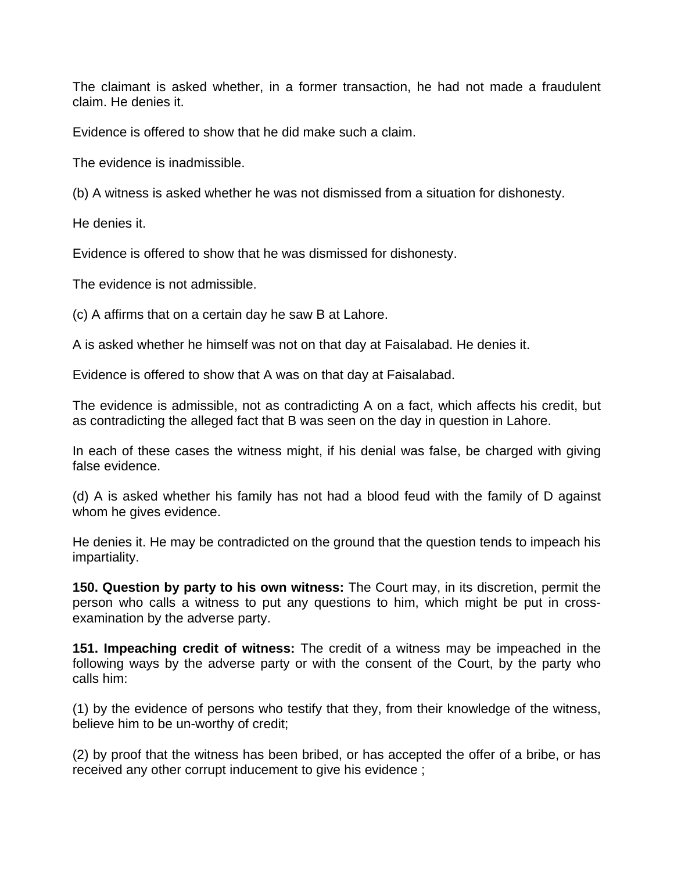The claimant is asked whether, in a former transaction, he had not made a fraudulent claim. He denies it.

Evidence is offered to show that he did make such a claim.

The evidence is inadmissible.

(b) A witness is asked whether he was not dismissed from a situation for dishonesty.

He denies it.

Evidence is offered to show that he was dismissed for dishonesty.

The evidence is not admissible.

(c) A affirms that on a certain day he saw B at Lahore.

A is asked whether he himself was not on that day at Faisalabad. He denies it.

Evidence is offered to show that A was on that day at Faisalabad.

The evidence is admissible, not as contradicting A on a fact, which affects his credit, but as contradicting the alleged fact that B was seen on the day in question in Lahore.

In each of these cases the witness might, if his denial was false, be charged with giving false evidence.

(d) A is asked whether his family has not had a blood feud with the family of D against whom he gives evidence.

He denies it. He may be contradicted on the ground that the question tends to impeach his impartiality.

**150. Question by party to his own witness:** The Court may, in its discretion, permit the person who calls a witness to put any questions to him, which might be put in crossexamination by the adverse party.

**151. Impeaching credit of witness:** The credit of a witness may be impeached in the following ways by the adverse party or with the consent of the Court, by the party who calls him:

(1) by the evidence of persons who testify that they, from their knowledge of the witness, believe him to be un-worthy of credit;

(2) by proof that the witness has been bribed, or has accepted the offer of a bribe, or has received any other corrupt inducement to give his evidence ;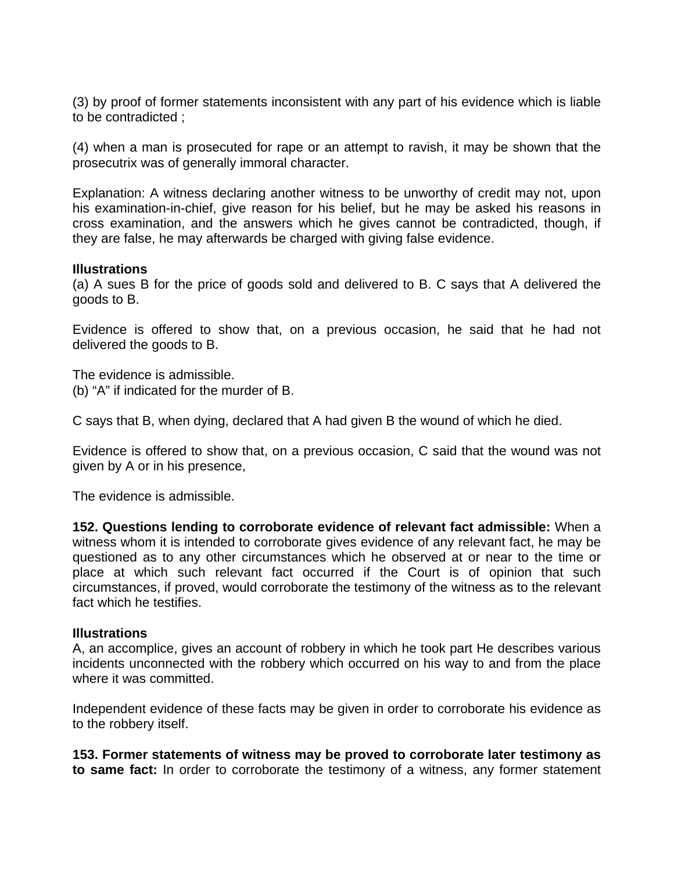(3) by proof of former statements inconsistent with any part of his evidence which is liable to be contradicted ;

(4) when a man is prosecuted for rape or an attempt to ravish, it may be shown that the prosecutrix was of generally immoral character.

Explanation: A witness declaring another witness to be unworthy of credit may not, upon his examination-in-chief, give reason for his belief, but he may be asked his reasons in cross examination, and the answers which he gives cannot be contradicted, though, if they are false, he may afterwards be charged with giving false evidence.

#### **Illustrations**

(a) A sues B for the price of goods sold and delivered to B. C says that A delivered the goods to B.

Evidence is offered to show that, on a previous occasion, he said that he had not delivered the goods to B.

The evidence is admissible. (b) "A" if indicated for the murder of B.

C says that B, when dying, declared that A had given B the wound of which he died.

Evidence is offered to show that, on a previous occasion, C said that the wound was not given by A or in his presence,

The evidence is admissible.

**152. Questions lending to corroborate evidence of relevant fact admissible:** When a witness whom it is intended to corroborate gives evidence of any relevant fact, he may be questioned as to any other circumstances which he observed at or near to the time or place at which such relevant fact occurred if the Court is of opinion that such circumstances, if proved, would corroborate the testimony of the witness as to the relevant fact which he testifies.

#### **Illustrations**

A, an accomplice, gives an account of robbery in which he took part He describes various incidents unconnected with the robbery which occurred on his way to and from the place where it was committed.

Independent evidence of these facts may be given in order to corroborate his evidence as to the robbery itself.

**153. Former statements of witness may be proved to corroborate later testimony as to same fact:** In order to corroborate the testimony of a witness, any former statement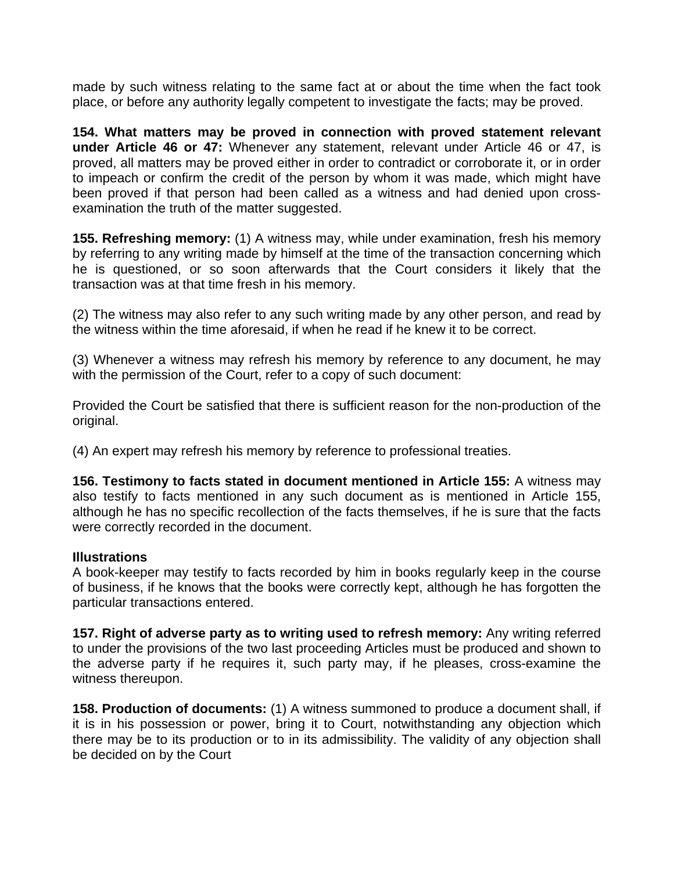made by such witness relating to the same fact at or about the time when the fact took place, or before any authority legally competent to investigate the facts; may be proved.

**154. What matters may be proved in connection with proved statement relevant under Article 46 or 47:** Whenever any statement, relevant under Article 46 or 47, is proved, all matters may be proved either in order to contradict or corroborate it, or in order to impeach or confirm the credit of the person by whom it was made, which might have been proved if that person had been called as a witness and had denied upon crossexamination the truth of the matter suggested.

**155. Refreshing memory:** (1) A witness may, while under examination, fresh his memory by referring to any writing made by himself at the time of the transaction concerning which he is questioned, or so soon afterwards that the Court considers it likely that the transaction was at that time fresh in his memory.

(2) The witness may also refer to any such writing made by any other person, and read by the witness within the time aforesaid, if when he read if he knew it to be correct.

(3) Whenever a witness may refresh his memory by reference to any document, he may with the permission of the Court, refer to a copy of such document:

Provided the Court be satisfied that there is sufficient reason for the non-production of the original.

(4) An expert may refresh his memory by reference to professional treaties.

**156. Testimony to facts stated in document mentioned in Article 155:** A witness may also testify to facts mentioned in any such document as is mentioned in Article 155, although he has no specific recollection of the facts themselves, if he is sure that the facts were correctly recorded in the document.

#### **Illustrations**

A book-keeper may testify to facts recorded by him in books regularly keep in the course of business, if he knows that the books were correctly kept, although he has forgotten the particular transactions entered.

**157. Right of adverse party as to writing used to refresh memory:** Any writing referred to under the provisions of the two last proceeding Articles must be produced and shown to the adverse party if he requires it, such party may, if he pleases, cross-examine the witness thereupon.

**158. Production of documents:** (1) A witness summoned to produce a document shall, if it is in his possession or power, bring it to Court, notwithstanding any objection which there may be to its production or to in its admissibility. The validity of any objection shall be decided on by the Court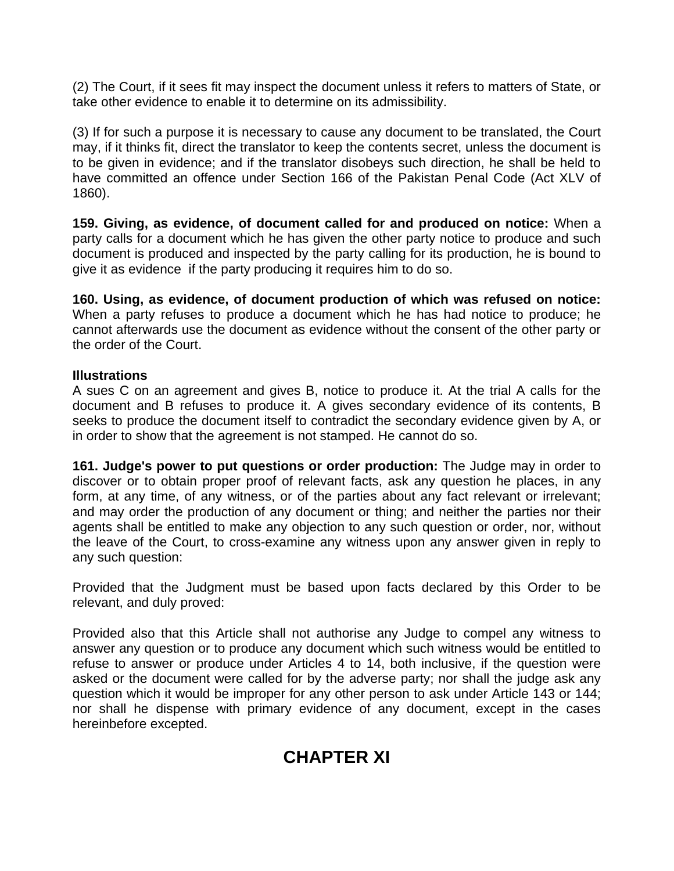(2) The Court, if it sees fit may inspect the document unless it refers to matters of State, or take other evidence to enable it to determine on its admissibility.

(3) If for such a purpose it is necessary to cause any document to be translated, the Court may, if it thinks fit, direct the translator to keep the contents secret, unless the document is to be given in evidence; and if the translator disobeys such direction, he shall be held to have committed an offence under Section 166 of the Pakistan Penal Code (Act XLV of 1860).

**159. Giving, as evidence, of document called for and produced on notice:** When a party calls for a document which he has given the other party notice to produce and such document is produced and inspected by the party calling for its production, he is bound to give it as evidence if the party producing it requires him to do so.

**160. Using, as evidence, of document production of which was refused on notice:** When a party refuses to produce a document which he has had notice to produce; he cannot afterwards use the document as evidence without the consent of the other party or the order of the Court.

#### **Illustrations**

A sues C on an agreement and gives B, notice to produce it. At the trial A calls for the document and B refuses to produce it. A gives secondary evidence of its contents, B seeks to produce the document itself to contradict the secondary evidence given by A, or in order to show that the agreement is not stamped. He cannot do so.

**161. Judge's power to put questions or order production:** The Judge may in order to discover or to obtain proper proof of relevant facts, ask any question he places, in any form, at any time, of any witness, or of the parties about any fact relevant or irrelevant; and may order the production of any document or thing; and neither the parties nor their agents shall be entitled to make any objection to any such question or order, nor, without the leave of the Court, to cross-examine any witness upon any answer given in reply to any such question:

Provided that the Judgment must be based upon facts declared by this Order to be relevant, and duly proved:

Provided also that this Article shall not authorise any Judge to compel any witness to answer any question or to produce any document which such witness would be entitled to refuse to answer or produce under Articles 4 to 14, both inclusive, if the question were asked or the document were called for by the adverse party; nor shall the judge ask any question which it would be improper for any other person to ask under Article 143 or 144; nor shall he dispense with primary evidence of any document, except in the cases hereinbefore excepted.

# **CHAPTER XI**